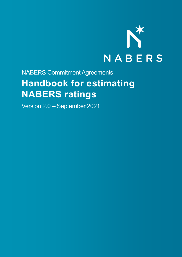

## NABERS Commitment Agreements **Handbook for estimating NABERS ratings**

Version 2.0 – September 2021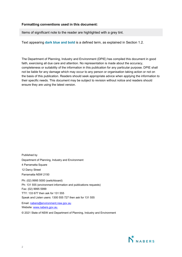#### **Formatting conventions used in this document:**

Items of significant note to the reader are highlighted with a grey tint.

Text appearing **dark blue and bold** is a defined term, as explained in Section 1.2.

The Department of Planning, Industry and Environment (DPIE) has compiled this document in good faith, exercising all due care and attention. No representation is made about the accuracy, completeness or suitability of the information in this publication for any particular purpose. DPIE shall not be liable for any damage which may occur to any person or organisation taking action or not on the basis of this publication. Readers should seek appropriate advice when applying the information to their specific needs. This document may be subject to revision without notice and readers should ensure they are using the latest version.

Published by Department of Planning, Industry and Environment 4 Parramatta Square 12 Darcy Street Parramatta NSW 2150 Ph: (02) 9995 5000 (switchboard) Ph: 131 555 (environment information and publications requests) Fax: (02) 9995 5999 TTY: 133 677 then ask for 131 555 Speak and Listen users: 1300 555 727 then ask for 131 555

Email: [nabers@environment.nsw.gov.au](mailto:nabers@environment.nsw.gov.auU) Website: www.nabers.gov.au

© 2021 State of NSW and Department of Planning, Industry and Environment

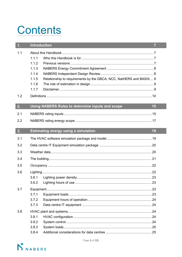# **Contents**

| 1.         | <b>Introduction</b><br>$\overline{7}$                                                                                             |  |
|------------|-----------------------------------------------------------------------------------------------------------------------------------|--|
| 1.1<br>1.2 | 1.1.1<br>1.1.2<br>1.1.3<br>1.1.4<br>1.1.5<br>Relationship to requirements by the GBCA, NCC, NatHERS and BASIX 9<br>1.1.6<br>1.1.7 |  |
| 2.         | Using NABERS Rules to determine inputs and scope<br>15                                                                            |  |
| 2.1        |                                                                                                                                   |  |
| 2.2        |                                                                                                                                   |  |
| 3.         | <b>Estimating energy using a simulation</b><br>19                                                                                 |  |
| 3.1        |                                                                                                                                   |  |
| 3.2        |                                                                                                                                   |  |
| 3.3        |                                                                                                                                   |  |
| 3.4        |                                                                                                                                   |  |
| 3.5        |                                                                                                                                   |  |
| 3.6        |                                                                                                                                   |  |
|            | 3.6.1                                                                                                                             |  |
|            | 3.6.2                                                                                                                             |  |
| 3.7        | 3.7.1                                                                                                                             |  |
|            | 3.7.2                                                                                                                             |  |
|            | 3.7.3                                                                                                                             |  |
| 3.8        |                                                                                                                                   |  |
|            | 3.8.1                                                                                                                             |  |
|            | 3.8.2                                                                                                                             |  |
|            | 3.8.3                                                                                                                             |  |
|            | 3.8.4                                                                                                                             |  |

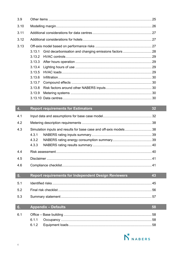$3.9$ 

I

| 3.10                                         |                                                                                               |    |  |  |  |
|----------------------------------------------|-----------------------------------------------------------------------------------------------|----|--|--|--|
| 3.11                                         |                                                                                               |    |  |  |  |
| 3.12                                         |                                                                                               |    |  |  |  |
| 3.13                                         | 3.13.1<br>3.13.2<br>3.13.3<br>3.13.4<br>3.13.5<br>3.13.6<br>3.13.7<br>3.13.8<br>3.13.9        |    |  |  |  |
|                                              |                                                                                               |    |  |  |  |
|                                              |                                                                                               |    |  |  |  |
|                                              | <b>Report requirements for Estimators</b>                                                     | 32 |  |  |  |
|                                              |                                                                                               |    |  |  |  |
| 4.3                                          | Simulation inputs and results for base case and off-axis models 38<br>4.3.1<br>4.3.2<br>4.3.3 |    |  |  |  |
|                                              |                                                                                               |    |  |  |  |
| $\overline{4}$ .<br>4.1<br>4.2<br>4.4<br>4.5 |                                                                                               |    |  |  |  |

| 5.  | <b>Report requirements for Independent Design Reviewers</b> | 43 |
|-----|-------------------------------------------------------------|----|
| 5.1 |                                                             |    |
| 5.2 |                                                             |    |
| 5.3 |                                                             |    |

#### $6.$ **Appendix - Defaults** 58  $6.1$  $6.1.1$  $6.1.2$



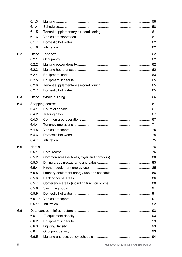|     | 6.1.3  |  |
|-----|--------|--|
|     | 6.1.4  |  |
|     | 6.1.5  |  |
|     | 6.1.6  |  |
|     | 6.1.7  |  |
|     | 6.1.8  |  |
| 6.2 |        |  |
|     | 6.2.1  |  |
|     | 6.2.2  |  |
|     | 6.2.3  |  |
|     | 6.2.4  |  |
|     | 6.2.5  |  |
|     | 6.2.6  |  |
|     | 6.2.7  |  |
| 6.3 |        |  |
| 6.4 |        |  |
|     | 6.4.1  |  |
|     | 6.4.2  |  |
|     | 6.4.3  |  |
|     | 6.4.4  |  |
|     | 6.4.5  |  |
|     | 6.4.6  |  |
|     | 6.4.7  |  |
| 6.5 |        |  |
|     | 6.5.1  |  |
|     | 6.5.2  |  |
|     | 6.5.3  |  |
|     | 6.5.4  |  |
|     | 6.5.5  |  |
|     | 6.5.6  |  |
|     | 6.5.7  |  |
|     | 6.5.8  |  |
|     | 6.5.9  |  |
|     | 6.5.10 |  |
|     | 6.5.11 |  |
| 6.6 |        |  |
|     | 6.6.1  |  |
|     | 6.6.2  |  |
|     | 6.6.3  |  |
|     | 6.6.4  |  |
|     | 6.6.5  |  |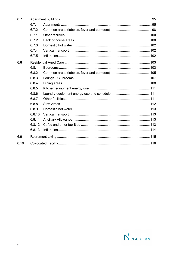| 6.7  |        |  |  |
|------|--------|--|--|
|      | 6.7.1  |  |  |
|      | 6.7.2  |  |  |
|      | 6.7.1  |  |  |
|      | 6.7.2  |  |  |
|      | 6.7.3  |  |  |
|      | 6.7.4  |  |  |
|      | 6.7.5  |  |  |
| 6.8  |        |  |  |
|      | 6.8.1  |  |  |
|      | 6.8.2  |  |  |
|      | 6.8.3  |  |  |
|      | 6.8.4  |  |  |
|      | 6.8.5  |  |  |
|      | 6.8.6  |  |  |
|      | 6.8.7  |  |  |
|      | 6.8.8  |  |  |
|      | 6.8.9  |  |  |
|      | 6.8.10 |  |  |
|      | 6.8.11 |  |  |
|      | 6.8.12 |  |  |
|      | 6.8.13 |  |  |
| 6.9  |        |  |  |
| 6.10 |        |  |  |

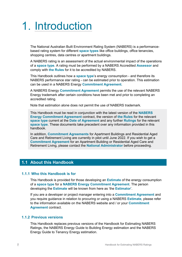## 1. Introduction

The National Australian Built Environment Rating System (NABERS) is a performancebased rating system for different **space types** like office buildings, office tenancies, shopping centres, data centres or apartment buildings.

A NABERS rating is an assessment of the actual environmental impact of the operations of a **space type**. A rating must be performed by a NABERS Accredited **Assessor** and comply with **the Rules** for it to be accredited by NABERS.

This Handbook outlines how a **space type**'s energy consumption - and therefore its NABERS performance star rating - can be estimated prior to operation. This estimation can be used in a NABERS Energy **Commitment Agreement.**

A NABERS Energy **Commitment Agreement** permits the use of the relevant NABERS Energy trademark after certain conditions have been met and prior to completing an accredited rating.

Note that estimation alone does not permit the use of NABERS trademark.

This Handbook must be read in conjunction with the latest version of the **NABERS Energy Commitment Agreement** contract, the version of **the Rules** for the relevant **space type** current at the **Date of Agreement** and any further **Rulings** for the relevant **space type**. These documents take precedent over any information provided in this handbook.

In addition, **Commitment Agreements** for Apartment Buildings and Residential Aged Care and Retirement Living are currently in pilot until June 2022. If you wish to get a **Commitment Agreement** for an Apartment Building or Residential Aged Care and Retirement Living, please contact the **National Administrator** before proceeding.

## **1.1 About this Handbook**

#### **1.1.1 Who this Handbook is for**

This Handbook is provided for those developing an **Estimate** of the energy consumption of a **space type** for a **NABERS Energy Commitment Agreement**. The person developing the **Estimate** will be known from here as 'the **Estimator**'.

If you are a developer or project manager entering into a **Commitment Agreement** and you require guidance in relation to procuring or using a NABERS **Estimate**, please refer to the information available on the NABERS website and / or your **Commitment Agreement** contract.

#### **1.1.2 Previous versions**

This Handbook replaces previous versions of the Handbook for Estimating NABERS Ratings, the NABERS Energy Guide to Building Energy estimation and the NABERS Energy Guide to Tenancy Energy estimation.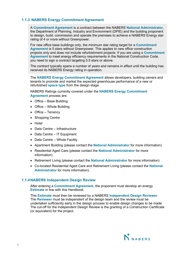#### **1.1.3 NABERS Energy Commitment Agreement**

A **Commitment Agreement** is a contract between the NABERS **National Administrator**, the Department of Planning, Industry and Environment (DPIE) and the building proponent to design, build, commission and operate the premises to achieve a NABERS Energy star rating of 4 or more without Greenpower.

For new office base buildings only, the minimum star rating target for a **Commitment Agreement** is 5 stars without Greenpower. This applies to new office construction projects only and does not include refurbishment projects. If you are using a **Commitment Agreement** to meet energy efficiency requirements in the National Construction Code, you need to sign a contract targeting 5.5 stars or above.

The contract typically spans a number of years and remains in effect until the building has received its NABERS Energy rating in operation.

The **NABERS Energy Commitment Agreement** allows developers, building owners and tenants to promote and market the expected greenhouse performance of a new or refurbished **space type** from the design stage.

NABERS Ratings currently covered under the **NABERS Energy Commitment Agreement** process are:

- Office Base Building
- Office Whole Building
- Office Tenancy
- Shopping Centre
- Hotel
- Data Centre Infrastructure
- Data Centre IT Equipment
- Data Centre Whole Facility
- Apartment Building (please contact the **National Administrator** for more information)
- Residential Aged Care (please contact the **National Administrator** for more information)
- Retirement Living (please contact the **National Administrator** for more information)
- Co-located Residential Aged Care and Retirement Living (please contact the **National Administrator** for more information).

#### **1.1.4NABERS Independent Design Review**

After entering a **Commitment Agreement**, the proponent must develop an energy **Estimate** in line with this Handbook.

This **Estimate** *must* then be reviewed by a NABERS **Independent Design Reviewer**. The **Reviewer** must be independent of the design team and the review must be undertaken sufficiently early in the design process to enable design changes to be made. The cut-off for the Independent Design Review is the granting of a Construction Certificate (or equivalent) for the project.

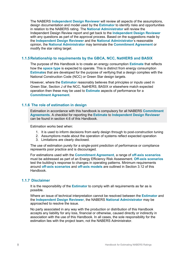The NABERS **Independent Design Reviewer** will review all aspects of the assumptions, design documentation and model used by the **Estimator** to identify risks and opportunities in relation to the NABERS rating. The **National Administrator** will review the Independent Design Review report and get back to the **Independent Design Reviewer** with any questions as part of the approval process. Based on the suggestions made by the **Independent Design Reviewer** and the **National Administrator**'s reasonable opinion, the **National Administrator** may terminate the **Commitment Agreement** or modify the star rating target.

#### **1.1.5Relationship to requirements by the GBCA, NCC, NatHERS and BASIX**

The purpose of this Handbook is to create an energy consumption **Estimate** that reflects how the **space type** is expected to operate. This is distinct from energy consumption **Estimate**s that are developed for the purpose of verifying that a design complies with the National Construction Code (NCC) or Green Star design targets.

However, where the **Estimator** reasonably believes that principles or inputs used in Green Star, Section J of the NCC, NatHERS, BASIX or elsewhere match expected operation then these may be used to **Estimate** aspects of performance for a **Commitment Agreement**.

#### **1.1.6 The role of estimation in design**

Estimation in accordance with this handbook is compulsory for all NABERS **Commitment Agreements**. A checklist for reporting the **Estimate** to **Independent Design Reviewer** can be found in section 4.6 of this Handbook.

Estimation works best when:

- 1. It is used to inform decisions from early design through to post-construction tuning
- 2. Assumptions made about the operation of systems reflect expected operation
- 3. Limitations are clearly disclosed.

The use of estimation purely for a single-point prediction of performance or compliance represents poor practice and is discouraged.

For estimations used with the **Commitment Agreement**, a range of **off-axis scenarios** must be addressed as part of an Energy Efficiency Risk Assessment. **Off-axis scenarios** test the building's response to changes in operating patterns. Minimum requirements around **off-axis scenarios** and **off-axis models** are outlined in Section 3.12 of this Handbook.

#### **1.1.7 Disclaimer**

It is the responsibility of the **Estimator** to comply with all requirements as far as is possible.

Where an issue of technical interpretation cannot be resolved between the **Estimator** and the **Independent Design Reviewer**, the NABERS **National Administrator** may be approached to resolve the issue.

No party associated in any way with the production or distribution of this Handbook accepts any liability for any loss, financial or otherwise, caused directly or indirectly in association with the use of this Handbook. In all cases, the sole responsibility for the estimation lies with the project team, not the NABERS Administrator.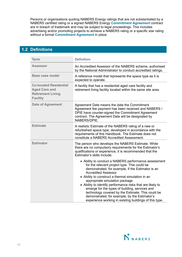Persons or organisations quoting NABERS Energy ratings that are not substantiated by a NABERS certified rating or a signed NABERS Energy **Commitment Agreement** contract are in breach of trademark and may be subject to legal proceedings. This includes advertising and/or promoting projects to achieve a NABERS rating or a specific star rating without a formal **Commitment Agreement** in place.

## **1.2 Definitions**

| <b>Term</b>                                                                                          | <b>Definition</b>                                                                                                                                                                                                                                                                                                                                                                                                                                                                                                                                              |
|------------------------------------------------------------------------------------------------------|----------------------------------------------------------------------------------------------------------------------------------------------------------------------------------------------------------------------------------------------------------------------------------------------------------------------------------------------------------------------------------------------------------------------------------------------------------------------------------------------------------------------------------------------------------------|
| <b>Assessor</b>                                                                                      | An Accredited Assessor of the NABERS scheme, authorised<br>by the National Administrator to conduct accredited ratings.                                                                                                                                                                                                                                                                                                                                                                                                                                        |
| <b>Base case model</b>                                                                               | A reference model that represents the space type as it is<br>expected to operate.                                                                                                                                                                                                                                                                                                                                                                                                                                                                              |
| <b>Co-located Residential</b><br><b>Aged Care and</b><br><b>Retirement Living</b><br><b>Facility</b> | A facility that has a residential aged care facility and<br>retirement living facility located within the same site area.                                                                                                                                                                                                                                                                                                                                                                                                                                      |
| <b>Date of Agreement</b>                                                                             | Agreement Date means the date the Commitment<br>Agreement fee payment has been received and NABERS /<br>DPIE have counter-signed the Commitment Agreement<br>contract. The Agreement Date will be designated by<br>NABERS/DPIE.                                                                                                                                                                                                                                                                                                                                |
| <b>Estimate</b>                                                                                      | A realistic Estimate of the NABERS rating of a new or<br>refurbished space type, developed in accordance with the<br>requirements of this Handbook. The Estimate does not<br>constitute a NABERS Accredited Assessment.                                                                                                                                                                                                                                                                                                                                        |
| <b>Estimator</b>                                                                                     | The person who develops the NABERS Estimate. While<br>there are no compulsory requirements for the Estimator's<br>qualifications or experience, it is recommended that the<br>Estimator's skills include:                                                                                                                                                                                                                                                                                                                                                      |
|                                                                                                      | • Ability to conduct a NABERS performance assessment<br>for the relevant project type. This could be<br>demonstrated, for example, if the Estimator is an<br><b>Accredited Assessor</b><br>• Ability to construct a thermal simulation in an<br>appropriate simulation package<br>• Ability to identify performance risks that are likely to<br>emerge for the types of building, services and<br>technology covered by the Estimate. This could be<br>demonstrated, for example, by the Estimator's<br>experience working in existing buildings of this type. |

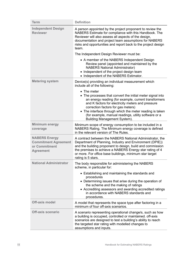| <b>Term</b>                                                                              | <b>Definition</b>                                                                                                                                                                                                                                                                                                                                                                       |
|------------------------------------------------------------------------------------------|-----------------------------------------------------------------------------------------------------------------------------------------------------------------------------------------------------------------------------------------------------------------------------------------------------------------------------------------------------------------------------------------|
| <b>Independent Design</b><br><b>Reviewer</b>                                             | A person appointed by the project proponent to review the<br>NABERS Estimate for compliance with this Handbook. The<br>Reviewer will also assess all aspects of the design,<br>documentation and project team assumptions for NABERS<br>risks and opportunities and report back to the project design<br>team.                                                                          |
|                                                                                          | The Independent Design Reviewer must be:                                                                                                                                                                                                                                                                                                                                                |
|                                                                                          | • A member of the NABERS Independent Design<br>Review panel (appointed and maintained by the<br><b>NABERS National Administrator)</b><br>• Independent of the project design team<br>• Independent of the NABERS Estimator.                                                                                                                                                             |
| <b>Metering system</b>                                                                   | Device(s) providing an individual measurement which<br>include all of the following:                                                                                                                                                                                                                                                                                                    |
|                                                                                          | • The meter<br>• The processes that convert the initial meter signal into<br>an energy reading (for example, current transformers<br>and K factors for electricity meters and pressure<br>correction factors for gas meters)<br>• The interface through which the meter reading is taken<br>(for example, manual readings, utility software or a<br><b>Building Management System).</b> |
| <b>Minimum energy</b><br>coverage                                                        | Minimum scope of energy consumption to be included in a<br>NABERS Rating. The Minimum energy coverage is defined<br>in the relevant version of The Rules.                                                                                                                                                                                                                               |
| <b>NABERS Energy</b><br><b>Commitment Agreement</b><br>or Commitment<br><b>Agreement</b> | A contract between the NABERS National Administrator, the<br>Department of Planning, Industry and Environment (DPIE))<br>and the building proponent to design, build and commission<br>the premises to achieve a NABERS Energy star rating of 4<br>or more. For office base buildings, minimum star target<br>rating is 5 stars.                                                        |
| <b>National Administrator</b>                                                            | The body responsible for administering the NABERS<br>scheme, in particular for:                                                                                                                                                                                                                                                                                                         |
|                                                                                          | • Establishing and maintaining the standards and<br>procedures<br>• Determining issues that arise during the operation of<br>the scheme and the making of ratings<br>• Accrediting assessors and awarding accredited ratings<br>in accordance with NABERS standards and<br>procedures.                                                                                                  |
| <b>Off-axis model</b>                                                                    | A model that represents the space type after factoring in a<br>minimum of four off-axis scenarios.                                                                                                                                                                                                                                                                                      |
| <b>Off-axis scenario</b>                                                                 | A scenario representing operational change/s, such as how<br>a building is occupied, controlled or maintained. off-axis<br>scenarios are designed to test a building's ability to reach<br>the targeted star rating with modelled changes to<br>assumptions and inputs.                                                                                                                 |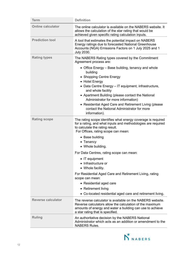| <b>Term</b>               | <b>Definition</b>                                                                                                                                                                                                                                                                                                                                                                                               |
|---------------------------|-----------------------------------------------------------------------------------------------------------------------------------------------------------------------------------------------------------------------------------------------------------------------------------------------------------------------------------------------------------------------------------------------------------------|
| <b>Online calculator</b>  | The online calculator is available on the NABERS website. It<br>allows the calculation of the star rating that would be<br>achieved given specific rating calculation inputs.                                                                                                                                                                                                                                   |
| <b>Prediction tool</b>    | A tool that estimates the potential impact on NABERS<br>Energy ratings due to forecasted National Greenhouse<br>Accounts (NGA) Emissions Factors on 1 July 2025 and 1<br><b>July 2030.</b>                                                                                                                                                                                                                      |
| <b>Rating types</b>       | The NABERS Rating types covered by the Commitment<br>Agreement process are:                                                                                                                                                                                                                                                                                                                                     |
|                           | • Office Energy - Base building, tenancy and whole<br>building<br>• Shopping Centre Energy<br>• Hotel Energy<br>• Data Centre Energy - IT equipment, infrastructure,<br>and whole facility<br>• Apartment Building (please contact the National<br>Administrator for more information)<br>• Residential Aged Care and Retirement Living (please<br>contact the National Administrator for more<br>information). |
| <b>Rating scope</b>       | The rating scope identifies what energy coverage is required<br>for a rating, and what inputs and methodologies are required<br>to calculate the rating result.<br>For Offices, rating scope can mean:                                                                                                                                                                                                          |
|                           | • Base building<br>• Tenancy<br>• Whole building.                                                                                                                                                                                                                                                                                                                                                               |
|                           | For Data Centres, rating scope can mean:                                                                                                                                                                                                                                                                                                                                                                        |
|                           | • IT equipment<br>• Infrastructure or<br>• Whole facility.                                                                                                                                                                                                                                                                                                                                                      |
|                           | For Residential Aged Care and Retirement Living, rating<br>scope can mean:                                                                                                                                                                                                                                                                                                                                      |
|                           | • Residential aged care                                                                                                                                                                                                                                                                                                                                                                                         |
|                           | • Retirement living                                                                                                                                                                                                                                                                                                                                                                                             |
|                           | • Co-located residential aged care and retirement living.                                                                                                                                                                                                                                                                                                                                                       |
| <b>Reverse calculator</b> | The reverse calculator is available on the NABERS website.<br>Reverse calculators allow the calculation of the maximum<br>amounts of energy and water a building can use to achieve<br>a star rating that is specified.                                                                                                                                                                                         |
| <b>Ruling</b>             | An authoritative decision by the NABERS National<br>Administrator which acts as an addition or amendment to the<br><b>NABERS Rules.</b>                                                                                                                                                                                                                                                                         |

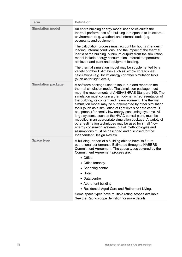| <b>Term</b>               | <b>Definition</b>                                                                                                                                                                                                                                                                                                                                                                                                                                                                                                                                                                                                                                                                                                                                                                                                              |
|---------------------------|--------------------------------------------------------------------------------------------------------------------------------------------------------------------------------------------------------------------------------------------------------------------------------------------------------------------------------------------------------------------------------------------------------------------------------------------------------------------------------------------------------------------------------------------------------------------------------------------------------------------------------------------------------------------------------------------------------------------------------------------------------------------------------------------------------------------------------|
| <b>Simulation model</b>   | An entire building energy model used to calculate the<br>thermal performance of a building in response to its external<br>environment (e.g. weather) and internal loads (e.g.<br>occupants and equipment).                                                                                                                                                                                                                                                                                                                                                                                                                                                                                                                                                                                                                     |
|                           | The calculation process must account for hourly changes in<br>loading, internal conditions, and the impact of the thermal<br>inertia of the building. Minimum outputs from the simulation<br>model include energy consumption, internal temperatures<br>achieved and plant and equipment loading.                                                                                                                                                                                                                                                                                                                                                                                                                                                                                                                              |
|                           | The thermal simulation model may be supplemented by a<br>variety of other Estimates such as simple spreadsheet<br>calculations (e.g. for lift energy) or other simulation tools<br>(such as for light levels).                                                                                                                                                                                                                                                                                                                                                                                                                                                                                                                                                                                                                 |
| <b>Simulation package</b> | A software package used to input, run and report on the<br>thermal simulation model. The simulation package must<br>meet the requirements of ANSI/ASHRAE Standard 140. The<br>simulation must contain a thermodynamic representation of<br>the building, its content and its environment. The thermal<br>simulation model may be supplemented by other simulation<br>tools (such as a simulation of light levels or data centre IT<br>equipment) for small / low energy consuming systems. All<br>large systems, such as the HVAC central plant, must be<br>modelled in an appropriate simulation package. A variety of<br>other estimation techniques may be used for small / low<br>energy consuming systems, but all methodologies and<br>assumptions must be described and disclosed for the<br>Independent Design Review. |
| <b>Space type</b>         | A building, or part of a building able to have its future<br>operational performance Estimated through a NABERS<br>Commitment Agreement. The space types covered by the<br>Commitment Agreement process are:<br>• Office<br>• Office tenancy<br>• Shopping centre<br>• Hotel<br>Data centre<br>• Apartment building<br>• Residential Aged Care and Retirement Living.<br>Some space types have multiple rating scopes available.<br>See the Rating scope definition for more details.                                                                                                                                                                                                                                                                                                                                          |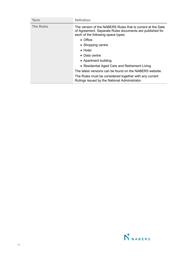| <b>Term</b>      | <b>Definition</b>                                                                                                                                             |
|------------------|---------------------------------------------------------------------------------------------------------------------------------------------------------------|
| <b>The Rules</b> | The version of the NABERS Rules that is current at the Date<br>of Agreement. Separate Rules documents are published for<br>each of the following space types: |
|                  | • Office                                                                                                                                                      |
|                  | • Shopping centre                                                                                                                                             |
|                  | $\bullet$ Hotel                                                                                                                                               |
|                  | $\bullet$ Data centre                                                                                                                                         |
|                  | • Apartment building                                                                                                                                          |
|                  | • Residential Aged Care and Retirement Living.                                                                                                                |
|                  | The latest versions can be found on the NABERS website.                                                                                                       |
|                  | The Rules must be considered together with any current<br>Rulings issued by the National Administrator.                                                       |

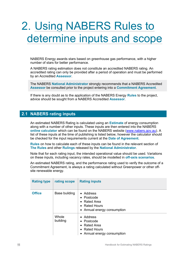## Using NABERS Rules to determine inputs and scope

NABERS Energy awards stars based on greenhouse gas performance, with a higher number of stars for better performance.

A NABERS rating estimation does not constitute an accredited NABERS rating. An accredited rating can only be provided after a period of operation and must be performed by an Accredited **Assessor**.

The NABERS **National Administrator** strongly recommends that a NABERS Accredited **Assessor** be consulted prior to the project entering into a **Commitment Agreement**.

If there is any doubt as to the application of the NABERS Energy **Rules** to the project, advice should be sought from a NABERS Accredited **Assessor**.

## **2.1 NABERS rating inputs**

An estimated NABERS Rating is calculated using an **Estimate** of energy consumption along with a number of other inputs. These inputs are then entered into the NABERS **online calculator** which can be found on the NABERS website [\(www.nabers.gov.au\)](http://www.nabers.gov.au/). A list of these inputs at the time of publishing is listed below, however the calculator should be checked for the input requirements current at the **Date of Agreement.**

**Rules** on how to calculate each of these inputs can be found in the relevant section of **The Rules** and other **Rulings** released by the **National Administrator**.

Note that for each rating input, the intended operational value should be used. Variations on these inputs, including vacancy rates, should be modelled in **off-axis scenarios**.

An estimated NABERS rating, and the performance rating used to verify the outcome of a Commitment Agreement, is always a rating calculated without Greenpower or other offsite renewable energy.

| <b>Rating type</b> | rating scope      | <b>Rating inputs</b>                                                                                                         |
|--------------------|-------------------|------------------------------------------------------------------------------------------------------------------------------|
| <b>Office</b>      | Base building     | • Address<br>$\bullet$ Postcode<br>Rated Area<br>$\bullet$<br>• Rated Hours<br>• Annual energy consumption                   |
|                    | Whole<br>building | • Address<br>$\bullet$ Postcode<br>Rated Area<br>$\bullet$<br><b>Rated Hours</b><br>$\bullet$<br>• Annual energy consumption |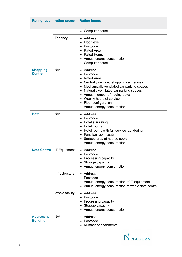| <b>Rating type</b>                  | rating scope        | <b>Rating inputs</b>                                                                                                                                                                                                                                                                                   |
|-------------------------------------|---------------------|--------------------------------------------------------------------------------------------------------------------------------------------------------------------------------------------------------------------------------------------------------------------------------------------------------|
|                                     |                     | • Computer count                                                                                                                                                                                                                                                                                       |
|                                     | Tenancy             | Address<br>Floor/level<br>Postcode<br><b>Rated Area</b><br>• Rated Hours<br>• Annual energy consumption<br>Computer count                                                                                                                                                                              |
| <b>Shopping</b><br><b>Centre</b>    | N/A                 | Address<br>Postcode<br><b>Rated Area</b><br>• Centrally serviced shopping centre area<br>• Mechanically ventilated car parking spaces<br>Naturally ventilated car parking spaces<br>• Annual number of trading days<br>• Weekly hours of service<br>• Floor configuration<br>Annual energy consumption |
| <b>Hotel</b>                        | N/A                 | Address<br>Postcode<br>• Hotel star rating<br>• Hotel rooms<br>Hotel rooms with full-service laundering<br>• Function room seats<br>• Surface area of heated pools<br>• Annual energy consumption                                                                                                      |
| <b>Data Centre</b>                  | <b>IT Equipment</b> | • Address<br>Postcode<br>• Processing capacity<br>• Storage capacity<br>• Annual energy consumption                                                                                                                                                                                                    |
|                                     | Infrastructure      | • Address<br>Postcode<br>Annual energy consumption of IT equipment<br>• Annual energy consumption of whole data centre                                                                                                                                                                                 |
|                                     | Whole facility      | Address<br>Postcode<br>• Processing capacity<br>Storage capacity<br>٠<br>• Annual energy consumption                                                                                                                                                                                                   |
| <b>Apartment</b><br><b>Building</b> | N/A                 | • Address<br>Postcode<br>Number of apartments                                                                                                                                                                                                                                                          |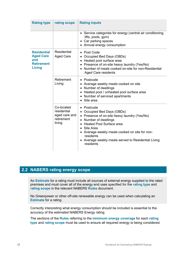| <b>Rating type</b>                                                                  | rating scope                                                       | <b>Rating inputs</b>                                                                                                                                                                                                                                                                                                                                        |
|-------------------------------------------------------------------------------------|--------------------------------------------------------------------|-------------------------------------------------------------------------------------------------------------------------------------------------------------------------------------------------------------------------------------------------------------------------------------------------------------------------------------------------------------|
|                                                                                     |                                                                    | • Service categories for energy (central air conditioning,<br>lifts, pools, gym)<br>• Car parking spaces<br>• Annual energy consumption                                                                                                                                                                                                                     |
| <b>Residential</b><br><b>Aged Care</b><br>and<br><b>Retirement</b><br><b>Living</b> | Residential<br><b>Aged Care</b>                                    | • Post Code<br>Occupied Bed Days (OBDs)<br>Heated pool surface area<br>$\bullet$<br>• Presence of on-site heavy laundry (Yes/No)<br>Number of meals cooked on-site for non-Residential<br><b>Aged Care residents</b>                                                                                                                                        |
|                                                                                     | Retirement<br>Living                                               | • Postcode<br>Average weekly meals cooked on site<br>Number of dwellings<br>Heated pool / unheated pool surface area<br>$\bullet$<br>Number of serviced apartments<br>$\bullet$<br>Site area                                                                                                                                                                |
|                                                                                     | Co-located<br>residential<br>aged care and<br>retirement<br>living | Postcode<br>$\bullet$<br>Occupied Bed Days (OBDs)<br>Presence of on-site heavy laundry (Yes/No)<br>Number of dwellings<br>$\bullet$<br><b>Heated Pool Surface area</b><br>$\bullet$<br>Site Area<br>$\bullet$<br>• Average weekly meals cooked on site for non-<br>residents<br>Average weekly meals served to Residential Living<br>$\bullet$<br>residents |

## **2.2 NABERS rating energy scope**

An **Estimate** for a rating must include all sources of external energy supplied to the rated premises and must cover all of the energy end uses specified for the **rating type** and **rating scope** in the relevant NABERS **Rules** document.

No Greenpower or other off-site renewable energy can be used when calculating an **Estimate** for a rating.

Correctly interpreting what energy consumption should be included is essential to the accuracy of the estimated NABERS Energy rating.

The sections of the **Rules** referring to the **minimum energy coverage** for each **rating type** and **rating scope** must be used to ensure all required energy is being considered.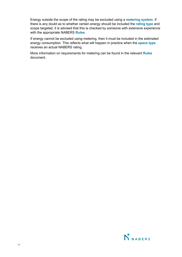Energy outside the scope of the rating may be excluded using a **metering system**. If there is any doubt as to whether certain energy should be included the **rating type** and scope targeted, it is advised that this is checked by someone with extensive experience with the appropriate NABERS **Rules**.

If energy cannot be excluded using metering, then it must be included in the estimated energy consumption. This reflects what will happen in practice when the **space type** receives an actual NABERS rating.

More information on requirements for metering can be found in the relevant **Rules**  document.

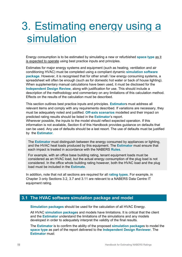## Estimating energy using a simulation

Energy consumption is to be estimated by simulating a new or refurbished **space type** as it is expected to operate using best practice inputs and principles.

Estimates for major energy systems and equipment (such as heating, ventilation and air conditioning HVAC) must be completed using a compliant dynamic **simulation software package**. However, it is recognised that for other small / low energy consuming systems, a spreadsheet will often be enough (such as for domestic hot water or back of house lighting). When supplementary manual calculations have been used, it must be disclosed for the **Independent Design Review**, along with justification for use. This should include a description of the methodology and commentary on any limitations of this calculation method. Effects on the results of the calculation must be described.

This section outlines best practice inputs and principles. **Estimator**s must address all relevant items and comply with any requirements described. If variations are necessary, they must be adequately noted and justified. **Off-axis scenarios** modelled and their impact on predicted rating results should be listed in the **Estimator**'s report. Wherever possible, the inputs to the model should reflect expected operation. If this information is not available, Section 6 of this Handbook provides guidance on defaults that can be used. Any use of defaults should be a last resort. The use of defaults must be justified by the **Estimator**.

The **Estimator** must distinguish between the energy consumed by appliances or lighting, and the HVAC heat loads produced by this equipment. The **Estimator** must ensure that each impact is treated in accordance with the NABERS **Rules**.

For example, with an office base building rating, tenant equipment loads must be considered as an HVAC load, but the actual energy consumption of the plug load is not considered. In the office whole building rating however, both the HVAC load and the plug load must be included in the **Estimate**.

In addition, note that not all sections are required for all **rating types**. For example, in Chapter 3 only Sections 3.2, 3.7 and 3.11 are relevant to a NABERS Data Centre IT equipment rating.

## **3.1 The HVAC software simulation package and model**

**Simulation packages** should be used for the calculation of all HVAC Energy.

All HVAC **simulation package**s and models have limitations. It is critical that the client and the **Estimator** understand the limitations of the simulations and any models developed in order to adequately interpret the validity of the final results.

The **Estimator** is to confirm the ability of the proposed **simulation package**s to model the **space type** as part of the report delivered to the **Independent Design Reviewer**. The **Estimator** must: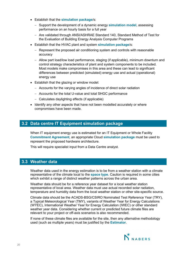- Establish that the **simulation package**/s:
	- − Support the development of a dynamic energy **simulation model**, assessing performance on an hourly basis for a full year
	- − Are validated through ANSI/ASHRAE Standard 140, Standard Method of Test for the Evaluation of Building Energy Analysis Computer Programs
- Establish that the HVAC plant and system **simulation package**/s:
	- − Represent the proposed air conditioning system and controls with reasonable accuracy
	- − Allow part load/low load performance, staging (if applicable), minimum downturn and control strategy characteristics of plant and system components to be included. Most models make compromises in this area and these can lead to significant differences between predicted (simulated) energy use and actual (operational) energy use
- Establish that the glazing or window model:
	- − Accounts for the varying angles of incidence of direct solar radiation
	- − Accounts for the total U-value and total SHGC performance
	- − Calculates daylighting effects (if applicable)
- Identify any other aspects that have not been modelled accurately or where compromises have been made.

## **3.2 Data centre IT Equipment simulation package**

When IT equipment energy use is estimated for an IT Equipment or Whole Facility **Commitment Agreement**, an appropriate Cloud **simulation package** must be used to represent the proposed hardware architecture.

This will require specialist input from a Data Centre analyst.

## **3.3 Weather data**

Weather data used in the energy estimation is to be from a weather station with a climate representative of the climate local to the **space type**. Caution is required in some cities which exhibit a range of distinct weather patterns across the urban area.

Weather data should be for a reference year dataset for a local weather station representative of local area. Weather data must use actual recorded solar radiation, temperature and humidity data from the local weather station or other site-specific source.

Climate data should be the ACADS-BSG/CSIRO Nominated Test Reference Year (TRY), a Typical Meteorological Year (TMY), variants of Weather Year for Energy Calculations (WYEC), International Weather Year for Energy Calculation (IWEC) or other standard weather year data. Considering whether current or predicted future climate files are relevant to your project or off-axis scenarios is also recommended.

If none of these climate files are available for the site, then any alternative methodology used (such as multiple years) must be justified by the **Estimator**.

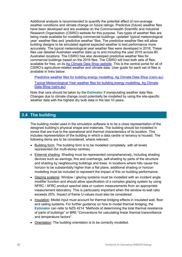Additional analysis is recommended to quantify the potential effect of non-average weather conditions and climate change on future ratings. Predictive (future) weather files have been developed and are available on the Commonwealth Scientific and Industrial Research Organisation (CSIRO) website for this purpose. Two types of weather files are being made available for modelling commercial buildings: updated 'typical meteorological year' weather files and 'predictive weather' files. The predictive weather files will allow building designs to be simulated against expected weather to test performance more accurately. The typical meteorological year weather files were developed in 2016. These files use detailed Australian weather data up to and including the year 2015 across 80 Australian locations. The CSIRO has also developed predictive weather files for commercial buildings based on the 2016 files. The CSIRO will host both sets of files, available for free, on its [Ag Climate Data Shop website.](https://acds.csiro.au/) This is the central portal for all of CSIRO's agriculture-related weather and climate data. User guide for each set of files is available in links below:

[Predictive weather files for building energy modelling. Ag Climate Data Shop \(csiro.au\)](https://acds.csiro.au/future-climate-predictive-weather)

[Typical Meteorological Year weather files for building energy modelling. Ag Climate](https://acds.csiro.au/future-climate-typical-meteorological-year)  [Data Shop \(csiro.au\)](https://acds.csiro.au/future-climate-typical-meteorological-year)

Note that care should be taken by the **Estimator** if manipulating weather data files. Changes due to climate change could potentially be modelled by using the site-specific weather data with the highest dry bulb data in the last 10 years.

## **3.4 The building**

The building model used in the simulation software is to be a close representation of the designed building's physical shape and materials. The building should be modelled in zones that are true to the operational and thermal characteristics of its location. This includes representation of the building in which a data centre or tenancy is housed. The following items are to be considered, where relevant:

- Building form: The building form is to be modelled completely, with all levels represented (for multi-storey centres).
- External shading: Shading must be represented comprehensively, including shading devices such as awnings, fins and overhangs, self-shading by parts of the structure and shading by neighbouring buildings and trees. In locations where hills cause the horizon to be substantially higher than a flat plane, additional shading or horizon modelling must be included to represent the impact of this on building performance.
- Glazing systems: Window / glazing systems must be modelled with an incident angle modifier function and should allow specification of a complex glazing system by using NFRC / AFRC product spectral data or custom measurements from an appropriate measurement laboratory. This is particularly important when the window-to-wall ratio exceeds 25%. Impact of frame U-values must also be considered.
- Insulation: Model input must account for thermal bridging effects in insulated wall, floor and ceiling systems. For further guidance on how to model thermal bridging, the **Estimator** can refer to NZS 4214 "Methods of determining the total thermal resistance of parts of buildings" or BRE "Conventions for calculating linear thermal transmittance and temperature factors".
- Orientation: The building orientation is to be correctly modelled.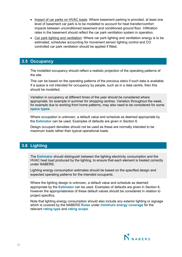- Impact of car parks on HVAC loads: Where basement parking is provided, at least one level of basement car park is to be modelled to account for heat transfer/comfort impacts between unconditioned basement and conditioned ground floor. Infiltration rates in the basement should reflect the car park ventilation system in operation.
- Car park lighting and ventilation: Where car park lighting and ventilation energy is to be estimated, schedules accounting for movement sensor lighting control and CO controlled car park ventilation should be applied if fitted.

## **3.5 Occupancy**

The modelled occupancy should reflect a realistic projection of the operating patterns of the site.

This can be based on the operating patterns of the previous site/s if such data is available. If a space is not intended for occupancy by people, such as in a data centre, then this should be modelled.

Variation in occupancy at different times of the year should be considered where appropriate, for example in summer for shopping centres. Variation throughout the week, for example due to working from home patterns, may also need to be considered for some **space types**.

Where occupation is unknown, a default value and schedule as deemed appropriate by the **Estimator** can be used. Examples of defaults are given in Section 6.

Design occupant densities should not be used as these are normally intended to be maximum loads rather than typical operational loads.

## **3.6 Lighting**

The **Estimator** should distinguish between the lighting electricity consumption and the HVAC heat load produced by the lighting, to ensure that each element is treated correctly under NABERS.

Lighting energy consumption estimates should be based on the specified design and expected operating patterns for the intended occupants.

Where the lighting design is unknown, a default value and schedule as deemed appropriate by the **Estimator** can be used. Examples of defaults are given in Section 6, however the appropriateness of these default values should be considered in relation to project specifics.

Note that lighting energy consumption should also include any exterior lighting or signage which is covered by the NABERS **Rules** under **minimum energy coverage** for the relevant **rating type** and **rating scope**.

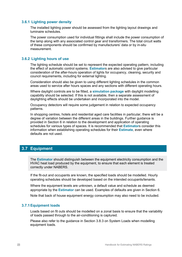#### **3.6.1 Lighting power density**

The installed lighting power should be assessed from the lighting layout drawings and luminaire schedules.

The power consumption used for individual fittings shall include the power consumption of the lamp along with any associated control gear and transformers. The total circuit watts of these components should be confirmed by manufacturers' data or by in-situ measurement.

#### **3.6.2 Lighting hours of use**

The lighting schedule should be set to represent the expected operating pattern, including the effect of automatic control systems. **Estimator**s are also advised to give particular consideration of the after-hours operation of lights for occupancy, cleaning, security and council requirements, including for external lighting.

Consideration should also be given to using different lighting schedules in the common areas used to service after hours spaces and any sections with different operating hours.

Where daylight controls are to be fitted, a **simulation package** with daylight modelling capability should be selected. If this is not available, then a separate assessment of daylighting effects should be undertaken and incorporated into the model.

Occupancy detectors will require some judgement in relation to expected occupancy patterns.

In shopping centres, hotels and residential aged care facilities in particular, there will be a degree of variation between the different areas in the buildings. Further guidance is provided in Section 6 in relation to the development and application of operating schedules for various types of spaces. It is recommended that **Estimator**s consider this information when establishing operating schedules for their **Estimate**, even where defaults are not used.

## **3.7 Equipment**

The **Estimator** should distinguish between the equipment electricity consumption and the HVAC heat load produced by the equipment, to ensure that each element is treated correctly under NABERS.

If the fit-out and occupants are known, the specified loads should be modelled. Hourly operating schedules should be developed based on the intended occupants/tenants.

Where the equipment levels are unknown, a default value and schedule as deemed appropriate by the **Estimator** can be used. Examples of defaults are given in Section 6.

Note that back of house equipment energy consumption may also need to be included.

#### **3.7.1Equipment loads**

Loads based on fit outs should be modelled on a zonal basis to ensure that the variability of loads passed through to the air-conditioning is captured.

Please also refer to the guidance in Section 3.8.3 on System Loads when modelling equipment loads.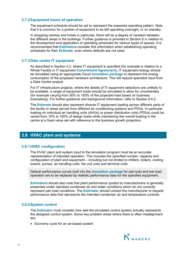#### **3.7.2Equipment hours of operation**

The equipment schedule should be set to represent the expected operating pattern. Note that it is common for a portion of equipment to be left operating overnight, or on standby.

In shopping centres and hotels in particular, there will be a degree of variation between the different areas in the buildings. Further guidance is provided in Section 6 in relation to the development and application of operating schedules for various types of spaces. It is recommended that **Estimator**s consider this information when establishing operating schedules for their **Estimate**, even where defaults are not used.

#### **3.7.3Data centre IT equipment**

As described in Section 3.2, where IT equipment is specified (for example in relation to a Whole Facility or IT equipment **Commitment Agreement**), IT equipment energy should be simulated using an appropriate Cloud **simulation package** to represent the energy consumption of the proposed hardware architecture. This will require specialist input from a Data Centre analyst.

For IT infrastructure projects, where the details of IT equipment selections are unlikely to be available, a range of equipment loads should be simulated to allow for uncertainties (for example varying from 50% to 150% of the projected load based on business forecasting). For further guidance and background information, refer to Section 6.6.2.

The **Estimate** should also represent diverse IT equipment loading across different parts of the facility in areas served from different air conditioning systems and PDUs. In particular, loading on individual air handling units (AHUs) or power distribution units (PDUs) could be varied from 10% to 100% of design loads while maintaining the overall loading in the centre at a fixed value set with reference to the business growth projection.

## **3.8 HVAC plant and systems**

#### **3.8.1HVAC configuration**

The HVAC plant and system input to the simulation program must be an accurate representation of intended operation. This includes the specified number, capacity and configuration of plant and equipment – including but not limited to chillers, boilers, cooling towers, pumps, air handling units, fan coil units and terminal units.

Default performance curves built into the **simulation package** for part load and low load operation are to be replaced by realistic performance data for the specified equipment.

**Estimator**s should also note that plant performance quoted by manufacturers is generally presented under standard condenser air and water conditions which do not correctly represent part load conditions. The **Estimator** should contact the manufacturer to request performance data that represents the intended condenser air and temperature controls.

#### **3.8.2System control**

The **Estimator** must consider how well the simulated control system actually represents the designed control system. Some key problem areas where there is often misalignment are:

• Economy cycle for an air-based system

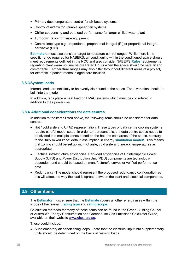- Primary duct temperature control for air-based systems
- Control of airflow for variable speed fan systems
- Chiller sequencing and part load performance for larger chilled water plant
- Turndown ratios for large equipment
- Control loop type e.g. proportional, proportional-integral (PI) or proportional-integralderivative (PID).

**Estimator**s must also consider target temperature control ranges. While there is no specific range required for NABERS, air conditioning within the conditioned space should meet requirements outlined in the NCC and also consider NABERS **Rules** requirements regarding plant warm up time before Rated Hours when the space should be safe, lit and comfortable. Temperature ranges may also differ throughout different areas of a project, for example in patient rooms in aged care facilities.

#### **3.8.3System loads**

Internal loads are not likely to be evenly distributed in the space. Zonal variation should be built into the model.

In addition, fans place a heat load on HVAC systems which must be considered in addition to their power use.

#### **3.8.4 Additional considerations for data centres**

In addition to the items listed above, the following items should be considered for data centres:

- Hot / cold aisle and UFAD representation: These types of data centre cooling systems require careful model setup. In order to represent this, the data centre space needs to be divided into multiple zones based on the hot and cold areas of the space, contrary to the "fully mixed zone" default assumption in energy **simulation model**s. This means that zoning should be set up with hot aisle, cold aisle and in-rack temperatures as appropriate.
- Electrical infrastructure efficiencies: Part-load efficiencies of Uninterruptible Power Supply (UPS) and Power Distribution Unit (PDU) components are technologydependent and should be based on manufacturer's curves or verified performance data.
- Redundancy: The model should represent the proposed redundancy configuration as this will affect the way the load is spread between the plant and electrical components.

## **3.9 Other items**

The **Estimator** must ensure that the **Estimate** covers all other energy uses within the scope of the relevant **rating type** and **rating scope**.

Calculation methods for many of these items can be found in the Green Building Council of Australia's Energy Consumption and Greenhouse Gas Emissions Calculator Guide, available on their website [www.gbca.org.au.](http://www.gbca.org.au/)

These could include:

• Supplementary air conditioning loops – note that the electrical input into supplementary units should be determined on the basis of realistic loads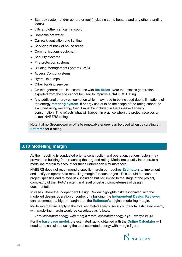- Standby system and/or generator fuel (including sump heaters and any other standing loads)
- Lifts and other vertical transport
- Domestic hot water
- Car park ventilation and lighting
- Servicing of back of house areas
- Communications equipment
- Security systems
- Fire protection systems
- Building Management System (BMS)
- Access Control systems
- Hydraulic pumps
- Other building services
- On-site generation in accordance with **the Rules**. Note that excess generation exported from the site cannot be used to improve a NABERS Rating
- Any additional energy consumption which may need to be included due to limitations of the energy **metering system**. If energy use outside the scope of the rating cannot be excluded using metering, then it must be included in the assessed energy consumption. This reflects what will happen in practice when the project receives an actual NABERS rating.

Note that no Greenpower or off-site renewable energy can be used when calculating an **Estimate** for a rating.

## **3.10 Modelling margin**

As the modelling is conducted prior to construction and operation, various factors may prevent the building from reaching the targeted rating. Modellers usually incorporate a modelling margin to account for these unforeseen circumstances.

NABERS does not recommend a specific margin but requires **Estimator**s to implement and justify an appropriate modelling margin for each project. This should be based on project specifics and related risk, including but not limited to the stage of the project, complexity of the HVAC system and level of detail / completeness of design documentation.

In cases where the Independent Design Review highlights risks associated with the modelled design, operation or control of a building, the **Independent Design Reviewer** can recommend a higher margin than the **Estimator**'s original modelling margin.

Modelling margins apply to the total estimated energy. As such, the total estimated energy with modelling margin would be calculated as follows:

*Total estimated energy with margin = total estimated energy \* (1 + margin in %)*

For the **base case model**, the estimated rating obtained with the **Online Calculator** will need to be calculated using the total estimated energy with margin figure.

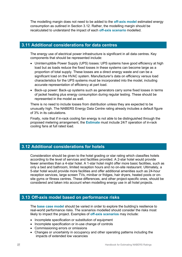The modelling margin does not need to be added to the **off-axis model** estimated energy consumption as outlined in Section 3.12. Rather, the modelling margin should be recalculated to understand the impact of each **off-axis scenario** modelled.

### **3.11 Additional considerations for data centres**

The energy use of electrical power infrastructure is significant in all data centres. Key components that should be represented include:

- Uninterruptible Power Supply (UPS) losses*:* UPS systems have good efficiency at high load but as loads reduce the fixed losses in these systems can become large as a proportion of total supply. These losses are a direct energy waste and can be a significant load on the HVAC system. Manufacturer's data on efficiency versus load characteristics for the UPS systems must be incorporated into the model, including accurate representation of efficiency at part load.
- Back-up power: Back-up systems such as generators carry some fixed losses in terms of jacket heating plus energy consumption during regular testing. These should be represented in the model as well.

There is no need to include losses from distribution unless they are expected to be unusually high. The NABERS Energy Data Centre rating already includes a default figure of 3% in its calculations.

Finally, note that if in-rack cooling fan energy is not able to be distinguished through the proposed metering arrangement, the **Estimate** must include 24/7 operation of in-rack cooling fans at full rated load.

## **3.12 Additional considerations for hotels**

Consideration should be given to the hotel grading or star rating which classifies hotels according to the level of services and facilities provided. A 2-star hotel would provide fewer amenities than a 4-star hotel. A 1-star hotel might offer more basic facilities, such as only a bed and bathroom, limited reception hours and no on-site restaurant. Ultimately, a 5-star hotel would provide more facilities and offer additional amenities such as 24-hour reception services, large screen TVs, minibar or fridges, hair dryers, heated pools or onsite gyms or fitness centres. These differences, and other project-specific ones, should be considered and taken into account when modelling energy use in all hotel projects.

## **3.13 Off-axis model based on performance risks**

The **base case model** should be varied in order to explore the building's resilience to real-world performance risks. The scenarios modelled should consider the risks most likely to impact the project. Examples of **off-axis scenarios** may include:

- Incomplete specification or substitution of equipment
- Incomplete specification or in-use change of controls
- Commissioning errors or omissions
- Changes or uncertainty in occupancy and other operating patterns including the impacts of extended low vacancies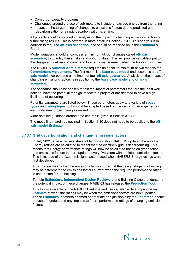- Comfort or capacity problems
- Challenges around the use of sub-meters to include or exclude energy from the rating
- Impact on the target rating of changes to emissions factors due to predicted grid decarbonisation or a rapid decarbonisation scenario.

All projects should also conduct analysis on the impact of changing emissions factors on future rating results. This is covered in more detail in Section 3.13.1. This analysis is in addition to required **off-axis scenarios**, and should be reported on in the **Estimator**'s Report.

Model variations should encompass a minimum of four changes called **off-axis scenarios**, to quantify these risks (and opportunities). This will provide valuable input to the design and delivery process, and to energy management when the building is in use.

The NABERS **National Administrator** requires an absolute minimum of two models for **Commitment Agreement**s. The first model is a **base case model** and second is an **offaxis model** incorporating a minimum of four **off axis scenarios**. Analysis on the impact of changing emissions factors is in addition to the **base case model** and **off-axis scenarios**.

The scenarios should be chosen to test the impact of parameters that are the least well defined, have the potential for high impact to a project or are deemed to have a high likelihood of occurring.

Potential parameters are listed below. These parameters apply to a variety of **space types** and **rating types**, but should be adapted based on the servicing arrangements in each individual project being assessed.

More detailed guidance around data centres is given in Section 3.13.10.

The modelling margin as outlined in Section 3.10 does not need to be applied to the **offaxis model Estimate**.

#### **3.13.1 Grid decarbonisation and changing emissions factors**

In July 2021, after extensive stakeholder consultation, NABERS updated the way that Energy ratings are calculated to reflect that the electricity grid is decarbonising. This means that Energy performance ratings will now be calculated based on greenhouse gas emissions factors that are updated every five years with the latest emissions factors. This is instead of the fixed emissions factors used when NABERS Energy ratings were first developed.

This change means that the emissions factors current at the design stage of a building may be different to the emissions factors current when the required performance rating is undertaken for the building.

To help **Estimators**, **Independent Design Reviewer**s and Building Owners understand the potential impact of these changes, NABERS has released the **Prediction Tool**.

This tool is available on the NABERS website and uses available data to provide an **Estimate** of what star ratings may be when the emissions factors are next updated. These **Estimate**s, or others deemed appropriate and justifiable by the **Estimator**, should be used to understand any impacts to future performance ratings of changing emissions factors.

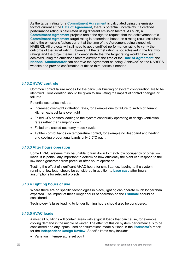As the target rating for a **Commitment Agreement** is calculated using the emission factors current at the **Date of Agreement**, there is potential uncertainty if a certified performance rating is calculated using different emission factors. As such, all **Commitment Agreement** projects retain the right to request that the achievement of a **Commitment Agreement** target rating is determined based on a rating result calculated using the emissions factors current at the time of the Agreement being signed with NABERS. All projects will still need to get a certified performance rating to verify the outcome of the target rating. However, if the target rating is not achieved in the first two ratings and the project team can demonstrate that the target rating would have been achieved using the emissions factors current at the time of the **Date of Agreement**, the **National Administrator** can approve the Agreement as being 'Achieved' on the NABERS website and provide confirmation of this to third parties if needed.

#### **3.13.2 HVAC controls**

Common control failure modes for the particular building or system configuration are to be identified. Consideration should be given to simulating the impact of control changes or failures.

Potential scenarios include:

- Increased overnight infiltration rates, for example due to failure to switch off tenant kitchen exhaust fans overnight
- Failed  $CO<sub>2</sub>$  sensors leading to the system continually operating at design ventilation rates rather than ramping down
- Failed or disabled economy mode / cycle
- Tighter control bands on temperature control, for example no deadband and heating and cooling proportional bands only 0.5°C each.

#### **3.13.3 After hours operation**

Some HVAC systems may be unable to turn down to match low occupancy or other low loads. It is particularly important to determine how efficiently the plant can respond to the low loads generated from partial or after-hours operation.

Testing the effect of significant AHAC hours for small zones, leading to the system running at low load, should be considered in addition to **base case** after-hours assumptions for relevant projects.

#### **3.13.4 Lighting hours of use**

Where there are no specific technologies in place, lighting can operate much longer than expected. The impact of these longer hours of operation on the **Estimate** should be considered.

Technology failures leading to longer lighting hours should also be considered.

#### **3.13.5 HVAC loads**

Almost all buildings will contain areas with atypical loads that can cause, for example, cooling demand in the middle of winter. The effect of this on system performance is to be considered and any inputs used or assumptions made outlined in the **Estimator**'s report for the **Independent Design Review**. Specific items may include:

• Variation in temperature set point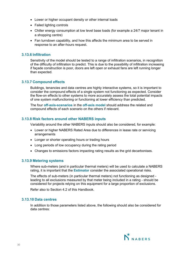- Lower or higher occupant density or other internal loads
- Failed lighting controls
- Chiller energy consumption at low level base loads (for example a 24/7 major tenant in a shopping centre)
- Fan turndown capability, and how this affects the minimum area to be served in response to an after-hours request.

#### **3.13.6 Infiltration**

Sensitivity of the model should be tested to a range of infiltration scenarios, in recognition of the difficulty of infiltration to predict. This is due to the possibility of infiltration increasing if façade construction is poor, doors are left open or exhaust fans are left running longer than expected.

#### **3.13.7 Compound effects**

Buildings, tenancies and data centres are highly interactive systems, so it is important to consider the compound effects of a single system not functioning as expected. Consider the flow-on effects to other systems to more accurately assess the total potential impacts of one system malfunctioning or functioning at lower efficiency than predicted.

The four **off-axis-scenarios** in the **off-axis model** should address the related and compound effects of each scenario on the others if relevant.

#### **3.13.8 Risk factors around other NABERS inputs**

Variability around the other NABERS inputs should also be considered, for example:

- Lower or higher NABERS Rated Area due to differences in lease rate or servicing arrangements
- Longer or shorter operating hours or trading hours
- Long periods of low occupancy during the rating period
- Changes to emissions factors impacting rating results as the grid decarbonises.

#### **3.13.9 Metering systems**

Where sub-meters (and in particular thermal meters) will be used to calculate a NABERS rating, it is important that the **Estimator** consider the associated operational risks.

The effects of sub-meters (in particular thermal meters) not functioning as designed leading to all exclusions measured by that meter being included in a rating - should be considered for projects relying on this equipment for a large proportion of exclusions.

Refer also to Section 4.2 of this Handbook.

#### **3.13.10 Data centres**

In addition to those parameters listed above, the following should also be considered for data centres:

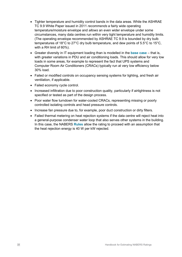- Tighter temperature and humidity control bands in the data areas. While the ASHRAE TC 9.9 White Paper issued in 2011 *recommends* a fairly wide operating temperature/moisture envelope and *allows* an even wider envelope under some circumstances, many data centres run within very tight temperature and humidity limits. (The operating envelope recommended by ASHRAE TC 9.9 is bounded by dry bulb temperatures of 18°C to 27°C dry bulb temperature, and dew points of 5.5°C to 15°C, with a RH limit of 60%).
- Greater diversity in IT equipment loading than is modelled in the **base case**  that is, with greater variations in PDU and air conditioning loads. This should allow for very low loads in some areas, for example to represent the fact that UPS systems and Computer Room Air Conditioners (CRACs) typically run at very low efficiency below 30% load.
- Failed or modified controls on occupancy sensing systems for lighting, and fresh air ventilation, if applicable.
- Failed economy cycle control.
- Increased infiltration due to poor construction quality, particularly if airtightness is not specified or tested as part of the design process.
- Poor water flow turndown for water-cooled CRACs, representing missing or poorly controlled isolating controls and head pressure controls.
- Increase fan pressure due to, for example, poor duct construction or dirty filters.
- Failed thermal metering on heat rejection systems if the data centre will reject heat into a general-purpose condenser water loop that also serves other systems in the building. In this case, the NABERS **Rules** allow the rating to proceed with an assumption that the heat rejection energy is 40 W per kW rejected.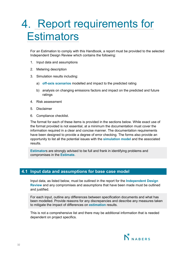## 4. Report requirements for **Estimators**

For an Estimation to comply with this Handbook, a report must be provided to the selected Independent Design Review which contains the following:

- 1. Input data and assumptions
- 2. Metering description
- 3. Simulation results including:
	- a) **off-axis scenarios** modelled and impact to the predicted rating
	- b) analysis on changing emissions factors and impact on the predicted and future ratings
- 4. Risk assessment
- 5. Disclaimer
- 6. Compliance checklist.

The format for each of these items is provided in the sections below. While exact use of the format provided is not essential, at a minimum the documentation must cover the information required in a clear and concise manner. The documentation requirements have been designed to provide a degree of error checking. The forms also provide an opportunity to list all the potential issues with the **simulation model** and the associated results.

**Estimator**s are strongly advised to be full and frank in identifying problems and compromises in the **Estimate**.

### **4.1 Input data and assumptions for base case model**

Input data, as listed below, must be outlined in the report for the **Independent Design Review** and any compromises and assumptions that have been made must be outlined and justified.

For each input, outline any differences between specification documents and what has been modelled. Provide reasons for any discrepancies and describe any measures taken to mitigate the impact of differences on **estimation** results.

This is not a comprehensive list and there may be additional information that is needed dependent on project specifics.

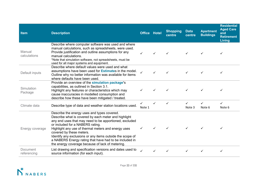| <b>Item</b>             | <b>Description</b>                                                                                                                                                                                                                                                                                                                                                                                                                                              | <b>Office Hotel</b> |   | <b>Shopping</b><br>centre | <b>Data</b><br>centre  | <b>Apartment</b><br><b>Buildings</b> | <b>Residential</b><br><b>Aged Care</b><br>and<br><b>Retirement</b><br>Living |
|-------------------------|-----------------------------------------------------------------------------------------------------------------------------------------------------------------------------------------------------------------------------------------------------------------------------------------------------------------------------------------------------------------------------------------------------------------------------------------------------------------|---------------------|---|---------------------------|------------------------|--------------------------------------|------------------------------------------------------------------------------|
| Manual<br>calculations  | Describe where computer software was used and where<br>manual calculations, such as spreadsheets, were used.<br>Provide justification and outline assumptions for any<br>manual calculations.<br>*Note that simulation software, not spreadsheets, must be<br>used for all major systems and equipment.                                                                                                                                                         | ✓                   |   |                           |                        |                                      | ✓                                                                            |
| Default inputs          | Describe where default values were used and what<br>assumptions have been used for <b>Estimates</b> in the model.<br>Outline why no better information was available for items<br>where defaults have been used.                                                                                                                                                                                                                                                | $\checkmark$        |   |                           |                        |                                      |                                                                              |
| Simulation<br>Package   | Provide an overview of the simulation package's<br>capabilities, as outlined in Section 3.1.<br>Highlight any features or characteristics which may<br>cause inaccuracies in modelled consumption and<br>describe how these have been mitigated / treated.                                                                                                                                                                                                      |                     |   | ✓                         |                        |                                      | ✓                                                                            |
| Climate data            | Describe type of data and weather station locations used.                                                                                                                                                                                                                                                                                                                                                                                                       | ✓<br>Note 1         | ✓ | ✓                         | $\checkmark$<br>Note 3 | $\checkmark$<br>Note 6               | $\checkmark$<br>Note 6                                                       |
| Energy coverage         | Describe the energy uses and types covered.<br>Describe what is covered by each meter and highlight<br>any end uses that may need to be apportioned, excluded<br>or included for a NABERS rating.<br>Highlight any use of thermal meters and energy uses<br>covered by these meters.<br>Identify any exclusions or any items outside the scope of<br>a NABERS Energy rating that have had to be included in<br>the energy coverage because of lack of metering. |                     |   |                           |                        |                                      |                                                                              |
| Document<br>referencing | List drawing and specification versions and dates used to<br>source information (for each input).                                                                                                                                                                                                                                                                                                                                                               | ✓                   |   |                           |                        |                                      | ✓                                                                            |

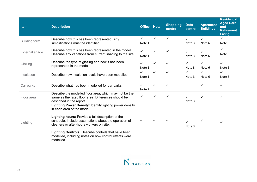| <b>Item</b>           | <b>Description</b>                                                                                                                                    | <b>Office Hotel</b> |              | <b>Shopping</b><br>centre | <b>Data</b><br>centre  | <b>Apartment</b><br><b>Buildings</b> | <b>Residential</b><br><b>Aged Care</b><br>and<br><b>Retirement</b><br>Living |
|-----------------------|-------------------------------------------------------------------------------------------------------------------------------------------------------|---------------------|--------------|---------------------------|------------------------|--------------------------------------|------------------------------------------------------------------------------|
| <b>Building form</b>  | Describe how this has been represented. Any<br>simplifications must be identified.                                                                    | ✓<br>Note 1         | $\checkmark$ | $\checkmark$              | $\checkmark$<br>Note 3 | $\checkmark$<br>Note 6               | ✓<br>Note 6                                                                  |
| <b>External shade</b> | Describe how this has been represented in the model.<br>Describe any variations from current shading to the site.                                     | ✓<br>Note 1         |              | ✓                         | ✓<br>Note 3            | Note 6                               | ✓<br>Note 6                                                                  |
| Glazing               | Describe the type of glazing and how it has been<br>represented in the model.                                                                         | ✓<br>Note 1         |              | ✓                         | ✓<br>Note 3            | ✓<br>Note 6                          | ✓<br>Note 6                                                                  |
| Insulation            | Describe how insulation levels have been modelled.                                                                                                    | ✓<br>Note 1         | $\checkmark$ | $\checkmark$              | $\checkmark$<br>Note 3 | ✓<br>Note 6                          | $\checkmark$<br>Note 6                                                       |
| Car parks             | Describe what has been modelled for car parks.                                                                                                        | Note 2              |              | ✓                         |                        |                                      | $\checkmark$                                                                 |
| Floor area            | Describe the modelled floor area, which may not be the<br>same as the rated floor area. Differences should be<br>described in the report.             | ✓                   |              | ✓                         | ✓<br>Note 3            |                                      | $\checkmark$                                                                 |
|                       | Lighting Power Density: Identify lighting power density<br>in each area of the model.                                                                 |                     |              |                           |                        |                                      |                                                                              |
| Lighting              | Lighting hours: Provide a full description of the<br>schedule. Include assumptions about the operation of<br>cleaners or after-hours workers on site. | ✓                   |              |                           | Note 3                 |                                      | $\checkmark$                                                                 |
|                       | <b>Lighting Controls: Describe controls that have been</b><br>modelled, including notes on how control effects were<br>modelled.                      |                     |              |                           |                        |                                      |                                                                              |

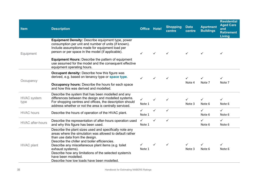| <b>Item</b>                | <b>Description</b>                                                                                                                                                                                                                                                                                                                                                                                               | <b>Office Hotel</b>    |              | <b>Shopping</b><br>centre | <b>Data</b><br>centre  | <b>Apartment</b><br><b>Buildings</b> | <b>Residential</b><br><b>Aged Care</b><br>and<br><b>Retirement</b><br><b>Living</b> |
|----------------------------|------------------------------------------------------------------------------------------------------------------------------------------------------------------------------------------------------------------------------------------------------------------------------------------------------------------------------------------------------------------------------------------------------------------|------------------------|--------------|---------------------------|------------------------|--------------------------------------|-------------------------------------------------------------------------------------|
| Equipment                  | <b>Equipment Density: Describe equipment type, power</b><br>consumption per unit and number of units (if known).<br>Include assumptions made for equipment load per<br>person or per space in the model (if applicable).<br><b>Equipment Hours:</b> Describe the pattern of equipment<br>use assumed for the model and the consequent effective<br>equipment operating hours.                                    | ✓                      |              | ✓                         |                        | ✓                                    | ✓                                                                                   |
| Occupancy                  | <b>Occupant density:</b> Describe how this figure was<br>derived, e.g. based on tenancy type or <b>space type</b> .<br><b>Occupancy hours:</b> Describe the hours for each space<br>and how this was derived and modelled.                                                                                                                                                                                       | $\checkmark$           | $\checkmark$ | ✓                         | $\checkmark$<br>Note 4 | Note 7                               | ✓<br>Note 7                                                                         |
| <b>HVAC</b> system<br>type | Describe the system that has been modelled and any<br>differences between the design and modelled systems.<br>For shopping centres and offices, the description should<br>address whether or not the area is centrally serviced.                                                                                                                                                                                 | $\checkmark$<br>Note 1 | ✓            | ✓                         | ✓<br>Note 3            | ✓<br>Note 6                          | ✓<br>Note 6                                                                         |
| <b>HVAC</b> hours          | Describe the hours of operation of the HVAC plant.                                                                                                                                                                                                                                                                                                                                                               | ✓<br>Note 1            | ✓            | $\checkmark$              |                        | $\checkmark$<br>Note 6               | $\checkmark$<br>Note 6                                                              |
| <b>HVAC</b> after-hours    | Describe the representation of after-hours operation used<br>and why this figure has been used.                                                                                                                                                                                                                                                                                                                  | $\checkmark$<br>Note 1 | $\checkmark$ | $\checkmark$              |                        | ✓<br>Note 6                          | $\checkmark$<br>Note 6                                                              |
| <b>HVAC</b> plant          | Describe the plant sizes used and specifically note any<br>areas where the simulation was allowed to default rather<br>than use data from the design.<br>Describe the chiller and boiler efficiencies.<br>Describe any miscellaneous plant items (e.g. toilet<br>exhaust systems).<br>Describe how any limitations of the selected system/s<br>have been modelled.<br>Describe how low loads have been modelled. | Note 1                 |              | ✓                         | ✓<br>Note 3            | Note 6                               | ✓<br>Note 6                                                                         |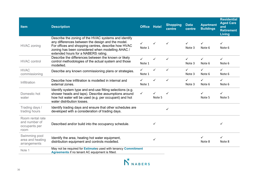| <b>Item</b>                                                | <b>Description</b>                                                                                                                                                                                                                                          | <b>Office</b>          | <b>Hotel</b> | <b>Shopping</b><br>centre | <b>Data</b><br>centre  | <b>Apartment</b><br><b>Buildings</b> | <b>Residential</b><br><b>Aged Care</b><br>and<br><b>Retirement</b><br>Living |
|------------------------------------------------------------|-------------------------------------------------------------------------------------------------------------------------------------------------------------------------------------------------------------------------------------------------------------|------------------------|--------------|---------------------------|------------------------|--------------------------------------|------------------------------------------------------------------------------|
| <b>HVAC zoning</b>                                         | Describe the zoning of the HVAC systems and identify<br>any differences between the design and the model.<br>For offices and shopping centres, describe how HVAC<br>zoning has been considered when modelling AHAC /<br>extended hours for a NABERS rating. | ✓<br>Note 1            | ✓            | ✓                         | ✓<br>Note 3            | Note 6                               | ✓<br>Note 6                                                                  |
| <b>HVAC</b> control                                        | Describe the differences between the known or likely<br>control methodologies of the actual system and those<br>modelled.                                                                                                                                   | $\checkmark$<br>Note 1 | ✓            | ✓                         | $\checkmark$<br>Note 3 | $\checkmark$<br>Note 6               | $\checkmark$<br>Note 6                                                       |
| <b>HVAC</b><br>commissioning                               | Describe any known commissioning plans or strategies.                                                                                                                                                                                                       | $\checkmark$<br>Note 1 | ✓            | $\checkmark$              | $\checkmark$<br>Note 3 | $\checkmark$<br>Note 6               | $\checkmark$<br>Note 6                                                       |
| Infiltration                                               | Describe how infiltration is modelled in internal and<br>external zones.                                                                                                                                                                                    | ✓<br>Note 1            | $\checkmark$ | $\checkmark$              | $\checkmark$<br>Note 3 | $\checkmark$<br>Note 6               | $\checkmark$<br>Note 6                                                       |
| Domestic hot<br>water                                      | Identify system type and end-use fitting selections (e.g.<br>shower heads and taps). Describe assumptions around<br>how hot water will be used (e.g. per occupant) and hot<br>water distribution losses.                                                    | $\checkmark$           | ✓<br>Note 5  | ✓                         |                        | ✓<br>Note 5                          | ✓<br>Note 5                                                                  |
| Trading days /<br>trading hours                            | Identify trading days and ensure that other schedules are<br>developed with a consideration of trading days.                                                                                                                                                |                        |              | ✓                         |                        |                                      |                                                                              |
| Room rental rate<br>and number of<br>occupants per<br>room | Described and/or build into the occupancy schedule.                                                                                                                                                                                                         |                        | ✓            |                           |                        |                                      | ✓                                                                            |
| Swimming pool<br>area and heating<br>arrangements          | Identify the area, heating hot water equipment,<br>distribution equipment and controls modelled.                                                                                                                                                            |                        | ✓            |                           |                        | Note 8                               | ✓<br>Note 8                                                                  |
| Note 1                                                     | May not be required for Estimates used with tenancy Commitment<br>Agreements if no tenant AC equipment is fitted.                                                                                                                                           |                        |              |                           |                        |                                      |                                                                              |

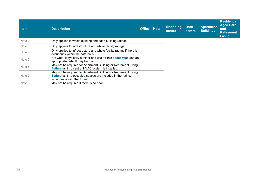| <b>Item</b> | <b>Description</b>                                                                                                                                                     | <b>Office Hotel</b> | Shopping<br>centre | <b>Data</b><br>centre | <b>Apartment</b><br><b>Buildings</b> | <b>Residential</b><br><b>Aged Care</b><br>and<br><b>Retirement</b><br>Living |
|-------------|------------------------------------------------------------------------------------------------------------------------------------------------------------------------|---------------------|--------------------|-----------------------|--------------------------------------|------------------------------------------------------------------------------|
| Note 2      | Only applies to whole building and base building ratings.                                                                                                              |                     |                    |                       |                                      |                                                                              |
| Note 3      | Only applies to infrastructure and whole facility ratings.                                                                                                             |                     |                    |                       |                                      |                                                                              |
| Note 4      | Only applies to infrastructure and whole facility ratings if there is<br>occupancy within the data halls.                                                              |                     |                    |                       |                                      |                                                                              |
| Note 5      | Hot water is typically a minor end use for this space type and an<br>appropriate default may be used.                                                                  |                     |                    |                       |                                      |                                                                              |
| Note 6      | May not be required for Apartment Building or Retirement Living<br><b>Estimates if no central HVAC system is installed.</b>                                            |                     |                    |                       |                                      |                                                                              |
| Note 7      | May not be required for Apartment Building or Retirement Living<br><b>Estimates if no occupied spaces are included in the rating, in</b><br>accordance with the Rules. |                     |                    |                       |                                      |                                                                              |
| Note 8      | May not be required if there is no pool.                                                                                                                               |                     |                    |                       |                                      |                                                                              |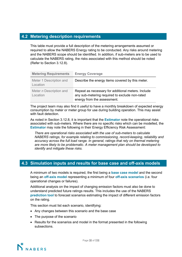## **4.2 Metering description requirements**

**[nabe](http://www.nabers.gov.au/)** required to allow the NABERS Energy rating to be conducted. Any risks around metering This table must provide a full description of the metering arrangements assumed or and the NABERS scope should be identified. In addition, if sub-meters are to [be used to](http://www.nabers.gov.au/) calculate the NABERS rating, the risks associated with this method should b[e noted](http://www.nabers.gov.au/)  (Refer to Section 3.12.8).

| <b>Metering Requirements</b>        | <b>Energy Coverage</b>                                                                                                              |
|-------------------------------------|-------------------------------------------------------------------------------------------------------------------------------------|
| Meter 1 Description and<br>Location | Describe the energy items covered by this meter.                                                                                    |
| Meter n Description and<br>Location | Repeat as necessary for additional meters. Include<br>any sub-metering required to exclude non-rated<br>energy from the assessment. |

The project team may also find it useful to have a monthly breakdown of expected energy consumption by meter or meter group for use during building operation. This may assist with fault detection.

As noted in Section 3.12.8, it is important that the **Estimator** note the operational risks associated with sub-meters. Where there are no specific risks which can be modelled, the **Estimator** may note the following in their Energy Efficiency Risk Assessment:

*There are operational risks associated with the use of sub-meters to calculate NABERS ratings, for example relating to commissioning, record-keeping, reliability and accuracy across the full load range. In general, ratings that rely on thermal metering are more likely to be problematic. A meter management plan should be developed to identify and mitigate these risks.*

## **4.3 Simulation inputs and results for base case and off-axis models**

A minimum of two models is required, the first being a **base case model** and the second being an **off-axis model** representing a minimum of four **off-axis scenarios** (i.e. four operational changes or failures).

Additional analysis on the impact of changing emission factors must also be done to understand predicted future ratings results. This includes the use of the NABERS **prediction tool** to forecast scenarios estimating the impact of different emission factors on the rating.

This section must list each scenario, identifying:

- Any changes between this scenario and the base case
- The purpose of the scenario
- Results for the scenarios and model in the format presented in the following subsections.

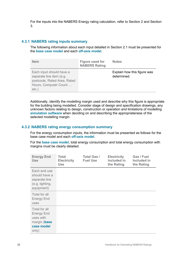For the inputs into the NABERS Energy rating calculation, refer to Section 2 and Section 3.

## **4.3.1 NABERS rating inputs summary**

The following information about each input detailed in Section 2.1 must be presented for the **base case model** and each **off-axis model**.

| <b>Item</b>                                                                                                              | <b>Figure used for</b><br><b>NABERS Rating</b> | <b>Notes</b>                               |
|--------------------------------------------------------------------------------------------------------------------------|------------------------------------------------|--------------------------------------------|
| Each input should have a<br>separate line item (e.g.<br>postcode, Rated Area, Rated<br>Hours, Computer Count<br>$etc.$ ) |                                                | Explain how this figure was<br>determined. |

Additionally, identify the modelling margin used and describe why this figure is appropriate for the building being modelled. Consider stage of design and specification drawings, any unknown factors relating to design, construction or operation and limitations of modelling **simulation software** when deciding on and describing the appropriateness of the selected modelling margin.

## **4.3.2 NABERS rating energy consumption summary**

For the energy consumption inputs, the information must be presented as follows for the base case model and each **off-axis model**.

For the **base case model**, total energy consumption and total energy consumption with margins must be clearly detailed.

| <b>Energy End</b><br><b>Use</b>                                                        | <b>Total</b><br><b>Electricity</b><br><b>Use</b> | <b>Total Gas /</b><br><b>Fuel Use</b> | <b>Electricity</b><br>included in<br>the Rating | Gas / Fuel<br>Included in<br>the Rating |
|----------------------------------------------------------------------------------------|--------------------------------------------------|---------------------------------------|-------------------------------------------------|-----------------------------------------|
| Each end use<br>should have a<br>separate line<br>(e.g. lighting,<br>equipment)        |                                                  |                                       |                                                 |                                         |
| Total for all<br><b>Energy End</b><br>uses                                             |                                                  |                                       |                                                 |                                         |
| Total for all<br><b>Energy End</b><br>uses with<br>margin (base<br>case model<br>only) |                                                  |                                       |                                                 |                                         |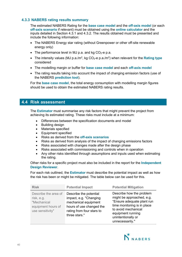## **4.3.3 NABERS rating results summary**

The estimated NABERS Rating for the **base case model** and the **off-axis model** (or each **off-axis scenario** if relevant) must be obtained using the **online calculator** and the inputs detailed in Section 4.3.1 and 4.3.2. The results obtained must be presented and include the following information:

- The NABERS Energy star rating (without Greenpower or other off-site renewable energy only)
- The performance level in MJ p.a. and kg  $CO<sub>2</sub>$ -e p.a.
- The intensity values (MJ p.a./m<sup>2</sup>, kg CO<sub>2</sub>-e p.a./m<sup>2</sup>) when relevant for the **Rating type** considered
- The modelling margin or buffer for **base case model** and each **off-axis model**
- The rating results taking into account the impact of changing emission factors (use of the NABERS **prediction tool**).

For the **base case model**, the total energy consumption with modelling margin figures should be used to obtain the estimated NABERS rating results.

## **4.4 Risk assessment**

The **Estimator** must summarise any risk factors that might prevent the project from achieving its estimated rating. These risks must include at a minimum:

- Differences between the specification documents and model
- Building design
- Materials specified
- Equipment specified
- Risks as derived from the **off-axis scenarios**
- Risks as derived from analysis of the impact of changing emissions factors
- Risks associated with changes made after the design phase
- Risks associated with commissioning and controls when in operation
- Any other risks identified through assumptions and inputs used when estimating the rating.

Other risks for a specific project must also be included in the report for the **Independent Design Reviewer**.

For each risk outlined, the **Estimator** must describe the potential impact as well as how the risk has been or might be mitigated. The table below can be used for this.

| <b>Risk</b>                                                                                 | <b>Potential Impact</b>                                                                                                                            | <b>Potential Mitigation</b>                                                                                                                                                                             |
|---------------------------------------------------------------------------------------------|----------------------------------------------------------------------------------------------------------------------------------------------------|---------------------------------------------------------------------------------------------------------------------------------------------------------------------------------------------------------|
| Describe the area of<br>risk, e.g.<br>"Mechanical<br>equipment hours of<br>use sensitivity" | Describe the potential<br>impact, e.g. "Changing<br>mechanical equipment<br>hours of use changed the<br>rating from four stars to<br>three stars." | Describe how the problem<br>might be approached, e.g.<br>"Ensure adequate plant run<br>time monitoring is in place<br>to avoid mechanical<br>equipment running<br>unintentionally or<br>unnecessarily." |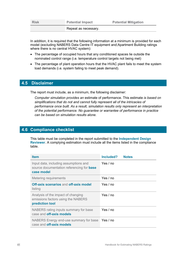Repeat as necessary.

In addition, it is required that the following information at a minimum is provided for each model (excluding NABERS Data Centre IT equipment and Apartment Building ratings where there is no central HVAC system):

- The percentage of occupied hours that any conditioned spaces lie outside the nominated control range (i.e. temperature control targets not being met)
- The percentage of plant operation hours that the HVAC plant fails to meet the system load demands (i.e. system failing to meet peak demand).

## **4.5 Disclaimer**

The report must include, as a minimum, the following disclaimer:

*Computer simulation provides an* estimate of performance. This estimate *is based on simplifications that do not and cannot fully represent all of the intricacies of performance once built. As a result, simulation results only represent an interpretation of the potential performance. No guarantee or warrantee of performance in practice can be based on simulation results alone.*

## **4.6 Compliance checklist**

This table must be completed in the report submitted to the **Independent Design Reviewer**. A complying estimation must include all the items listed in the compliance table.

| <b>Item</b>                                                                                             | Included?<br><b>Notes</b> |
|---------------------------------------------------------------------------------------------------------|---------------------------|
| Input data, including assumptions and<br>source documentation referencing for <b>base</b><br>case model | Yes / no                  |
| <b>Metering requirements</b>                                                                            | Yes / no                  |
| <b>Off-axis scenarios and off-axis model</b><br>listing                                                 | Yes / no                  |
| Analysis of the impact of changing<br>emissions factors using the NABERS<br>prediction tool             | Yes / no                  |
| NABERS rating inputs summary for base<br>case and <b>off-axis models</b>                                | Yes / no                  |
| NABERS Energy end-use summary for base<br>case and <b>off-axis models</b>                               | Yes / no                  |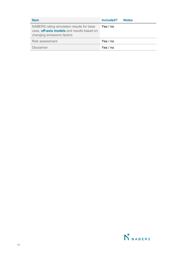| <b>Item</b>                                                                                                           | Included?<br><b>Notes</b> |
|-----------------------------------------------------------------------------------------------------------------------|---------------------------|
| NABERS rating simulation results for base<br>case, off-axis models and results based on<br>changing emissions factors | Yes / no                  |
| Risk assessment                                                                                                       | Yes / no                  |
| <b>Disclaimer</b>                                                                                                     | Yes / no                  |

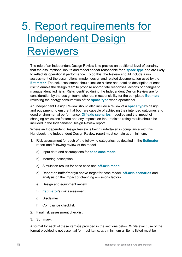# 5. Report requirements for Independent Design **Reviewers**

The role of an Independent Design Review is to provide an additional level of certainty that the assumptions, inputs and model appear reasonable for a **space type** and are likely to reflect its operational performance. To do this, the Review should include a risk assessment of the assumptions, model, design and related documentation used by the **Estimator**. The risk assessment should include a clear and detailed description of each risk to enable the design team to propose appropriate responses, actions or changes to manage identified risks. Risks identified during the Independent Design Review are for consideration by the design team, who retain responsibility for the completed **Estimate** reflecting the energy consumption of the **space type** when operational.

An Independent Design Review should also include a review of a **space type**'s design and equipment, to ensure that both are capable of achieving their intended outcomes and good environmental performance. **Off-axis scenarios** modelled and the impact of changing emissions factors and any impacts on the predicted rating results should be included in the Independent Design Review report.

Where an Independent Design Review is being undertaken in compliance with this Handbook, the Independent Design Review report must contain at a minimum:

- 1. Risk assessment for each of the following categories, as detailed in the **Estimator** report and following review of the model
	- a) Input data and assumptions for **base case model**
	- b) Metering description
	- c) Simulation results for base case and **off-axis model**
	- d) Report on buffer/margin above target for base model, **off-axis scenarios** and analysis on the impact of changing emissions factors
	- e) Design and equipment review
	- f) **Estimator**'s risk assessment
	- g) Disclaimer
	- h) Compliance checklist.
- 2. Final risk assessment checklist
- 3. Summary.

A format for each of these items is provided in the sections below. While exact use of the format provided is not essential for most items, at a minimum all items listed must be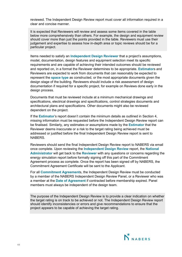reviewed. The Independent Design Review report must cover all information required in a clear and concise manner.

It is expected that Reviewers will review and assess some items covered in the table below more comprehensively than others. For example, the design and equipment review should cover more than just the points provided in the table. Reviewers must use their judgement and expertise to assess how in-depth area or topic reviews should be for a particular project.

Items needed to satisfy an **Independent Design Reviewer** that a project's assumptions, model, documentation, design features and equipment selection meet its specific requirements and are capable of achieving their intended outcomes should be reviewed and reported on, in a format the Reviewer determines to be appropriate. **Estimator**s and Reviewers are expected to work from documents that can reasonably be expected to represent the **space type** as constructed, or the most appropriate documents given the design stage of the building. Reviewers should include a risk assessment of design documentation if required for a specific project, for example on Reviews done early in the design process.

Documents that must be reviewed include at a minimum mechanical drawings and specifications, electrical drawings and specifications, control strategies documents and architectural plans and specifications. Other documents might also be reviewed dependent on the project.

If the **Estimator**'s report doesn't contain the minimum details as outlined in Section 4, missing information must be requested before the Independent Design Review report can be finalised. Similarly, any estimates or assumptions made by the **Estimator** that the Reviewer deems inaccurate or a risk to the target rating being achieved must be addressed or justified before the final Independent Design Review report is sent to NABERS.

Reviewers should send the final Independent Design Review report to NABERS via email once complete. Upon reviewing the **Independent Design Review** report, the **National Administrator** will get back to the **Reviewer** with any questions or concerns regarding the energy simulation report before formally signing off this part of the Commitment Agreement process as complete. Once the report has been signed off by NABERS, the Commitment Agreement Certificate will be sent to the Applicant.

For all **Commitment Agreement**s, the Independent Design Review must be conducted by a member of the NABERS Independent Design Review Panel, or a Reviewer who was a member at the **Date of Agreement** if contracted before membership expired. Panel members must always be independent of the design team.

The purpose of the Independent Design Review is to provide a clear indication on whether the target rating is on track to be achieved or not. The Independent Design Review report should identify inconsistencies or errors and give recommendations to ensure that the project appears to be capable of achieving the target rating.

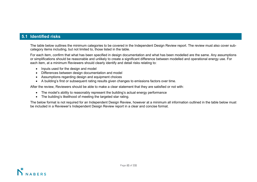## **5.1 Identified risks**

The table below outlines the minimum categories to be covered in the Independent Design Review report. The review must also cover subcategory items including, but not limited to, those listed in the table.

For each item, confirm that what has been specified in design documentation [and what has b](http://www.nabers.gov.au/)een modelled are the same. Any assumptions or simplifications should be reasonable and unlikely to create a significant dif[ference betwee](http://www.nabers.gov.au/)n modelled and operational energy use. For each item, at a minimum Reviewers should clearly identify and detail risks relating to:

- Inputs used for the design and model
- Differences between design documentation and model
- Assumptions regarding design and equipment choices
- A building's first or subsequent rating results given changes to emissions factors over time.

After the review, Reviewers should be able to make a clear statement that they are satisfied or not with:

- The model's ability to reasonably represent the building's actual energy performance
- The building's likelihood of meeting the targeted star rating.

The below format is not required for an Independent Design Review, however at a minimum all information outlined in the table below must be included in a Reviewer's Independent Design Review report in a clear and concise format.

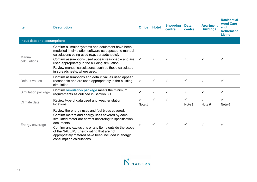| <b>Item</b>                | <b>Description</b>                                                                                                                                                                                                                                                                                                                                               | <b>Office</b> | <b>Hotel</b> | <b>Shopping</b><br>centre | <b>Data</b><br>centre | <b>Apartment</b><br><b>Buildings</b> | <b>Residential</b><br><b>Aged Care</b><br>and<br><b>Retirement</b><br>Living |  |  |
|----------------------------|------------------------------------------------------------------------------------------------------------------------------------------------------------------------------------------------------------------------------------------------------------------------------------------------------------------------------------------------------------------|---------------|--------------|---------------------------|-----------------------|--------------------------------------|------------------------------------------------------------------------------|--|--|
| Input data and assumptions |                                                                                                                                                                                                                                                                                                                                                                  |               |              |                           |                       |                                      |                                                                              |  |  |
| Manual<br>calculations     | Confirm all major systems and equipment have been<br>modelled in simulation software as opposed to manual<br>calculations being used (e.g. spreadsheets).<br>Confirm assumptions used appear reasonable and are<br>used appropriately in the building simulation.<br>Review manual calculations, such as those calculated                                        |               |              |                           |                       |                                      | ✓                                                                            |  |  |
|                            | in spreadsheets, where used.                                                                                                                                                                                                                                                                                                                                     |               |              |                           |                       |                                      |                                                                              |  |  |
| Default values             | Confirm assumptions and default values used appear<br>reasonable and are used appropriately in the building<br>simulation.                                                                                                                                                                                                                                       | $\checkmark$  | ✓            |                           | ✓                     |                                      |                                                                              |  |  |
| Simulation package         | Confirm simulation package meets the minimum<br>requirements as outlined in Section 3.1.                                                                                                                                                                                                                                                                         |               | ✓            |                           | ✓                     | ✓                                    | ✓                                                                            |  |  |
| Climate data               | Review type of data used and weather station<br>locations.                                                                                                                                                                                                                                                                                                       | Note 1        |              |                           | Note 3                | ✓<br>Note 6                          | ✓<br>Note 6                                                                  |  |  |
| Energy coverage            | Review the energy uses and fuel types covered.<br>Confirm meters and energy uses covered by each<br>simulated meter are correct according to specification<br>documents.<br>Confirm any exclusions or any items outside the scope<br>of the NABERS Energy rating that are not<br>appropriately metered have been included in energy<br>consumption calculations. |               | ✓            |                           |                       | ✓                                    | ✓                                                                            |  |  |

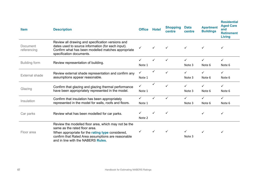| <b>Item</b>             | <b>Description</b>                                                                                                                                                                                                                    | <b>Office</b>          | Hotel        | <b>Shopping</b><br>centre | <b>Data</b><br>centre  | <b>Apartment</b><br><b>Buildings</b> | <b>Residential</b><br><b>Aged Care</b><br>and<br><b>Retirement</b><br><b>Living</b> |
|-------------------------|---------------------------------------------------------------------------------------------------------------------------------------------------------------------------------------------------------------------------------------|------------------------|--------------|---------------------------|------------------------|--------------------------------------|-------------------------------------------------------------------------------------|
| Document<br>referencing | Review all drawing and specification versions and<br>dates used to source information (for each input).<br>Confirm what has been modelled matches appropriate<br>specification documents.                                             | $\checkmark$           | ✓            | $\checkmark$              | ✓                      | ✓                                    | ✓                                                                                   |
| <b>Building form</b>    | Review representation of building.                                                                                                                                                                                                    | Note 1                 |              |                           | ✓<br>Note 3            | $\checkmark$<br>Note 6               | $\checkmark$<br>Note 6                                                              |
| <b>External shade</b>   | Review external shade representation and confirm any<br>assumptions appear reasonable.                                                                                                                                                | Note 1                 |              |                           | Note 3                 | ✓<br>Note 6                          | ✓<br>Note 6                                                                         |
| Glazing                 | Confirm that glazing and glazing thermal performance<br>have been appropriately represented in the model.                                                                                                                             | ✓<br>Note 1            |              |                           | ✓<br>Note 3            | ✓<br>Note 6                          | $\checkmark$<br>Note 6                                                              |
| Insulation              | Confirm that insulation has been appropriately<br>represented in the model for walls, roofs and floors.                                                                                                                               | $\checkmark$<br>Note 1 | $\checkmark$ | $\checkmark$              | $\checkmark$<br>Note 3 | $\checkmark$<br>Note 6               | $\checkmark$<br>Note 6                                                              |
| Car parks               | Review what has been modelled for car parks.                                                                                                                                                                                          | Note 2                 |              | $\checkmark$              |                        | ✓                                    | ✓                                                                                   |
| Floor area              | Review the modelled floor area, which may not be the<br>same as the rated floor area.<br>When appropriate for the rating type considered,<br>confirm that Rated Area assumptions are reasonable<br>and in line with the NABERS Rules. |                        |              |                           | Note 3                 | ✓                                    | ✓                                                                                   |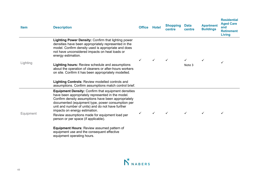| <b>Item</b> | <b>Description</b>                                                                                                                                                                                                                                                                                                                                                                                          | <b>Office</b> | <b>Hotel</b> | <b>Shopping</b><br>centre | <b>Data</b><br>centre | <b>Apartment</b><br><b>Buildings</b> | <b>Residential</b><br><b>Aged Care</b><br>and<br><b>Retirement</b><br><b>Living</b> |
|-------------|-------------------------------------------------------------------------------------------------------------------------------------------------------------------------------------------------------------------------------------------------------------------------------------------------------------------------------------------------------------------------------------------------------------|---------------|--------------|---------------------------|-----------------------|--------------------------------------|-------------------------------------------------------------------------------------|
| Lighting    | Lighting Power Density: Confirm that lighting power<br>densities have been appropriately represented in the<br>model. Confirm density used is appropriate and does<br>not have unconsidered impacts on heat loads or<br>energy estimation.                                                                                                                                                                  |               |              |                           |                       |                                      |                                                                                     |
|             | Lighting hours: Review schedule and assumptions<br>about the operation of cleaners or after-hours workers<br>on site. Confirm it has been appropriately modelled.                                                                                                                                                                                                                                           |               | ✓            |                           | Note 3                |                                      |                                                                                     |
|             | <b>Lighting Controls: Review modelled controls and</b><br>assumptions. Confirm assumptions match control brief.                                                                                                                                                                                                                                                                                             |               |              |                           |                       |                                      |                                                                                     |
| Equipment   | <b>Equipment Density: Confirm that equipment densities</b><br>have been appropriately represented in the model.<br>Confirm density assumptions have been appropriately<br>documented (equipment type, power consumption per<br>unit and number of units) and do not have further<br>impacts on energy estimation.<br>Review assumptions made for equipment load per<br>person or per space (if applicable). |               |              |                           |                       | ✓                                    | $\checkmark$                                                                        |
|             | <b>Equipment Hours: Review assumed pattern of</b><br>equipment use and the consequent effective<br>equipment operating hours.                                                                                                                                                                                                                                                                               |               |              |                           |                       |                                      |                                                                                     |

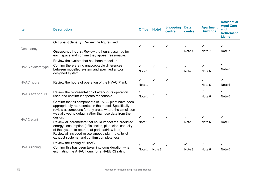| <b>Item</b>             | <b>Description</b>                                                                                                                                                                                                                                                                                                                                                                                                                                                                                                    | <b>Office</b>          | <b>Hotel</b> | <b>Shopping</b><br>centre | <b>Data</b><br>centre | <b>Apartment</b><br><b>Buildings</b> | <b>Residential</b><br><b>Aged Care</b><br>and<br><b>Retirement</b><br><b>Living</b> |
|-------------------------|-----------------------------------------------------------------------------------------------------------------------------------------------------------------------------------------------------------------------------------------------------------------------------------------------------------------------------------------------------------------------------------------------------------------------------------------------------------------------------------------------------------------------|------------------------|--------------|---------------------------|-----------------------|--------------------------------------|-------------------------------------------------------------------------------------|
| Occupancy               | <b>Occupant density: Review the figure used.</b>                                                                                                                                                                                                                                                                                                                                                                                                                                                                      |                        | ✓            | ✓                         | $\checkmark$          | ✓                                    | $\checkmark$                                                                        |
|                         | <b>Occupancy hours:</b> Review the hours assumed for<br>each space and confirm they appear reasonable.                                                                                                                                                                                                                                                                                                                                                                                                                |                        |              |                           | Note 4                | Note 7                               | Note 7                                                                              |
| HVAC system type        | Review the system that has been modelled.<br>Confirm there are no unacceptable differences<br>between modelled system and specified and/or<br>designed system.                                                                                                                                                                                                                                                                                                                                                        | $\checkmark$<br>Note 1 | ✓            |                           | ✓<br>Note 3           | ✓<br>Note 6                          | $\checkmark$<br>Note 6                                                              |
| <b>HVAC</b> hours       | Review the hours of operation of the HVAC Plant.                                                                                                                                                                                                                                                                                                                                                                                                                                                                      | ✓<br>Note 1            | ✓            |                           |                       | ✓<br>Note 6                          | $\checkmark$<br>Note 6                                                              |
| <b>HVAC</b> after-hours | Review the representation of after-hours operation<br>used and confirm it appears reasonable.                                                                                                                                                                                                                                                                                                                                                                                                                         | $\checkmark$<br>Note 1 | ✓            | ✓                         |                       | $\checkmark$<br>Note 6               | $\checkmark$<br>Note 6                                                              |
| <b>HVAC plant</b>       | Confirm that all components of HVAC plant have been<br>appropriately represented in the model. Specifically,<br>review assumptions for any areas where the simulation<br>was allowed to default rather than use data from the<br>design.<br>Review all parameters that could impact the predicted<br>energy consumption (efficiencies, plant size, capacity<br>of the system to operate at part load/low load).<br>Review all included miscellaneous plant (e.g. toilet<br>exhaust systems) and confirm completeness. | ✓<br>Note 1            |              |                           | ✓<br>Note 3           | ✓<br>Note 6                          | ✓<br>Note 6                                                                         |
| <b>HVAC zoning</b>      | Review the zoning of HVAC.<br>Confirm this has been taken into consideration when<br>estimating the AHAC hours for a NABERS rating                                                                                                                                                                                                                                                                                                                                                                                    | ✓<br>Note 1            | Note 3       |                           | ✓<br>Note 3           | ✓<br>Note 6                          | ✓<br>Note 6                                                                         |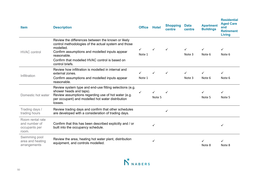| <b>Item</b>                                                 | <b>Description</b>                                                                                                                                                                                                                                            | <b>Office</b>          | <b>Hotel</b> | <b>Shopping</b><br>centre | <b>Data</b><br>centre | <b>Apartment</b><br><b>Buildings</b> | <b>Residential</b><br><b>Aged Care</b><br>and<br><b>Retirement</b><br><b>Living</b> |
|-------------------------------------------------------------|---------------------------------------------------------------------------------------------------------------------------------------------------------------------------------------------------------------------------------------------------------------|------------------------|--------------|---------------------------|-----------------------|--------------------------------------|-------------------------------------------------------------------------------------|
| <b>HVAC</b> control                                         | Review the differences between the known or likely<br>control methodologies of the actual system and those<br>modelled.<br>Confirm assumptions and modelled inputs appear<br>reasonable.<br>Confirm that modelled HVAC control is based on<br>control briefs. | $\checkmark$<br>Note 1 | ✓            | ✓                         | ✓<br>Note 3           | ✓<br>Note 6                          | $\checkmark$<br>Note 6                                                              |
| Infiltration                                                | Review how infiltration is modelled in internal and<br>external zones.<br>Confirm assumptions and modelled inputs appear<br>reasonable.                                                                                                                       | Note 1                 |              |                           | Note 3                | ✓<br>Note 6                          | ✓<br>Note 6                                                                         |
| Domestic hot water                                          | Review system type and end-use fitting selections (e.g.<br>shower heads and taps).<br>Review assumptions regarding use of hot water (e.g.<br>per occupant) and modelled hot water distribution<br>losses.                                                     |                        | ✓<br>Note 5  |                           |                       | ✓<br>Note 5                          | ✓<br>Note 5                                                                         |
| Trading days /<br>trading hours                             | Review trading days and confirm that other schedules<br>are developed with a consideration of trading days.                                                                                                                                                   |                        |              | ✓                         |                       |                                      |                                                                                     |
| Room rental rate<br>and number of<br>occupants per<br>room. | Confirm that this has been described explicitly and / or<br>built into the occupancy schedule.                                                                                                                                                                |                        |              |                           |                       |                                      | ✓                                                                                   |
| Swimming pool<br>area and heating<br>arrangements           | Review the area, heating hot water plant, distribution<br>equipment, and controls modelled.                                                                                                                                                                   |                        | ✓            |                           |                       | ✓<br>Note 8                          | ✓<br>Note 8                                                                         |

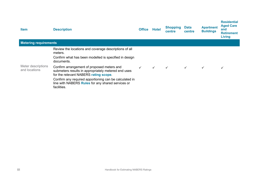| <b>Item</b>                         | <b>Description</b>                                                                                                                         | <b>Office</b> | <b>Hotel</b> | <b>Shopping</b><br>centre | Data<br>centre | <b>Apartment</b><br><b>Buildings</b> | <b>Residential</b><br><b>Aged Care</b><br>and<br><b>Retirement</b><br><b>Living</b> |
|-------------------------------------|--------------------------------------------------------------------------------------------------------------------------------------------|---------------|--------------|---------------------------|----------------|--------------------------------------|-------------------------------------------------------------------------------------|
| <b>Metering requirements</b>        |                                                                                                                                            |               |              |                           |                |                                      |                                                                                     |
|                                     | Review the locations and coverage descriptions of all<br>meters.<br>Confirm what has been modelled is specified in design<br>documents.    |               |              |                           |                |                                      |                                                                                     |
| Meter descriptions<br>and locations | Confirm arrangement of proposed meters and<br>submeters results in appropriately metered end uses<br>for the relevant NABERS rating scope. |               | $\checkmark$ | $\checkmark$              |                | $\checkmark$                         | $\checkmark$                                                                        |
|                                     | Confirm any required apportioning can be calculated in<br>line with NABERS Rules for any shared services or<br>facilities.                 |               |              |                           |                |                                      |                                                                                     |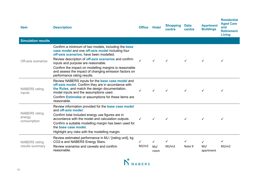| <b>Item</b>                                   | <b>Office</b><br><b>Description</b>                                                                                                                                                                                                                                                                                                                                                                      |            | Hotel                       | <b>Shopping</b><br>centre | <b>Data</b><br>centre | <b>Apartment</b><br><b>Buildings</b> | <b>Residential</b><br><b>Aged Care</b><br>and<br><b>Retirement</b><br><b>Living</b> |
|-----------------------------------------------|----------------------------------------------------------------------------------------------------------------------------------------------------------------------------------------------------------------------------------------------------------------------------------------------------------------------------------------------------------------------------------------------------------|------------|-----------------------------|---------------------------|-----------------------|--------------------------------------|-------------------------------------------------------------------------------------|
| <b>Simulation results</b>                     |                                                                                                                                                                                                                                                                                                                                                                                                          |            |                             |                           |                       |                                      |                                                                                     |
| Off-axis scenarios                            | Confirm a minimum of two models, including the base<br>case model and one off-axis model including four<br>off-axis scenarios, have been modelled.<br>Review description of <b>off-axis scenarios</b> and confirm<br>inputs and purpose are reasonable.<br>Confirm the impact on modelling margins is reasonable<br>and assess the impact of changing emission factors on<br>performance rating results. |            | ✓                           | ✓                         | $\checkmark$          | ✓                                    |                                                                                     |
| <b>NABERS</b> rating<br>inputs                | Review NABERS inputs for the base case model and<br>off-axis model. Confirm they are in accordance with<br>the Rules, and match the design documentation,<br>model inputs and the assumptions used.<br>Confirm <b>Estimates</b> or assumptions for these items are<br>reasonable.                                                                                                                        | ✓          | ✓                           | ✓                         | $\checkmark$          | ✓                                    |                                                                                     |
| <b>NABERS</b> rating<br>energy<br>consumption | Review information provided for the base case model<br>and off-axis model.<br>Confirm total included energy use figures are in<br>accordance with the model and calculation outputs.<br>Confirm a suitable modelling margin has been used for<br>the base case model.<br>Highlight any risks with the modelling margin.                                                                                  | ✓          | ✓                           |                           | $\checkmark$          | ✓                                    |                                                                                     |
| <b>NABERS</b> rating<br>results summary       | Review estimated performance in MJ / [rating unit], kg<br>CO2-e and NABERS Energy Stars.<br>Review scenarios and caveats and confirm<br>reasonable.                                                                                                                                                                                                                                                      | ✓<br>MJ/m2 | $\checkmark$<br>MJ/<br>room | ✓<br>MJ/m2                | ✓<br>Note 9           | $\checkmark$<br>MJ/<br>apartment     | MJ/m2                                                                               |

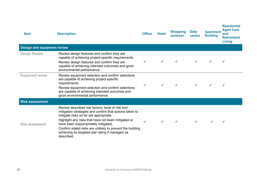| <b>Item</b>                        | <b>Description</b>                                                                                                                                                                                                                                                                                                                                                                  | <b>Office</b> | <b>Hotel</b> | <b>Shopping</b><br>centres= | <b>Data</b><br>centre | <b>Apartment</b><br><b>Building</b> | <b>Residential</b><br><b>Aged Care</b><br>and<br><b>Retirement</b><br><b>Living</b> |
|------------------------------------|-------------------------------------------------------------------------------------------------------------------------------------------------------------------------------------------------------------------------------------------------------------------------------------------------------------------------------------------------------------------------------------|---------------|--------------|-----------------------------|-----------------------|-------------------------------------|-------------------------------------------------------------------------------------|
| <b>Design and equipment review</b> |                                                                                                                                                                                                                                                                                                                                                                                     |               |              |                             |                       |                                     |                                                                                     |
| <b>Design Review</b>               | Review design features and confirm they are<br>capable of achieving project-specific requirements.<br>Review design features and confirm they are<br>capable of achieving intended outcomes and good<br>environmental performance.                                                                                                                                                  | $\checkmark$  | $\checkmark$ | $\checkmark$                |                       | $\checkmark$                        | $\checkmark$                                                                        |
| <b>Equipment review</b>            | Review equipment selection and confirm selections<br>are capable of achieving project-specific<br>requirements.<br>Review equipment selection and confirm selections<br>are capable of achieving intended outcomes and<br>good environmental performance.                                                                                                                           | ✓             |              |                             |                       |                                     | ✓                                                                                   |
| <b>Risk assessment</b>             |                                                                                                                                                                                                                                                                                                                                                                                     |               |              |                             |                       |                                     |                                                                                     |
| <b>Risk assessment</b>             | Review described risk factors, level of risk and<br>mitigation strategies and confirm that actions taken to<br>mitigate risks so far are appropriate.<br>Highlight any risks that have not been mitigated or<br>have been inappropriately mitigated.<br>Confirm stated risks are unlikely to prevent the building<br>achieving its targeted star rating if managed as<br>described. |               |              | $\checkmark$                |                       |                                     |                                                                                     |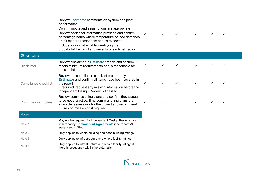|                      | Review Estimator comments on system and plant<br>performance.<br>Confirm inputs and assumptions are appropriate.<br>Review additional information provided and confirm<br>percentage hours where temperature or load demands<br>aren't met are reasonable and as expected.<br>Include a risk matrix table identifying the<br>probability/likelihood and severity of each risk factor. | ✓ | $\checkmark$ | $\checkmark$ |  | ✓ |  |
|----------------------|---------------------------------------------------------------------------------------------------------------------------------------------------------------------------------------------------------------------------------------------------------------------------------------------------------------------------------------------------------------------------------------|---|--------------|--------------|--|---|--|
| <b>Other items</b>   |                                                                                                                                                                                                                                                                                                                                                                                       |   |              |              |  |   |  |
| <b>Disclaimer</b>    | Review disclaimer in <b>Estimator</b> report and confirm it<br>meets minimum requirements and is reasonable for<br>the simulation.                                                                                                                                                                                                                                                    | ✓ |              |              |  |   |  |
| Compliance checklist | Review the compliance checklist prepared by the<br><b>Estimator</b> and confirm all items have been covered in<br>the report<br>If required, request any missing information before the<br>Independent Design Review is finalised.                                                                                                                                                    | ✓ |              |              |  |   |  |
| Commissioning plans  | Review commissioning plans and confirm they appear<br>to be good practice. If no commissioning plans are<br>available, assess risk for the project and recommend<br>future commissioning if required.                                                                                                                                                                                 |   | ✓            |              |  |   |  |
| <b>Notes</b>         |                                                                                                                                                                                                                                                                                                                                                                                       |   |              |              |  |   |  |
| Note 1               | May not be required for Independent Design Reviews used<br>with tenancy Commitment Agreements if no tenant AC<br>equipment is fitted.                                                                                                                                                                                                                                                 |   |              |              |  |   |  |
| Note 2               | Only applies to whole building and base building ratings.                                                                                                                                                                                                                                                                                                                             |   |              |              |  |   |  |
| Note 3               | Only applies to infrastructure and whole facility ratings.                                                                                                                                                                                                                                                                                                                            |   |              |              |  |   |  |
| Note 4               | Only applies to infrastructure and whole facility ratings if<br>there is occupancy within the data halls.                                                                                                                                                                                                                                                                             |   |              |              |  |   |  |

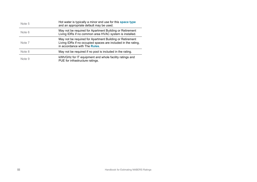| Note 5 | Hot water is typically a minor end use for this space type<br>and an appropriate default may be used.                                                      |
|--------|------------------------------------------------------------------------------------------------------------------------------------------------------------|
| Note 6 | May not be required for Apartment Building or Retirement<br>Living IDRs if no common area HVAC system is installed.                                        |
| Note 7 | May not be required for Apartment Building or Retirement<br>Living IDRs if no occupied spaces are included in the rating,<br>in accordance with The Rules. |
| Note 8 | May not be required if no pool is included in the rating.                                                                                                  |
| Note 9 | kWh/GHz for IT equipment and whole facility ratings and<br>PUE for infrastructure ratings.                                                                 |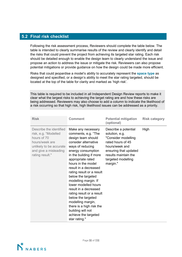## **5.2 Final risk checklist**

**[nabe](http://www.nabers.gov.au/)** table is intended to clearly summarise results of the review and clearly identify and detail Following the risk assessment process, Reviewers should complete the table below. The the risks that could prevent the project from achieving its targeted star rating. [Each risk](http://www.nabers.gov.au/)  should be detailed enough to enable the design team to clearly understand t[he issue and](http://www.nabers.gov.au/)  propose an action to address the issue or mitigate the risk. Reviewers can also propose potential mitigations or provide guidance on how the design could be made more efficient.

Risks that could jeopardise a model's ability to accurately represent the **space type** as designed and specified, or a design's ability to meet the star rating targeted, should be located at the top of the table for clarity and marked as 'high risk'.

This table is required to be included in all Independent Design Review reports to make it clear what the largest risks to achieving the target rating are and how these risks are being addressed. Reviewers may also choose to add a column to indicate the likelihood of a risk occurring so that high risk, high likelihood issues can be addressed as a priority.

| <b>Risk</b>                                                                                                                                             | <b>Comment</b>                                                                                                                                                                                                                                                                                                                                                                                                                                                                                                                 | <b>Potential mitigation</b><br>(optional)                                                                                                                                               | <b>Risk category</b> |
|---------------------------------------------------------------------------------------------------------------------------------------------------------|--------------------------------------------------------------------------------------------------------------------------------------------------------------------------------------------------------------------------------------------------------------------------------------------------------------------------------------------------------------------------------------------------------------------------------------------------------------------------------------------------------------------------------|-----------------------------------------------------------------------------------------------------------------------------------------------------------------------------------------|----------------------|
| Describe the identified<br>risk, e.g. "Modelled<br>hours of 70<br>hours/week are<br>unlikely to be accurate<br>and give a misleading<br>rating result." | Make any necessary<br>comments, e.g. "The<br>design team should<br>consider alternative<br>ways of reducing<br>energy consumption<br>in the building if more<br>appropriate rated<br>hours in the model<br>result in a decreased<br>rating result or a result<br>below the targeted<br>modelling margin. If<br>lower modelled hours<br>result in a decreased<br>rating result or a result<br>below the targeted<br>modelling margin,<br>there is a high risk the<br>building will not<br>achieve the targeted<br>star rating." | Describe a potential<br>solution, e.g.<br>"Consider modelling<br>rated hours of 45<br>hours/week and<br>ensuring that updated<br>results maintain the<br>targeted modelling<br>margin." | High                 |

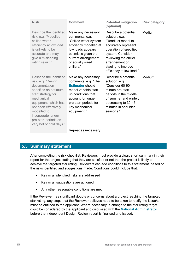| <b>Risk</b>                                                                                                                                                                                                                                                        | <b>Comment</b>                                                                                                                                                                                     | <b>Potential mitigation</b><br>(optional)                                                                                                                                                                                       | <b>Risk category</b> |
|--------------------------------------------------------------------------------------------------------------------------------------------------------------------------------------------------------------------------------------------------------------------|----------------------------------------------------------------------------------------------------------------------------------------------------------------------------------------------------|---------------------------------------------------------------------------------------------------------------------------------------------------------------------------------------------------------------------------------|----------------------|
| Describe the identified<br>risk, e.g. "Modelled<br>chilled water<br>efficiency at low load<br>is unlikely to be<br>accurate and may<br>give a misleading<br>rating result."                                                                                        | Make any necessary<br>comments, e.g.<br>"Chilled water system<br>efficiency modelled at<br>low loads appears<br>optimistic given the<br>current arrangement<br>of equally sized<br>chillers."      | Describe a potential<br>solution, e.g.<br>"Readjust model to<br>accurately represent<br>operation of specified<br>system. Consider<br>reviewing the chiller<br>arrangement or<br>staging to improve<br>efficiency at low load." | Medium               |
| Describe the identified<br>risk, e.g. "Design<br>documentation<br>specifies an optimum<br>start strategy for<br>mechanical<br>equipment, which has<br>not been effectively<br>modelled to<br>incorporate longer<br>pre-start periods on<br>very hot or cold days." | Make any necessary<br>comments, e.g. "The<br><b>Estimator should</b><br>model variable start<br>up conditions that<br>account for longer<br>pre-start periods for<br>key mechanical<br>equipment." | Describe a potential<br>solution, e.g.<br>"Consider 60-90<br>minute pre-start<br>periods in the middle<br>of summer and winter,<br>decreasing to 30-45<br>minutes in shoulder<br>seasons."                                      | Medium               |
|                                                                                                                                                                                                                                                                    | Repeat as necessary.                                                                                                                                                                               |                                                                                                                                                                                                                                 |                      |

## **5.3 Summary statement**

After completing the risk checklist, Reviewers must provide a clear, short summary in their report for the project stating that they are satisfied or not that the project is likely to achieve the targeted star rating. Reviewers can add conditions to this statement, based on the risks identified and suggestions made. Conditions could include that:

- Key or all identified risks are addressed
- Key or all suggestions are actioned
- Any other reasonable conditions are met.

If the Reviewer has significant doubts or concerns about a project reaching the targeted star rating, any steps that the Reviewer believes need to be taken to rectify the issue/s must be outlined to the applicant. Where necessary, a change to the star rating target could be considered by the applicant and discussed with the **National Administrator** before the Independent Design Review report is finalised and issued.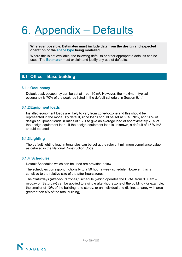# Appendix – Defaults

**Wherever possible, Estimates must include data from the design and expected operation of the space type being modelled.**

Where this is not available, the following defaults or other appropriate defaults [can be](http://www.nabers.gov.au/)  used. The **Estimator** must explain and justify any use of defaults.

## **6.1 Office – Base building**

## **6.1.1Occupancy**

Default peak occupancy can be set at 1 per 10 m². However, the maximum typical occupancy is 70% of the peak, as listed in the default schedule in Section 6.1.4.

## **6.1.2Equipment loads**

Installed equipment loads are likely to vary from zone-to-zone and this should be represented in the model. By default, zone loads should be set at 50%, 70%, and 90% of design equipment loads in ratios of 1:2:1 to give an average load of approximately 70% of the design equipment load. If the design equipment load is unknown, a default of 15 W/m2 should be used.

## **6.1.3Lighting**

The default lighting load in tenancies can be set at the relevant minimum compliance value as detailed in the National Construction Code.

#### **6.1.4 Schedules**

Default Schedules which can be used are provided below.

The schedules correspond notionally to a 50 hour a week schedule. However, this is sensitive to the relative size of the after-hours zones.

The "Saturdays (after-hours zones)" schedule (which operates the HVAC from 9.00am – midday on Saturday) can be applied to a single after-hours zone of the building (for example, the smaller of 10% of the building, one storey, or an individual and distinct tenancy with area greater than 5% of the total building).

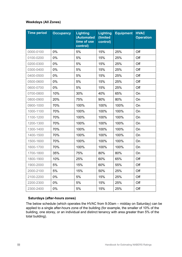## **Weekdays (All Zones)**

| <b>Time period</b> | <b>Occupancy</b> | <b>Lighting</b><br>(Automated<br>time of use<br>control) | <b>Lighting</b><br>(limited<br>control) | <b>Equipment</b> | <b>HVAC</b><br><b>Operation</b> |
|--------------------|------------------|----------------------------------------------------------|-----------------------------------------|------------------|---------------------------------|
| 0000-0100          | 0%               | 5%                                                       | 15%                                     | 25%              | Off                             |
| 0100-0200          | 0%               | 5%                                                       | 15%                                     | 25%              | Off                             |
| 0200-0300          | 0%               | 5%                                                       | 15%                                     | 25%              | Off                             |
| 0300-0400          | 0%               | 5%                                                       | 15%                                     | 25%              | Off                             |
| 0400-0500          | 0%               | 5%                                                       | 15%                                     | 25%              | Off                             |
| 0500-0600          | 0%               | 5%                                                       | 15%                                     | 25%              | Off                             |
| 0600-0700          | 0%               | 5%                                                       | 15%                                     | 25%              | Off                             |
| 0700-0800          | 10%              | 30%                                                      | 40%                                     | 65%              | On                              |
| 0800-0900          | 20%              | 75%                                                      | 90%                                     | 80%              | On                              |
| 0900-1000          | 70%              | 100%                                                     | 100%                                    | 100%             | On                              |
| 1000-1100          | 70%              | 100%                                                     | 100%                                    | 100%             | On                              |
| 1100-1200          | 70%              | 100%                                                     | 100%                                    | 100%             | On                              |
| 1200-1300          | 70%              | 100%                                                     | 100%                                    | 100%             | On                              |
| 1300-1400          | 70%              | 100%                                                     | 100%                                    | 100%             | On                              |
| 1400-1500          | 70%              | 100%                                                     | 100%                                    | 100%             | On                              |
| 1500-1600          | 70%              | 100%                                                     | 100%                                    | 100%             | On                              |
| 1600-1700          | 70%              | 100%                                                     | 100%                                    | 100%             | On                              |
| 1700-1800          | 35%              | 75%                                                      | 80%                                     | 80%              | On                              |
| 1800-1900          | 10%              | 25%                                                      | 60%                                     | 65%              | Off                             |
| 1900-2000          | 5%               | 15%                                                      | 60%                                     | 55%              | Off                             |
| 2000-2100          | 5%               | 15%                                                      | 50%                                     | 25%              | Off                             |
| 2100-2200          | 0%               | 5%                                                       | 15%                                     | 25%              | Off                             |
| 2200-2300          | 0%               | 5%                                                       | 15%                                     | 25%              | Off                             |
| 2300-2400          | 0%               | 5%                                                       | 15%                                     | 25%              | Off                             |

## **Saturdays (after-hours zones)**

The below schedule (which operates the HVAC from 9.00am – midday on Saturday) can be applied to a single after-hours zone of the building (for example, the smaller of 10% of the building, one storey, or an individual and distinct tenancy with area greater than 5% of the total building).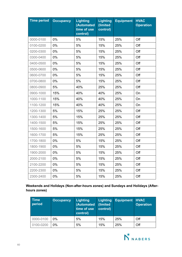| <b>Time period</b> | <b>Occupancy</b> | <b>Lighting</b><br>(Automated<br>time of use<br>control) | <b>Lighting</b><br>(limited<br>control) | <b>Equipment</b> | <b>HVAC</b><br><b>Operation</b> |
|--------------------|------------------|----------------------------------------------------------|-----------------------------------------|------------------|---------------------------------|
| 0000-0100          | 0%               | 5%                                                       | 15%                                     | 25%              | Off                             |
| 0100-0200          | 0%               | 5%                                                       | 15%                                     | 25%              | Off                             |
| 0200-0300          | 0%               | 5%                                                       | 15%                                     | 25%              | Off                             |
| 0300-0400          | 0%               | 5%                                                       | 15%                                     | 25%              | Off                             |
| 0400-0500          | 0%               | 5%                                                       | 15%                                     | 25%              | Off                             |
| 0500-0600          | 0%               | 5%                                                       | 15%                                     | 25%              | Off                             |
| 0600-0700          | 0%               | 5%                                                       | 15%                                     | 25%              | Off                             |
| 0700-0800          | 0%               | 5%                                                       | 15%                                     | 25%              | Off                             |
| 0800-0900          | 5%               | 40%                                                      | 25%                                     | 25%              | Off                             |
| 0900-1000          | 15%              | 40%                                                      | 40%                                     | 25%              | On                              |
| 1000-1100          | 15%              | 40%                                                      | 40%                                     | 25%              | On                              |
| 1100-1200          | 15%              | 40%                                                      | 40%                                     | 25%              | On                              |
| 1200-1300          | 5%               | 15%                                                      | 25%                                     | 25%              | Off                             |
| 1300-1400          | 5%               | 15%                                                      | 25%                                     | 25%              | Off                             |
| 1400-1500          | 5%               | 15%                                                      | 25%                                     | 25%              | Off                             |
| 1500-1600          | 5%               | 15%                                                      | 25%                                     | 25%              | Off                             |
| 1600-1700          | 5%               | 15%                                                      | 25%                                     | 25%              | Off                             |
| 1700-1800          | 0%               | 5%                                                       | 15%                                     | 25%              | Off                             |
| 1800-1900          | 0%               | 5%                                                       | 15%                                     | 25%              | Off                             |
| 1900-2000          | 0%               | 5%                                                       | 15%                                     | 25%              | Off                             |
| 2000-2100          | 0%               | 5%                                                       | 15%                                     | 25%              | Off                             |
| 2100-2200          | 0%               | 5%                                                       | 15%                                     | 25%              | Off                             |
| 2200-2300          | 0%               | 5%                                                       | 15%                                     | 25%              | Off                             |
| 2300-2400          | 0%               | 5%                                                       | 15%                                     | 25%              | Off                             |

**Weekends and Holidays (Non-after-hours zones) and Sundays and Holidays (Afterhours zones)**

| <b>Time</b><br>period | <b>Occupancy</b> | Lighting<br>(Automated<br>time of use<br>control) | <b>Lighting</b><br>(limited<br>control) | <b>Equipment</b> | <b>HVAC</b><br><b>Operation</b> |
|-----------------------|------------------|---------------------------------------------------|-----------------------------------------|------------------|---------------------------------|
| 0000-0100             | 0%               | 5%                                                | 15%                                     | 25%              | Off                             |
| 0100-0200             | 0%               | 5%                                                | 15%                                     | 25%              | Off                             |

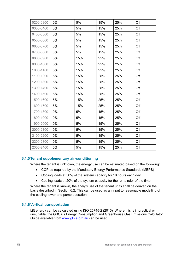| 0200-0300 | 0%    | 5%  | 15% | 25% | Off |
|-----------|-------|-----|-----|-----|-----|
| 0300-0400 | 0%    | 5%  | 15% | 25% | Off |
| 0400-0500 | 0%    | 5%  | 15% | 25% | Off |
| 0500-0600 | 0%    | 5%  | 15% | 25% | Off |
| 0600-0700 | 0%    | 5%  | 15% | 25% | Off |
| 0700-0800 | 0%    | 5%  | 15% | 25% | Off |
| 0800-0900 | 5%    | 15% | 25% | 25% | Off |
| 0900-1000 | 5%    | 15% | 25% | 25% | Off |
| 1000-1100 | 5%    | 15% | 25% | 25% | Off |
| 1100-1200 | 5%    | 15% | 25% | 25% | Off |
| 1200-1300 | 5%    | 15% | 25% | 25% | Off |
| 1300-1400 | 5%    | 15% | 25% | 25% | Off |
| 1400-1500 | 5%    | 15% | 25% | 25% | Off |
| 1500-1600 | 5%    | 15% | 25% | 25% | Off |
| 1600-1700 | 5%    | 15% | 25% | 25% | Off |
| 1700-1800 | $0\%$ | 5%  | 15% | 25% | Off |
| 1800-1900 | 0%    | 5%  | 15% | 25% | Off |
| 1900-2000 | 0%    | 5%  | 15% | 25% | Off |
| 2000-2100 | $0\%$ | 5%  | 15% | 25% | Off |
| 2100-2200 | 0%    | 5%  | 15% | 25% | Off |
| 2200-2300 | 0%    | 5%  | 15% | 25% | Off |
| 2300-2400 | 0%    | 5%  | 15% | 25% | Off |
|           |       |     |     |     |     |

## **6.1.5Tenant supplementary air-conditioning**

Where the tenant is unknown, the energy use can be estimated based on the following:

- COP as required by the Mandatory Energy Performance Standards (MEPS)
- Cooling loads at 50% of the system capacity for 10 hours each day
- Cooling loads at 20% of the system capacity for the remainder of the time.

Where the tenant is known, the energy use of the tenant units shall be derived on the basis described in Section 6.2. This can be used as an input to reasonable modelling of the cooling tower and pump operation.

## **6.1.6Vertical transportation**

Lift energy can be calculated using ISO 25745-2 (2015). Where this is impractical or unsuitable, the GBCA's Energy Consumption and Greenhouse Gas Emissions Calculator Guide available from [www.gbca.org.au](http://www.gbca.org.au/) can be used.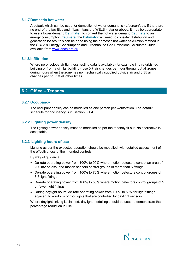## **6.1.7Domestic hot water**

A default which can be used for domestic hot water demand is 4L/person/day. If there are no end-of-trip facilities and if basin taps are WELS 4 star or above, it may be appropriate to use a lower demand **Estimate**. To convert the hot water demand **Estimate** to an energy consumption **Estimate**, the **Estimator** will need to consider distribution and generation losses. this can be done using the domestic hot water calculation method in the GBCA's Energy Consumption and Greenhouse Gas Emissions Calculator Guide available from [www.gbca.org.au.](http://www.gbca.org.au/)

## **6.1.8 Infiltration**

Where no envelope air tightness testing data is available (for example in a refurbished building or from a similar building), use 0.7 air changes per hour throughout all zones during hours when the zone has no mechanically supplied outside air and 0.35 air changes per hour at all other times.

## **6.2 Office – Tenancy**

## **6.2.1Occupancy**

The occupant density can be modelled as one person per workstation. The default schedule for occupancy is in Section 6.1.4.

## **6.2.2 Lighting power density**

The lighting power density must be modelled as per the tenancy fit out. No alternative is acceptable.

## **6.2.3 Lighting hours of use**

Lighting as per the expected operation should be modelled, with detailed assessment of the effectiveness of the intended controls.

By way of guidance:

- De-rate operating power from 100% to 90% where motion detectors control an area of 200 m2 or less, and motion sensors control groups of more than 6 fittings.
- De-rate operating power from 100% to 70% where motion detectors control groups of 3-6 light fittings
- De-rate operating power from 100% to 55% where motion detectors control groups of 2 or fewer light fittings.
- During daylight hours, de-rate operating power from 100% to 50% for light fittings adjacent to windows or roof lights that are controlled by daylight sensors.

Where daylight linking is claimed, daylight modelling should be used to demonstrate the percentage reduction in use.

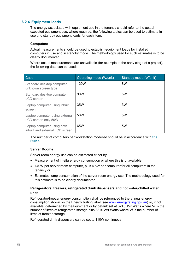## **6.2.4 Equipment loads**

The energy associated with equipment use in the tenancy should refer to the actual expected equipment use. where required, the following tables can be used to estimate inuse and standby equipment loads for each item.

### **Computers**

Actual measurements should be used to establish equipment loads for installed computers in use and in standby mode. The methodology used for such estimates is to be clearly documented.

Where actual measurements are unavailable (for example at the early stage of a project), the following data can be used:

| Case                                                          | Operating mode (W/unit) | Standby mode (W/unit) |
|---------------------------------------------------------------|-------------------------|-----------------------|
| Standard desktop computer,<br>unknown screen type             | 120W                    | 8W                    |
| Standard desktop computer,<br>LCD screen                      | 90W                     | 5W                    |
| Laptop computer using inbuilt<br>screen                       | 35W                     | 3W                    |
| Laptop computer using external<br>LCD screen only 50W         | 50W                     | 5W                    |
| Laptop computer using both<br>inbuilt and external LCD screen | 65W                     | 5W                    |

The number of computers per workstation modelled should be in accordance with **the Rules**.

#### **Server Rooms**

Server room energy use can be estimated either by:

- Measurement of in-situ energy consumption or where this is unavailable
- 140W per server room computer, plus 4.5W per computer for all computers in the tenancy or
- Estimated lump consumption of the server room energy use. The methodology used for this estimate is to be clearly documented.

## **Refrigerators, freezers, refrigerated drink dispensers and hot water/chilled water units**

Refrigerator/freezer energy consumption shall be referenced to the annual energy consumption shown on the Energy Rating label (see [www.energyrating.gov.au\)](http://www.energyrating.gov.au/) or, if not available, determined by measurement or by default set at 32+0.1Vr Watts where Vr is the number of litres of refrigerated storage plus 38+0.2Vf Watts where Vf is the number of litres of freezer storage.

Refrigerated drink dispensers can be set to 110W continuous.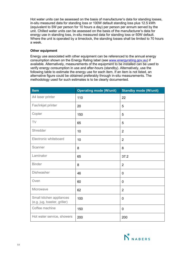Hot water units can be assessed on the basis of manufacturer's data for standing losses, in-situ measured data for standing loss or 100W default standing loss plus 12.5 kWh (equivalent to 5W per person for 10 hours a day) per person per annum served by the unit. Chilled water units can be assessed on the basis of the manufacturer's data for energy use in standing loss, in-situ measured data for standing loss or 50W default. Where the unit is operated by a timeclock, the standing losses shall be limited to 70 hours a week.

## **Other equipment**

Energy use associated with other equipment can be referenced to the annual energy consumption shown on the Energy Rating label (see [www.energyrating.gov.au\)](http://www.energyrating.gov.au/) if available. Alternatively, measurements of the equipment to be installed can be used to verify energy consumption in use and after-hours (standby). Alternatively, use the following table to estimate the energy use for each item. If an item is not listed, an alternative figure could be obtained preferably through in-situ measurements. The methodology used for such estimates is to be clearly documented.

| Item                                                     | <b>Operating mode (W/unit)</b> | <b>Standby mode (W/unit)</b> |  |
|----------------------------------------------------------|--------------------------------|------------------------------|--|
| A4 laser printer                                         | 110                            | 22                           |  |
| Fax/inkjet printer                                       | 20                             | 5                            |  |
| Copier                                                   | 150                            | 5                            |  |
| TV                                                       | 65                             | 5                            |  |
| Shredder                                                 | 10                             | $\overline{2}$               |  |
| Electronic whiteboard                                    | 10                             | $\overline{2}$               |  |
| Scanner                                                  | 8                              | 8                            |  |
| Laminator                                                | 65                             | 37.2                         |  |
| <b>Binder</b>                                            | 8                              | $\overline{2}$               |  |
| <b>Dishwasher</b>                                        | 46                             | $\mathbf 0$                  |  |
| Oven                                                     | 60                             | $\mathbf 0$                  |  |
| Microwave                                                | 62                             | $\overline{2}$               |  |
| Small kitchen appliances<br>(e.g. jug, toaster, griller) | 100                            | $\mathbf 0$                  |  |
| Coffee machine                                           | 150                            | $\mathbf 0$                  |  |
| Hot water service, showers                               | 200                            | 200                          |  |

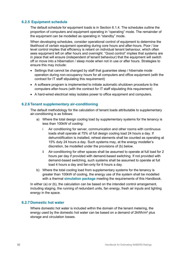## **6.2.5 Equipment schedule**

The default schedule for equipment loads is in Section 6.1.4. The schedules outline the proportion of computers and equipment operating in "operating" mode. The remainder of the equipment can be modelled as operating in "standby" mode.

When developing schedules, consider operational control of equipment to determine the likelihood of certain equipment operating during core hours and after-hours. Poor / low level control implies that efficiency is reliant on individual tenant behaviour, which often sees equipment left on after hours and overnight. "Good control" implies that systems are in place that will ensure (independent of tenant behaviour) that the equipment will switch off or move into a hibernation / sleep mode when not in use or after hours. Strategies to ensure this may include:

- Settings that cannot be changed by staff that guarantee sleep / hibernate mode operation during non-occupancy hours for all computers and office equipment (with the contract for IT staff stipulating this requirement)
- A software program is implemented to initiate automatic shutdown procedure to the computers after-hours (with the contract for IT staff stipulating this requirement)
- A hard-wired electrical relay isolates power to office equipment and computers.

## **6.2.6Tenant supplementary air-conditioning**

The default methodology for the calculation of tenant loads attributable to supplementary air-conditioning is as follows:

- a) Where the total design cooling load by supplementary systems for the tenancy is less than 100kW of cooling:
	- i Air conditioning for server, communication and other rooms with continuous loads shall operate at 75% of full design cooling load 24 hours a day. If dehumidification is installed, reheat elements shall be counted as operating at 15% duty 24 hours a day. Such systems may, at the energy modeller's discretion, be modelled under the provisions of (b) below.
	- ii Air-conditioning for other spaces shall be assumed to operate at full load for 2 hours per day if provided with demand-based switching. If not provided with demand-based switching, such systems shall be assumed to operate at full load 4 hours a day and fan-only for 6 hours a day.
- b) Where the total cooling load from supplementary systems for the tenancy is greater than 100kW of cooling, the energy use of the system shall be modelled with a thermal **simulation package** meeting the requirements of this Handbook.

In either (a) or (b), the calculation can be based on the intended control arrangement, including staging, the running of redundant units, fan energy, fresh air inputs and lighting energy in the space.

#### **6.2.7Domestic hot water**

Where domestic hot water is included within the domain of the tenant metering, the energy used by the domestic hot water can be based on a demand of 2kWh/m<sup>2</sup> plus storage and circulation losses.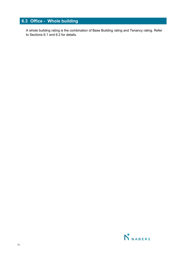## **6.3 Office - Whole building**

A whole building rating is the combination of Base Building rating and Tenancy rating. Refer to Sections 6.1 and 6.2 for details.

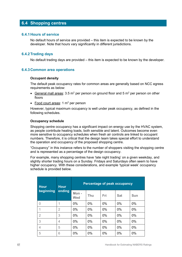## **6.4 Shopping centres**

## **6.4.1Hours of service**

No default hours of service are provided – this item is expected to be known by the developer. Note that hours vary significantly in different jurisdictions.

### **6.4.2Trading days**

No default trading days are provided – this item is expected to be known by the developer.

#### **6.4.3Common area operations**

#### **Occupant density**

The default peak occupancy rates for common areas are generally based on NCC egress requirements as below:

- General mall areas:  $3.5 \text{ m}^2$  per person on ground floor and  $5 \text{ m}^2$  per person on other floors
- Food court areas:  $1 \text{ m}^2$  per person

However, typical maximum occupancy is well under peak occupancy, as defined in the following schedules.

#### **Occupancy schedule**

Shopping centre occupancy has a significant impact on energy use by the HVAC system, as people contribute heating loads, both sensible and latent. Outcomes become even more sensitive to occupancy schedules when fresh air controls are linked to occupant numbers. Therefore, it is critical that the design team takes special effort to understand the operation and occupancy of the proposed shopping centre.

"Occupancy" in this instance refers to the number of shoppers visiting the shopping centre and is represented as a percentage of the design occupancy.

For example, many shopping centres have 'late night trading' on a given weekday, and slightly shorter trading hours on a Sunday. Fridays and Saturdays often seem to have higher occupancy. With these considerations, and example 'typical week' occupancy schedule is provided below.

| <b>Hour</b><br>beginning | <b>Hour</b><br>ending | <b>Percentage of peak occupancy</b> |       |       |            |            |  |
|--------------------------|-----------------------|-------------------------------------|-------|-------|------------|------------|--|
|                          |                       | Mon-<br><b>Wed</b>                  | Thu   | Fri   | <b>Sat</b> | <b>Sun</b> |  |
| 0                        | 1                     | 0%                                  | 0%    | 0%    | 0%         | $0\%$      |  |
| 1                        | $\overline{2}$        | 0%                                  | 0%    | 0%    | 0%         | $0\%$      |  |
| $\overline{2}$           | 3                     | $0\%$                               | $0\%$ | $0\%$ | $0\%$      | $0\%$      |  |
| 3                        | $\overline{4}$        | 0%                                  | 0%    | 0%    | 0%         | $0\%$      |  |
| 4                        | 5                     | 0%                                  | 0%    | 0%    | 0%         | $0\%$      |  |
| 5                        | 6                     | 0%                                  | 0%    | 0%    | 0%         | 0%         |  |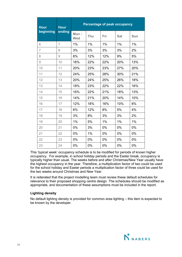| <b>Hour</b>    | <b>Hour</b><br>ending | Percentage of peak occupancy |     |     |            |            |  |
|----------------|-----------------------|------------------------------|-----|-----|------------|------------|--|
| beginning      |                       | Mon-<br>Wed                  | Thu | Fri | <b>Sat</b> | <b>Sun</b> |  |
| 6              | $\overline{7}$        | 1%                           | 1%  | 1%  | 1%         | 1%         |  |
| $\overline{7}$ | 8                     | 3%                           | 3%  | 3%  | 3%         | 2%         |  |
| 8              | 9                     | 8%                           | 12% | 12% | 9%         | 5%         |  |
| 9              | 10                    | 16%                          | 22% | 22% | 20%        | 13%        |  |
| 10             | 11                    | 20%                          | 23% | 23% | 27%        | 20%        |  |
| 11             | 12                    | 24%                          | 25% | 28% | 30%        | 21%        |  |
| 12             | 13                    | 20%                          | 24% | 25% | 26%        | 18%        |  |
| 13             | 14                    | 18%                          | 23% | 22% | 22%        | 16%        |  |
| 14             | 15                    | 16%                          | 22% | 21% | 18%        | 13%        |  |
| 15             | 16                    | 14%                          | 21% | 20% | 14%        | 10%        |  |
| 16             | 17                    | 12%                          | 18% | 16% | 10%        | 6%         |  |
| 17             | 18                    | 6%                           | 12% | 8%  | 5%         | 4%         |  |
| 18             | 19                    | 3%                           | 8%  | 3%  | 3%         | 2%         |  |
| 19             | 20                    | 1%                           | 5%  | 1%  | 1%         | 1%         |  |
| 20             | 21                    | 0%                           | 3%  | 0%  | 0%         | 0%         |  |
| 21             | 22                    | 0%                           | 1%  | 0%  | 0%         | 0%         |  |
| 22             | 23                    | 0%                           | 0%  | 0%  | 0%         | 0%         |  |
| 23             | 24                    | 0%                           | 0%  | 0%  | 0%         | 0%         |  |

This 'typical week' occupancy schedule is to be modified for periods of known higher occupancy. For example, in school holiday periods and the Easter break, occupancy is typically higher than usual. The weeks before and after Christmas/New Year usually have the highest occupancy in the year. Therefore, a multiplication factor of two could be used for the school holiday and Easter periods a multiplication factor of three could be used for the two weeks around Christmas and New Year.

It is reiterated that the project modelling team must review these default schedules for relevance to their proposed shopping centre design. The schedules should be modified as appropriate, and documentation of these assumptions must be included in the report.

#### **Lighting density**

No default lighting density is provided for common area lighting – this item is expected to be known by the developer.

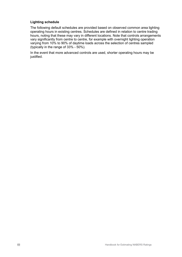## **Lighting schedule**

The following default schedules are provided based on observed common area lighting operating hours in existing centres. Schedules are defined in relation to centre trading hours, noting that these may vary in different locations. Note that controls arrangements vary significantly from centre to centre, for example with overnight lighting operation varying from 10% to 90% of daytime loads across the selection of centres sampled (typically in the range of 33% - 50%).

In the event that more advanced controls are used, shorter operating hours may be justified.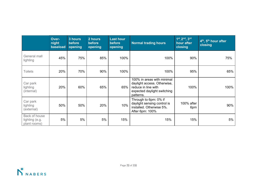|                                                 | Over-<br>night<br>baseload | 3 hours<br>before<br>opening | 2 hours<br>before<br>opening | <b>Last hour</b><br>before<br>opening | <b>Normal trading hours</b>                                                                                                  | 1st <sub>, 2nd</sub> , 3rd<br>hour after<br>closing | 4 <sup>th</sup> , 5 <sup>th</sup> hour after<br>closing |
|-------------------------------------------------|----------------------------|------------------------------|------------------------------|---------------------------------------|------------------------------------------------------------------------------------------------------------------------------|-----------------------------------------------------|---------------------------------------------------------|
| General mall<br>lighting                        | 45%                        | 75%                          | 85%                          | 100%                                  | 100%                                                                                                                         | 90%                                                 | 75%                                                     |
| <b>Toilets</b>                                  | 20%                        | 70%                          | 90%                          | 100%                                  | 100%                                                                                                                         | 95%                                                 | 65%                                                     |
| Car park<br>lighting<br>(internal)              | 20%                        | 60%                          | 65%                          | 65%                                   | 100% in areas with minimal<br>daylight access. Otherwise,<br>reduce in line with<br>expected daylight switching<br>patterns. | 100%                                                | 100%                                                    |
| Car park<br>lighting<br>(external)              | 50%                        | 50%                          | 20%                          | 10%                                   | Through to 6pm: 0% if<br>daylight sensing control is<br>installed. Otherwise 5%.<br>After 6pm: 100%                          | 100% after<br>6pm                                   | 90%                                                     |
| Back of house<br>lighting (e.g.<br>plant rooms) | 5%                         | 5%                           | 5%                           | 15%                                   | 15%                                                                                                                          | 15%                                                 | 5%                                                      |

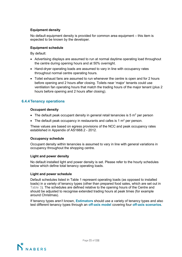## **Equipment density**

No default equipment density is provided for common area equipment – this item is expected to be known by the developer.

#### **Equipment schedule**

By default:

- Advertising displays are assumed to run at normal daytime operating load [throughout](http://www.nabers.gov.au/)  the centre during opening hours and at 50% overnight.
- Hand-dryer operating loads are assumed to vary in line with occupancy rates throughout normal centre operating hours.
- Toilet exhaust fans are assumed to run whenever the centre is open and for 2 hours before opening and 2 hours after closing. Toilets near 'major' tenants could use ventilation fan operating hours that match the trading hours of the major tenant (plus 2 hours before opening and 2 hours after closing).

## **6.4.4Tenancy operations**

#### **Occupant density**

- The default peak occupant density in general retail tenancies is  $5 \text{ m}^2$  per person
- The default peak occupancy in restaurants and cafes is 1  $m<sup>2</sup>$  per person.

These values are based on egress provisions of the NCC and peak occupancy rates established in Appendix of AS1668.2 - 2012.

#### **Occupancy schedule**

Occupant density within tenancies is assumed to vary in line with general variations in occupancy throughout the shopping centre.

#### **Light and power density**

No default installed light and power density is set. Please refer to the hourly schedules below which define total tenancy operating loads.

#### **Light and power schedule**

Default schedules listed in Table 1 represent operating loads (as opposed to installed loads) in a variety of tenancy types (other than prepared food sales, which are set out in Table 3). The schedules are defined relative to the opening hours of the Centre and should be adjusted to recognise extended trading hours at peak times (for example around Christmas).

If tenancy types aren't known, **Estimators** should use a variety of tenancy types and also test different tenancy types through an **off-axis model** covering four **off-axis scenarios**.

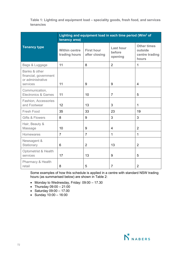**Table 1: Lighting and equipment load – speciality goods, fresh food, and services tenancies**

|                                                                         | Lighting and equipment load in each time period (W/m <sup>2</sup> of<br>tenancy area) |                                    |                                       |                                                          |  |  |  |
|-------------------------------------------------------------------------|---------------------------------------------------------------------------------------|------------------------------------|---------------------------------------|----------------------------------------------------------|--|--|--|
| <b>Tenancy type</b>                                                     | <b>Within centre</b><br>trading hours                                                 | <b>First hour</b><br>after closing | <b>Last hour</b><br>before<br>opening | <b>Other times</b><br>outside<br>centre trading<br>hours |  |  |  |
| Bags & Luggage                                                          | 11                                                                                    | 8                                  | $\overline{2}$                        | $\mathbf{1}$                                             |  |  |  |
| Banks & other<br>financial, government<br>or administrative<br>services | 11                                                                                    | 9                                  | 9                                     | $\overline{4}$                                           |  |  |  |
| Communication,<br>Electronics & Games                                   | 11                                                                                    | 10                                 | $\overline{7}$                        | 5                                                        |  |  |  |
| Fashion, Accessories<br>and Footwear                                    | 12                                                                                    | 13                                 | 3                                     | 1                                                        |  |  |  |
| Fresh Food                                                              | 35                                                                                    | 33                                 | 23                                    | 19                                                       |  |  |  |
| <b>Gifts &amp; Flowers</b>                                              | 8                                                                                     | 9                                  | 3                                     | 3                                                        |  |  |  |
| Hair, Beauty &<br>Massage                                               | 10                                                                                    | 9                                  | $\overline{4}$                        | $\overline{2}$                                           |  |  |  |
| Homewares                                                               | $\overline{7}$                                                                        | $\overline{7}$                     | $\mathbf{1}$                          | $\mathbf{1}$                                             |  |  |  |
| Newsagent &<br>Stationary                                               | 6                                                                                     | $\overline{2}$                     | 13                                    | $\overline{2}$                                           |  |  |  |
| <b>Optometrist &amp; Health</b><br>services                             | 17                                                                                    | 13                                 | 9                                     | 5                                                        |  |  |  |
| Pharmacy & Health<br>retail                                             | 8                                                                                     | 5                                  | $\overline{7}$                        | $\overline{2}$                                           |  |  |  |

Some examples of how this schedule is applied in a centre with standard NSW trading hours (as summarised below) are shown in Table 2:

- Monday to Wednesday, Friday: 09:00 17.30
- Thursday  $09:00 21:00$
- Saturday  $09:00 17.00$
- Sunday 10:00 16:00

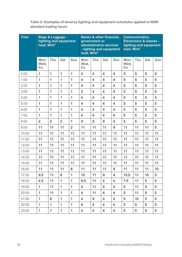**Table 2: Examples of tenancy lighting and equipment schedules applied to NSW standard trading hours**

| <b>Time</b> | <b>Bags &amp; Luggage -</b><br>lighting and equipment<br>load, W/m <sup>2</sup> |                |                |                | <b>Banks &amp; other financial,</b><br>government or<br>administrative services<br>- lighting and equipment<br>load, $W/m2$ |                |                         | <b>Communication,</b><br><b>Electronics &amp; Games -</b><br>lighting and equipment<br>load, W/m <sup>2</sup> |                     |     |            |            |
|-------------|---------------------------------------------------------------------------------|----------------|----------------|----------------|-----------------------------------------------------------------------------------------------------------------------------|----------------|-------------------------|---------------------------------------------------------------------------------------------------------------|---------------------|-----|------------|------------|
|             | Mon-<br>Wed,<br>Fri                                                             | Thu            | <b>Sat</b>     | <b>Sun</b>     | Mon-<br>Wed,<br>Fri                                                                                                         | Thu            | <b>Sat</b>              | Sun                                                                                                           | Mon-<br>Wed,<br>Fri | Thu | <b>Sat</b> | <b>Sun</b> |
| 0:00        | 1                                                                               | $\mathbf{1}$   | 1              | 1              | $\overline{4}$                                                                                                              | $\overline{4}$ | 4                       | $\overline{4}$                                                                                                | 5                   | 5   | 5          | 5          |
| 1:00        | 1                                                                               | $\mathbf{1}$   | 1              | 1              | $\overline{4}$                                                                                                              | $\overline{4}$ | $\overline{\mathbf{4}}$ | $\overline{4}$                                                                                                | 5                   | 5   | 5          | 5          |
| 2:00        | $\mathbf{1}$                                                                    | 1              | $\mathbf{1}$   | $\mathbf{1}$   | $\overline{4}$                                                                                                              | $\overline{4}$ | $\overline{\mathbf{4}}$ | $\overline{4}$                                                                                                | 5                   | 5   | 5          | 5          |
| 3:00        | 1                                                                               | $\mathbf{1}$   | 1              | $\mathbf 1$    | $\overline{4}$                                                                                                              | $\overline{4}$ | $\overline{4}$          | $\overline{4}$                                                                                                | 5                   | 5   | 5          | 5          |
| 4:00        | 1                                                                               | $\mathbf 1$    | 1              | 1              | $\overline{4}$                                                                                                              | $\overline{4}$ | 4                       | $\overline{4}$                                                                                                | 5                   | 5   | 5          | 5          |
| 5:00        | 1                                                                               | 1              | $\mathbf{1}$   | $\mathbf 1$    | $\overline{4}$                                                                                                              | $\overline{4}$ | $\overline{4}$          | $\overline{4}$                                                                                                | 5                   | 5   | 5          | 5          |
| 6:00        | $\mathbf{1}$                                                                    | 1              | 1              | 1              | $\overline{4}$                                                                                                              | $\overline{4}$ | $\overline{\mathbf{4}}$ | $\overline{4}$                                                                                                | 5                   | 5   | 5          | 5          |
| 7:00        | 1                                                                               | 1              | $\mathbf{1}$   | $\mathbf 1$    | $\overline{4}$                                                                                                              | $\overline{4}$ | $\overline{4}$          | $\overline{4}$                                                                                                | 5                   | 5   | 5          | 5          |
| 8:00        | $\overline{2}$                                                                  | $\overline{2}$ | $\overline{2}$ | 1              | 9                                                                                                                           | 9              | $\boldsymbol{9}$        | $\overline{4}$                                                                                                | 5                   | 5   | 5          | 5          |
| 9:00        | 11                                                                              | 11             | 11             | $\overline{2}$ | 11                                                                                                                          | 11             | 11                      | 9                                                                                                             | 11                  | 11  | 11         | 5          |
| 10:00       | 11                                                                              | 11             | 11             | 11             | 11                                                                                                                          | 11             | 11                      | 11                                                                                                            | 11                  | 11  | 11         | 11         |
| 11:00       | 11                                                                              | 11             | 11             | 11             | 11                                                                                                                          | 11             | 11                      | 11                                                                                                            | 11                  | 11  | 11         | 11         |
| 12:00       | 11                                                                              | 11             | 11             | 11             | 11                                                                                                                          | 11             | 11                      | 11                                                                                                            | 11                  | 11  | 11         | 11         |
| 13:00       | 11                                                                              | 11             | 11             | 11             | 11                                                                                                                          | 11             | 11                      | 11                                                                                                            | 11                  | 11  | 11         | 11         |
| 14:00       | 11                                                                              | 11             | 11             | 11             | 11                                                                                                                          | 11             | 11                      | 11                                                                                                            | 11                  | 11  | 11         | 11         |
| 15:00       | 11                                                                              | 11             | 11             | 11             | 11                                                                                                                          | 11             | 11                      | 11                                                                                                            | 11                  | 11  | 11         | 11         |
| 16:00       | 11                                                                              | 11             | 11             | 8              | 11                                                                                                                          | 11             | 11                      | $\boldsymbol{9}$                                                                                              | 11                  | 11  | 11         | 10         |
| 17:00       | 9.5                                                                             | 11             | 8              | $\mathbf{1}$   | 10                                                                                                                          | 11             | 9                       | $\overline{4}$                                                                                                | 10.5                | 11  | 10         | 5          |
| 18:00       | 4.5                                                                             | 11             | 1              | $\mathbf{1}$   | 6.5                                                                                                                         | 11             | 4                       | 4                                                                                                             | 7.5                 | 11  | 5          | 5          |
| 19:00       | $\mathbf{1}$                                                                    | 11             | 1              | $\mathbf{1}$   | $\overline{4}$                                                                                                              | 11             | 4                       | $\overline{4}$                                                                                                | 5                   | 11  | 5          | 5          |
| 20:00       | $\mathbf{1}$                                                                    | 11             | 1              | $\mathbf{1}$   | $\overline{4}$                                                                                                              | 11             | 4                       | $\overline{\mathbf{4}}$                                                                                       | 5                   | 11  | 5          | 5          |
| 21:00       | $\mathbf{1}$                                                                    | 8              | $\mathbf{1}$   | $\mathbf{1}$   | $\overline{4}$                                                                                                              | 9              | 4                       | 4                                                                                                             | 5                   | 10  | 5          | 5          |
| 22:00       | $\mathbf{1}$                                                                    | $\mathbf{1}$   | $\mathbf{1}$   | 1              | $\overline{4}$                                                                                                              | $\overline{4}$ | 4                       | $\overline{4}$                                                                                                | 5                   | 5   | 5          | 5          |
| 23:00       | $\mathbf{1}$                                                                    | $\mathbf 1$    | $\mathbf 1$    | $\mathbf 1$    | 4                                                                                                                           | $\overline{4}$ | 4                       | $\overline{4}$                                                                                                | 5                   | 5   | 5          | 5          |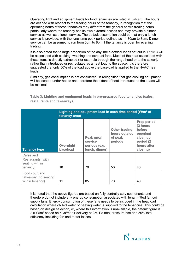Operating light and equipment loads for food tenancies are listed in Table 3. The hours are defined with respect to the trading hours of the tenancy, in recognition that the operating hours of these tenancies may differ from the general centre trading hours – particularly where the tenancy has its own external access and may provide a dinner service as well as a lunch service. The default assumption could be that only a lunch service is provided, with the lunchtime peak period defined as 11.30am to 3pm. Dinner service can be assumed to run from 5pm to 8pm if the tenancy is open for evening trading.

It is also noted that a large proportion of the daytime electrical loads set out in Table 3 will be associated with cooking, washing and exhaust fans. Much of the heat associated with these items is directly extracted (for example through the range hood or to the sewer), rather than introduced or recirculated as a heat load to the space. It is therefore suggested that only 50% of the load above the baseload is applied to the HVAC heat loads.

Similarly, gas consumption is not considered, in recognition that gas cooking equipment will be located under hoods and therefore the extent of heat introduced to the space will be minimal.

|                                                              | Lighting and equipment load in each time period $(W/m2$ of<br>tenancy area) |                                                         |                                                             |                                                                                                          |  |  |  |
|--------------------------------------------------------------|-----------------------------------------------------------------------------|---------------------------------------------------------|-------------------------------------------------------------|----------------------------------------------------------------------------------------------------------|--|--|--|
| <b>Tenancy type</b>                                          | Overnight<br>baseload                                                       | Peak meal<br>service<br>periods (e.g.<br>lunch, dinner) | <b>Other trading</b><br>hours outside<br>of peak<br>periods | <b>Prep period</b><br>(2 hours<br>before<br>opening)<br>clean up<br>period (2<br>hours after<br>closing) |  |  |  |
| Cafes and<br>Restaurants (with<br>seating within<br>tenancy) | 18                                                                          | 70                                                      | 50                                                          | 40                                                                                                       |  |  |  |
| Food court and<br>takeaway (no seating<br>within tenancy)    | 11                                                                          | 85                                                      | 70                                                          | 40                                                                                                       |  |  |  |

**Table 3: Lighting and equipment loads in pre-prepared food tenancies (cafes, restaurants and takeaways)**

It is noted that the above figures are based on fully centrally serviced tenants and therefore do not include any energy consumption associated with tenant-fitted fan coil supply fans. Energy consumption of these fans needs to be included in the heat load calculation where chilled water or heating water is supplied to the tenancies. This could be based on design selection, or, where this information is unavailable, the default figure is 2.5 W/m² based on 5 l/s/m² air delivery at 250 Pa total pressure rise and 50% total efficiency including fan and motor losses.

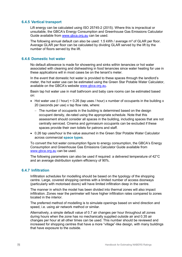# **6.4.5 Vertical transport**

Lift energy can be calculated using ISO 25745-2 (2015). Where this is impractical or unsuitable, the GBCA's Energy Consumption and Greenhouse Gas Emissions Calculator Guide available from [www.gbca.org.au](http://www.gbca.org.au/) can be used.

The following annual default can also be used: 1.5 kWh / average m² of GLAR per floor. Average GLAR per floor can be calculated by dividing GLAR served by the lift by the number of floors served by the lift.

# **6.4.6 Domestic hot water**

No default allowance is made for showering and sinks within tenancies or hot water associated with cleaning and dishwashing in food tenancies since water heating for use in these applications will in most cases be on the tenant's meter.

In the event that domestic hot water is provided to these spaces through the landlord's meter, the hot water use can be estimated using the Green Star Potable Water Calculator, available on the GBCA's website [www.gbca.org.au.](http://www.gbca.org.au/)

Basin tap hot water use in mall bathroom and baby care rooms can be estimated based on:

- Hot water use (I / hour) = 0.26 (tap uses / hour) x number of occupants in the building x 20 (seconds per use) x tap flow rate, where:
	- − The number of occupants in the building is determined based on the design occupant density, de-rated using the appropriate schedule. Note that this assessment should consider all spaces in the building, including spaces that are not centrally serviced. Cinema and gymnasium occupants can be excluded if these spaces provide their own toilets for patrons and staff.
- 0.26 tap uses/hour is the value assumed in the Green Star Potable Water Calculator across commercial **space type**s.

To convert the hot water consumption figure to energy consumption, the GBCA's Energy Consumption and Greenhouse Gas Emissions Calculator Guide available from [www.gbca.org.au](http://www.gbca.org.au/) can be used.

The following parameters can also be used if required: a delivered temperature of 42°C and an average distribution system efficiency of 90%.

# **6.4.7 Infiltration**

Infiltration schedules for modelling should be based on the typology of the shopping centre. Large, covered shopping centres with a limited number of access doorways (particularly with motorised doors) will have limited infiltration deep in the centre.

The manner in which the model has been divided into thermal zones will also impact infiltration. Zones near the perimeter will have higher infiltration rates compared to zones located in the interior.

The preferred method of modelling is to simulate openings based on wind direction and speed, i.e. using air network method or similar.

Alternatively, a simple default value of 0.7 air changes per hour throughout all zones during hours when the zone has no mechanically supplied outside air and 0.35 air changes per hour at all other times can be used. This number should be reviewed and increased for shopping centres that have a more "village"-like design, with many buildings that have exposure to the outside.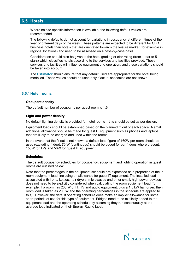# **6.5 Hotels**

Where no site-specific information is available, the following default values are recommended.

The following defaults do not account for variations in occupancy at different times of the year or different days of the week. These patterns are expected to be different for CBD business hotels than hotels that are orientated towards the leisure market (for example in regional locations) and need to be assessed on a case-by-case basis.

Consideration should also be given to the hotel grading or star rating (from 1 star to 5 stars) which classifies hotels according to the services and facilities provided. These services and facilities will influence equipment and operation, and these variations should be taken into account.

The **Estimator** should ensure that any default used are appropriate for the hotel being modelled. These values should be used only if actual schedules are not known.

# **6.5.1Hotel rooms**

#### **Occupant density**

The default number of occupants per guest room is 1.6.

#### **Light and power density**

No default lighting density is provided for hotel rooms – this should be set as per design.

Equipment loads should be established based on the planned fit out of each space. A small additional allowance should be made for guest IT equipment such as phones and laptops that are likely to be charged and used within the rooms.

In the event that the fit out is not known, a default load figure of 160W per room should be used (excluding fridge). 70 W (continuous) should be added for bar fridges where present, 150W for TVs and 50W for guest IT equipment.

#### **Schedules**

The default occupancy schedules for occupancy, equipment and lighting operation in guest rooms are outlined below.

Note that the percentages in the equipment schedule are expressed as a proportion of the inroom equipment load, including an allowance for guest IT equipment. The installed load associated with irons, kettles, hair dryers, microwaves and other small, high-power devices does not need to be explicitly considered when calculating the room equipment load (for example, if a room has 200 W of IT, TV and audio equipment, plus a 1.5 kW hair dryer, then room load is taken as 200 W and the operating percentages in the schedule are applied to this). However, the default operating schedule does make an implicit allowance for some short periods of use for this type of equipment. Fridges need to be explicitly added to the equipment load and the operating schedule by assuming they run continuously at the average load indicated on their Energy Rating label.

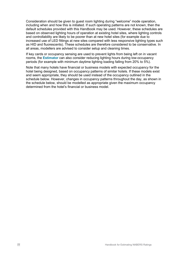Consideration should be given to guest room lighting during "welcome" mode operation, including when and how this is initiated. If such operating patterns are not known, then the default schedules provided with this Handbook may be used. However, these schedules are based on observed lighting hours of operation at existing hotel sites, where lighting controls and controllability are likely to be poorer than at new hotel sites (for example due to increased use of LED fittings at new sites compared with less responsive lighting types such as HID and fluorescents). These schedules are therefore considered to be conservative. In all areas, modellers are advised to consider setup and cleaning times.

If key cards or occupancy sensing are used to prevent lights from being left on in vacant rooms, the **Estimator** can also consider reducing lighting hours during low-occupancy periods (for example with minimum daytime lighting loading falling from 20% to 5%).

Note that many hotels have financial or business models with expected occupancy for the hotel being designed, based on occupancy patterns of similar hotels. If these models exist and seem appropriate, they should be used instead of the occupancy outlined in the schedule below. However, changes in occupancy patterns throughout the day, as shown in the schedule below, should be modelled as appropriate given the maximum occupancy determined from the hotel's financial or business model.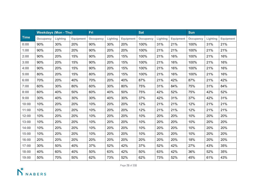|             | <b>Weekdays (Mon - Thu)</b> |          |                  | Fri       |          |                  | <b>Sat</b> |          |           | Sun       |          |           |
|-------------|-----------------------------|----------|------------------|-----------|----------|------------------|------------|----------|-----------|-----------|----------|-----------|
| <b>Time</b> | Occupancy                   | Lighting | <b>Equipment</b> | Occupancy | Lighting | <b>Equipment</b> | Occupancy  | Lighting | Equipment | Occupancy | Lighting | Equipment |
| 0:00        | 90%                         | 30%      | 20%              | 90%       | 30%      | 20%              | 100%       | 31%      | 21%       | 100%      | 31%      | 21%       |
| 1:00        | 90%                         | 20%      | 20%              | 90%       | 20%      | 20%              | 100%       | 21%      | 21%       | 100%      | 21%      | 21%       |
| 2:00        | 90%                         | 20%      | 15%              | 90%       | 20%      | 15%              | 100%       | 21%      | 16%       | 100%      | 21%      | 16%       |
| 3:00        | 90%                         | 20%      | 15%              | 90%       | 20%      | 15%              | 100%       | 21%      | 16%       | 100%      | 21%      | 16%       |
| 4:00        | 90%                         | 20%      | 15%              | 90%       | 20%      | 15%              | 100%       | 21%      | 16%       | 100%      | 21%      | 16%       |
| 5:00        | 80%                         | 20%      | 15%              | 80%       | 20%      | 15%              | 100%       | 21%      | 16%       | 100%      | 21%      | 16%       |
| 6:00        | 70%                         | 20%      | 40%              | 70%       | 20%      | 40%              | 87%        | 21%      | 42%       | 87%       | 21%      | 42%       |
| 7:00        | 60%                         | 30%      | 80%              | 60%       | 30%      | 80%              | 75%        | 31%      | 84%       | 75%       | 31%      | 84%       |
| 8:00        | 60%                         | 40%      | 50%              | 60%       | 40%      | 50%              | 75%        | 42%      | 52%       | 75%       | 42%      | 52%       |
| 9:00        | 30%                         | 40%      | 30%              | 30%       | 40%      | 30%              | 37%        | 42%      | 31%       | 37%       | 42%      | 31%       |
| 10:00       | 10%                         | 20%      | 20%              | 10%       | 20%      | 20%              | 12%        | 21%      | 21%       | 12%       | 21%      | 21%       |
| 11:00       | 10%                         | 20%      | 20%              | 10%       | 20%      | 20%              | 12%        | 21%      | 21%       | 12%       | 21%      | 21%       |
| 12:00       | 10%                         | 20%      | 20%              | 10%       | 20%      | 20%              | 10%        | 20%      | 20%       | 10%       | 20%      | 20%       |
| 13:00       | 10%                         | 20%      | 20%              | 10%       | 20%      | 20%              | 10%        | 20%      | 20%       | 10%       | 20%      | 20%       |
| 14:00       | 10%                         | 20%      | 20%              | 10%       | 20%      | 20%              | 10%        | 20%      | 20%       | 10%       | 20%      | 20%       |
| 15:00       | 10%                         | 20%      | 20%              | 10%       | 20%      | 20%              | 10%        | 20%      | 20%       | 10%       | 20%      | 20%       |
| 16:00       | 20%                         | 20%      | 20%              | 20%       | 20%      | 20%              | 20%        | 20%      | 20%       | 18%       | 20%      | 20%       |
| 17:00       | 30%                         | 50%      | 40%              | 37%       | 52%      | 42%              | 37%        | 52%      | 42%       | 27%       | 43%      | 35%       |
| 18:00       | 40%                         | 60%      | 40%              | 50%       | 63%      | 42%              | 50%        | 63%      | 42%       | 36%       | 52%      | 35%       |
| 19:00       | 50%                         | 70%      | 50%              | 62%       | 73%      | 52%              | 62%        | 73%      | 52%       | 45%       | 61%      | 43%       |

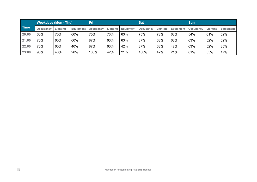|             | <b>Weekdays (Mon - Thu)</b> |          | <b>Fri</b>       |           | <b>Sat</b> |           | <b>Sun</b> |          |           |           |          |                  |
|-------------|-----------------------------|----------|------------------|-----------|------------|-----------|------------|----------|-----------|-----------|----------|------------------|
| <b>Time</b> | Occupancy                   | Lighting | <b>Equipment</b> | Occupancy | Lighting   | Equipment | Occupancy  | Lighting | Equipment | Occupancy | Lighting | <b>Equipment</b> |
| 20:00       | 60%                         | 70%      | 60%              | 75%       | 73%        | 63%       | 75%        | 73%      | 63%       | 54%       | 61%      | 52%              |
| 21:00       | 70%                         | 60%      | 60%              | 87%       | 63%        | 63%       | 87%        | 63%      | 63%       | 63%       | 52%      | 52%              |
| 22:00       | 70%                         | 60%      | 40%              | 87%       | 63%        | 42%       | 87%        | 63%      | 42%       | 63%       | 52%      | 35%              |
| 23:00       | 90%                         | 40%      | 20%              | 100%      | 42%        | 21%       | 100%       | 42%      | 21%       | 81%       | 35%      | 17%              |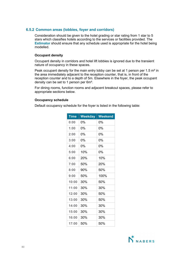# **6.5.2 Common areas (lobbies, foyer and corridors)**

Consideration should be given to the hotel grading or star rating from 1 star to 5 stars which classifies hotels according to the services or facilities provided. The **Estimator** should ensure that any schedule used is appropriate for the hotel being modelled.

# **Occupant density**

Occupant density in corridors and hotel lift lobbies is ignored due to the transient nature of occupancy in these spaces.

Peak occupant density for the main entry lobby can be set at 1 person per 1.5 m<sup>2</sup> in the area immediately adjacent to the reception counter, that is, in front of the reception counter and to a depth of 5m. Elsewhere in the foyer, the peak occupant density can be set to 1 person per 6m².

For dining rooms, function rooms and adjacent breakout spaces, please refer to appropriate sections below.

#### **Occupancy schedule**

Default occupancy schedule for the foyer is listed in the following table:

| <b>Time</b> | <b>Weekday</b> | <b>Weekend</b> |
|-------------|----------------|----------------|
| 0:00        | 0%             | 0%             |
| 1:00        | 0%             | 0%             |
| 2:00        | 0%             | 0%             |
| 3:00        | 0%             | 0%             |
| 4:00        | 0%             | 0%             |
| 5:00        | 10%            | 0%             |
| 6:00        | 20%            | 10%            |
| 7:00        | 50%            | 20%            |
| 8:00        | 90%            | 50%            |
| 9:00        | 50%            | 100%           |
| 10:00       | 30%            | 50%            |
| 11:00       | 30%            | 30%            |
| 12:00       | 30%            | 50%            |
| 13:00       | 30%            | 50%            |
| 14:00       | 30%            | 30%            |
| 15:00       | 30%            | 30%            |
| 16:00       | 30%            | 30%            |
| 17:00       | 50%            | 50%            |

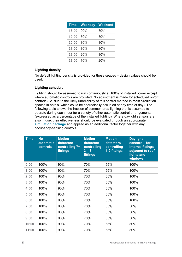| <b>Time</b> | <b>Weekday</b> | <b>Weekend</b> |
|-------------|----------------|----------------|
| 18:00       | 90%            | 50%            |
| 19:00       | 50%            | 50%            |
| 20:00       | 30%            | 30%            |
| 21:00       | 30%            | 30%            |
| 22:00       | 20%            | 30%            |
| 23:00       | 10%            | 20%            |

# **Lighting density**

No default lighting density is provided for these spaces – design values should be used.

# **Lighting schedule**

Lighting should be assumed to run continuously at 100% of installed power except where automatic controls are provided. No adjustment is made for scheduled on/off controls (i.e. due to the likely unreliability of this control method in most circulation spaces in hotels, which could be sporadically occupied at any time of day). The following table shows the fraction of common area lighting that is assumed to operate during each hour for a variety of other automatic control arrangements (expressed as a percentage of the installed lighting). Where daylight sensors are also in use, their effectiveness should be evaluated through an appropriate **simulation package** and applied as an additional factor together with any occupancy-sensing controls.

| <b>Time</b> | <b>No</b><br><b>automatic</b><br><b>controls</b> | <b>Motion</b><br>detectors<br>controlling 7+<br>fittings | <b>Motion</b><br>detectors<br>controlling<br>$3 - 6$<br>fittings | <b>Motion</b><br>detectors<br>controlling<br>1-2 fittings | <b>Daylight</b><br>sensors - for<br>internal fittings<br>adjacent to roof<br>lights and<br>windows |
|-------------|--------------------------------------------------|----------------------------------------------------------|------------------------------------------------------------------|-----------------------------------------------------------|----------------------------------------------------------------------------------------------------|
| 0:00        | 100%                                             | 90%                                                      | 70%                                                              | 55%                                                       | 100%                                                                                               |
| 1:00        | 100%                                             | 90%                                                      | 70%                                                              | 55%                                                       | 100%                                                                                               |
| 2:00        | 100%                                             | 90%                                                      | 70%                                                              | 55%                                                       | 100%                                                                                               |
| 3:00        | 100%                                             | 90%                                                      | 70%                                                              | 55%                                                       | 100%                                                                                               |
| 4:00        | 100%                                             | 90%                                                      | 70%                                                              | 55%                                                       | 100%                                                                                               |
| 5:00        | 100%                                             | 90%                                                      | 70%                                                              | 55%                                                       | 100%                                                                                               |
| 6:00        | 100%                                             | 90%                                                      | 70%                                                              | 55%                                                       | 100%                                                                                               |
| 7:00        | 100%                                             | 90%                                                      | 70%                                                              | 55%                                                       | 50%                                                                                                |
| 8:00        | 100%                                             | 90%                                                      | 70%                                                              | 55%                                                       | 50%                                                                                                |
| 9:00        | 100%                                             | 90%                                                      | 70%                                                              | 55%                                                       | 50%                                                                                                |
| 10:00       | 100%                                             | 90%                                                      | 70%                                                              | 55%                                                       | 50%                                                                                                |
| 11:00       | 100%                                             | 90%                                                      | 70%                                                              | 55%                                                       | 50%                                                                                                |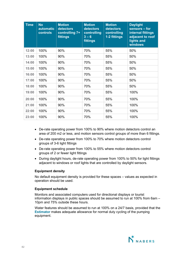| <b>Time</b> | <b>No</b><br><b>automatic</b><br>controls | <b>Motion</b><br>detectors<br>controlling 7+<br>fittings | <b>Motion</b><br>detectors<br>controlling<br>$3 - 6$<br>fittings | <b>Motion</b><br>detectors<br>controlling<br>1-2 fittings | <b>Daylight</b><br>sensors - for<br>internal fittings<br>adjacent to roof<br>lights and<br>windows |
|-------------|-------------------------------------------|----------------------------------------------------------|------------------------------------------------------------------|-----------------------------------------------------------|----------------------------------------------------------------------------------------------------|
| 12:00       | 100%                                      | 90%                                                      | 70%                                                              | 55%                                                       | 50%                                                                                                |
| 13:00       | 100%                                      | 90%                                                      | 70%                                                              | 55%                                                       | 50%                                                                                                |
| 14:00       | 100%                                      | 90%                                                      | 70%                                                              | 55%                                                       | 50%                                                                                                |
| 15:00       | 100%                                      | 90%                                                      | 70%                                                              | 55%                                                       | 50%                                                                                                |
| 16:00       | 100%                                      | 90%                                                      | 70%                                                              | 55%                                                       | 50%                                                                                                |
| 17:00       | 100%                                      | 90%                                                      | 70%                                                              | 55%                                                       | 50%                                                                                                |
| 18:00       | 100%                                      | 90%                                                      | 70%                                                              | 55%                                                       | 50%                                                                                                |
| 19:00       | 100%                                      | 90%                                                      | 70%                                                              | 55%                                                       | 100%                                                                                               |
| 20:00       | 100%                                      | 90%                                                      | 70%                                                              | 55%                                                       | 100%                                                                                               |
| 21:00       | 100%                                      | 90%                                                      | 70%                                                              | 55%                                                       | 100%                                                                                               |
| 22:00       | 100%                                      | 90%                                                      | 70%                                                              | 55%                                                       | 100%                                                                                               |
| 23:00       | 100%                                      | 90%                                                      | 70%                                                              | 55%                                                       | 100%                                                                                               |

- De-rate operating power from 100% to 90% where motion detectors control an area of 200 m2 or less, and motion sensors control groups of more than 6 fittings.
- De-rate operating power from 100% to 70% where motion detectors control groups of 3-6 light fittings
- De-rate operating power from 100% to 55% where motion detectors control groups of 2 or fewer light fittings
- During daylight hours, de-rate operating power from 100% to 50% for light fittings adjacent to windows or roof lights that are controlled by daylight sensors.

# **Equipment density**

No default equipment density is provided for these spaces – values as expected in operation should be used.

#### **Equipment schedule**

Monitors and associated computers used for directional displays or tourist information displays in public spaces should be assumed to run at 100% from 6am – 10pm and 75% outside these hours.

Water features should be assumed to run at 100% on a 24/7 basis, provided that the **Estimator** makes adequate allowance for normal duty cycling of the pumping equipment.

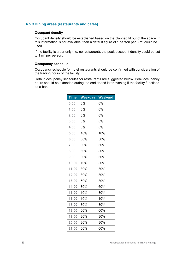# **6.5.3Dining areas (restaurants and cafes)**

# **Occupant density**

Occupant density should be established based on the planned fit out of the space. If this information is not available, then a default figure of 1 person per 3 m² could be used.

If the facility is a bar only (i.e. no restaurant), the peak occupant density could be set to 1 m² per person.

#### **Occupancy schedule**

Occupancy schedule for hotel restaurants should be confirmed with consideration of the trading hours of the facility.

Default occupancy schedules for restaurants are suggested below. Peak occupancy hours should be extended during the earlier and later evening if the facility functions as a bar.

| <b>Time</b> | <b>Weekday</b> | <b>Weekend</b> |
|-------------|----------------|----------------|
| 0:00        | 0%             | 0%             |
| 1:00        | 0%             | 0%             |
| 2:00        | 0%             | 0%             |
| 3:00        | 0%             | 0%             |
| 4:00        | 0%             | 0%             |
| 5:00        | 10%            | 10%            |
| 6:00        | 60%            | 30%            |
| 7:00        | 80%            | 60%            |
| 8:00        | 60%            | 80%            |
| 9:00        | 30%            | 60%            |
| 10:00       | 10%            | 30%            |
| 11:00       | 30%            | 30%            |
| 12:00       | 80%            | 80%            |
| 13:00       | 60%            | 80%            |
| 14:00       | 30%            | 60%            |
| 15:00       | 10%            | 30%            |
| 16:00       | 10%            | 10%            |
| 17:00       | 30%            | 30%            |
| 18:00       | 60%            | 60%            |
| 19:00       | 80%            | 80%            |
| 20:00       | 80%            | 80%            |
| 21:00       | 60%            | 60%            |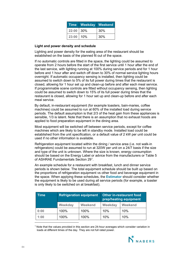| Time          | <b>Weekday Weekend</b> |     |
|---------------|------------------------|-----|
| $22:00$   30% |                        | 30% |
| 23:00         | 10%                    | 30% |

#### **Light and power density and schedule**

Lighting and power density for the eating area of the restaurant should be established on the basis of the planned fit out of the space.

If no automatic controls are fitted in the space, the lighting could be assumed to operate from 2 hours before the start of the first service until 1 hour after the end of the last service, with lighting running at 100% during service periods and for 1 hour before and 1 hour after and switch off down to 30% of normal service lighting hours overnight. If automatic occupancy sensing is installed, then lighting could be assumed to switch down to 5% of its full power during times that the restaurant is closed, allowing for 1 hour set up and clean-up before and after each meal service. If programmable scene controls are fitted without occupancy sensing, then lighting could be assumed to switch down to 15% of its full power during times that the restaurant is closed, allowing for 1 hour set up and clean-up before and after each meal service.

By default, in-restaurant equipment (for example toasters, bain-maries, coffee machines) could be assumed to run at 60% of the installed load during service periods. The default assumption is that 2/3 of the heat gain from these appliances is sensible, 1/3 is latent. Note that there is an assumption that no exhaust hoods are applied to food preparation equipment in the dining area.

Most equipment will be switched off between service periods, except for coffee machines which are likely to be left in standby mode. Installed load could be established from the unit specification, or a default value of 2 kW per unit could be used if no other information is available.

Refrigeration equipment located within the dining / service area (i.e. not walk-in refrigerators) could be assumed to run at 320W per unit on a 24/7 basis if the size and type of the unit is unknown. Where the size is known, energy consumption should be based on the Energy Label or advice from the manufacturers or Table 5 of ASHRAE Fundamentals Section 29[1](#page-83-0) .

An example schedule for a restaurant with breakfast, lunch and dinner service periods is shown below. The total equipment schedule should be built up based on the proportions of refrigeration equipment vs other food and beverage equipment in the space. When applying these schedules, the **Estimator** should consider whether the equipment is likely to be used during all service periods (for example, a toaster is only likely to be switched on at breakfast).

| Time | <b>Refrigeration equipment</b> |                | <b>Other in-restaurant food</b><br>prep/heating equipment |                |  |
|------|--------------------------------|----------------|-----------------------------------------------------------|----------------|--|
|      | Weekday                        | <b>Weekend</b> | Weekday                                                   | <b>Weekend</b> |  |
| 0:00 | 100%                           | 100%           | 10%                                                       | 10%            |  |
| 1:00 | 100%                           | 100%           | 10%                                                       | 10%            |  |

<span id="page-83-0"></span> $1$  Note that the values provided in this section are 24-hour averages which consider variation in loads at different times of the day. They are not full rated power.

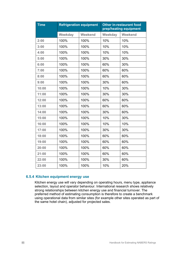| <b>Time</b> | <b>Refrigeration equipment</b> |         |         | <b>Other in-restaurant food</b><br>prep/heating equipment |
|-------------|--------------------------------|---------|---------|-----------------------------------------------------------|
|             | Weekday                        | Weekend | Weekday | Weekend                                                   |
| 2:00        | 100%                           | 100%    | 10%     | 10%                                                       |
| 3:00        | 100%                           | 100%    | 10%     | 10%                                                       |
| 4:00        | 100%                           | 100%    | 10%     | 10%                                                       |
| 5:00        | 100%                           | 100%    | 30%     | 30%                                                       |
| 6:00        | 100%                           | 100%    | 60%     | 30%                                                       |
| 7:00        | 100%                           | 100%    | 60%     | 60%                                                       |
| 8:00        | 100%                           | 100%    | 60%     | 60%                                                       |
| 9:00        | 100%                           | 100%    | 30%     | 60%                                                       |
| 10:00       | 100%                           | 100%    | 10%     | 30%                                                       |
| 11:00       | 100%                           | 100%    | 30%     | 30%                                                       |
| 12:00       | 100%                           | 100%    | 60%     | 60%                                                       |
| 13:00       | 100%                           | 100%    | 60%     | 60%                                                       |
| 14:00       | 100%                           | 100%    | 30%     | 60%                                                       |
| 15:00       | 100%                           | 100%    | 10%     | 30%                                                       |
| 16:00       | 100%                           | 100%    | 10%     | 10%                                                       |
| 17:00       | 100%                           | 100%    | 30%     | 30%                                                       |
| 18:00       | 100%                           | 100%    | 60%     | 60%                                                       |
| 19:00       | 100%                           | 100%    | 60%     | 60%                                                       |
| 20:00       | 100%                           | 100%    | 60%     | 60%                                                       |
| 21:00       | 100%                           | 100%    | 60%     | 60%                                                       |
| 22:00       | 100%                           | 100%    | 30%     | 60%                                                       |
| 23:00       | 100%                           | 100%    | 10%     | 20%                                                       |

# **6.5.4 Kitchen equipment energy use**

Kitchen energy use will vary depending on operating hours, menu type, appliance selection, layout and operator behaviour. International research shows relatively strong relationships between kitchen energy use and financial turnover. The preferred method of estimating consumption is therefore to create a benchmark using operational data from similar sites (for example other sites operated as part of the same hotel chain), adjusted for projected sales.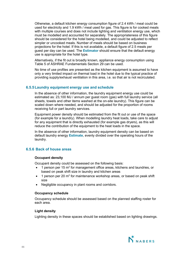Otherwise, a default kitchen energy consumption figure of 2.4 kWh / meal could be used for electricity and 1.9 kWh / meal used for gas. This figure is for cooked meals with multiple courses and does not include lighting and ventilation energy use, which must be modelled and accounted for separately. The appropriateness of this figure should be considered for the hotel being modelled, and could be adjusted to reflect simpler or uncooked meals. Number of meals should be based on business projections for the hotel. If this is not available, a default figure of 2.5 meals per guest per day can be used. The **Estimator** should ensure that the default energy use is appropriate for the hotel type.

Alternatively, if the fit out is broadly known, appliance energy consumption using Table 5 of ASHRAE Fundamentals Section 29 can be used.

No time of use profiles are presented as the kitchen equipment is assumed to have only a very limited impact on thermal load in the hotel due to the typical practice of providing supply/exhaust ventilation in this area, i.e. so that air is not recirculated.

# **6.5.5Laundry equipment energy use and schedule**

In the absence of other information, the laundry equipment energy use could be estimated as: 23,100 MJ / annum per guest room (gas) with full laundry service (all sheets, towels and other items washed at the on-site laundry). This figure can be scaled down where needed, and should be adjusted for the proportion of rooms receiving full or part laundry services.

Equipment power density should be estimated from the fit out or use of the space (for example for a laundry). When modelling laundry heat loads, take care to adjust for any equipment that is directly exhausted (for example gas dryers), as this will reduce the contribution of the equipment to the heat loads in the space.

In the absence of other information, laundry equipment density can be based on default laundry energy **Estimate**, evenly divided over the operating hours of the laundry.

### **6.5.6 Back of house areas**

#### **Occupant density**

Occupant density could be assessed on the following basis:

- 1 person per 15 m<sup>2</sup> for management office areas, kitchens and laundries, or based on peak shift size in laundry and kitchen areas
- 1 person per 20  $m^2$  for maintenance workshop areas, or based on peak shift size
- Negligible occupancy in plant rooms and corridors.

#### **Occupancy schedule**

Occupancy schedule should be assessed based on the planned staffing roster for each area.

#### **Light density**

Lighting density in these spaces should be established based on lighting drawings.

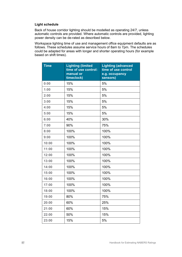# **Light schedule**

Back of house corridor lighting should be modelled as operating 24/7, unless automatic controls are provided. Where automatic controls are provided, lighting power density can be de-rated as described below.

Workspace lighting time of use and management office equipment defaults are as follows. These schedules assume service hours of 8am to 7pm. The schedules could be adapted for areas with longer and shorter operating hours (for example based on shift times).

| <b>Time</b> | <b>Lighting (limited</b><br>time of use control:<br>manual or<br>timeclock) | <b>Lighting (advanced</b><br>time of use control<br>e.g. occupancy<br>sensors) |
|-------------|-----------------------------------------------------------------------------|--------------------------------------------------------------------------------|
| 0:00        | 15%                                                                         | 5%                                                                             |
| 1:00        | 15%                                                                         | 5%                                                                             |
| 2:00        | 15%                                                                         | 5%                                                                             |
| 3:00        | 15%                                                                         | 5%                                                                             |
| 4:00        | 15%                                                                         | 5%                                                                             |
| 5:00        | 15%                                                                         | 5%                                                                             |
| 6:00        | 40%                                                                         | 30%                                                                            |
| 7:00        | 90%                                                                         | 75%                                                                            |
| 8:00        | 100%                                                                        | 100%                                                                           |
| 9:00        | 100%                                                                        | 100%                                                                           |
| 10:00       | 100%                                                                        | 100%                                                                           |
| 11:00       | 100%                                                                        | 100%                                                                           |
| 12:00       | 100%                                                                        | 100%                                                                           |
| 13:00       | 100%                                                                        | 100%                                                                           |
| 14:00       | 100%                                                                        | 100%                                                                           |
| 15:00       | 100%                                                                        | 100%                                                                           |
| 16:00       | 100%                                                                        | 100%                                                                           |
| 17:00       | 100%                                                                        | 100%                                                                           |
| 18:00       | 100%                                                                        | 100%                                                                           |
| 19:00       | 80%                                                                         | 75%                                                                            |
| 20:00       | 60%                                                                         | 25%                                                                            |
| 21:00       | 60%                                                                         | 15%                                                                            |
| 22:00       | 50%                                                                         | 15%                                                                            |
| 23:00       | 15%                                                                         | 5%                                                                             |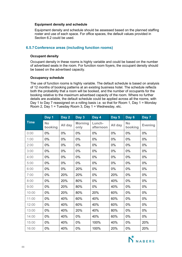#### **Equipment density and schedule**

Equipment density and schedule should be assessed based on the planned staffing roster and use of each space. For office spaces, the default values provided in Section 6.2 could be used.

# **6.5.7Conference areas (including function rooms)**

#### **Occupant density**

Occupant density in these rooms is highly variable and could be based on the number of advertised seats in the room. For function room foyers, the occupant density should be based on the advertised capacity.

#### **Occupancy schedule**

The use of function rooms is highly variable. The default schedule is based on analysis of 12 months of booking patterns at an existing business hotel. The schedule reflects both the probability that a room will be booked, and the number of occupants for the booking relative to the maximum advertised capacity of the room. Where no further details are available, the default schedule could be applied across all the rooms, with Day 1 to Day 7 reassigned on a rolling basis i.e. so that for Room 1, Day 1 = Monday Room 2, Day 1 = Tuesday Room 3, Day 1 = Wednesday, etc.

|             | Day 1                | Day 2   | Day 3                  | Day 4               | Day 5   | Day 6                | Day 7          |
|-------------|----------------------|---------|------------------------|---------------------|---------|----------------------|----------------|
| <b>Time</b> | <b>No</b><br>booking | All day | <b>Morning</b><br>only | Lunch-<br>afternoon | All day | <b>No</b><br>booking | <b>Evening</b> |
| 0:00        | $0\%$                | 0%      | 0%                     | $0\%$               | 0%      | 0%                   | 0%             |
| 1:00        | 0%                   | 0%      | 0%                     | $0\%$               | 0%      | 0%                   | 0%             |
| 2:00        | $0\%$                | $0\%$   | $0\%$                  | $0\%$               | 0%      | 0%                   | 0%             |
| 3:00        | $0\%$                | 0%      | 0%                     | 0%                  | 0%      | 0%                   | 0%             |
| 4:00        | 0%                   | 0%      | 0%                     | 0%                  | 0%      | 0%                   | 0%             |
| 5:00        | 0%                   | 0%      | 0%                     | 0%                  | 0%      | 0%                   | 0%             |
| 6:00        | 0%                   | 0%      | 20%                    | 0%                  | 0%      | 0%                   | 0%             |
| 7:00        | 0%                   | 20%     | 20%                    | 0%                  | 20%     | 0%                   | 0%             |
| 8:00        | 0%                   | 20%     | 80%                    | 0%                  | 40%     | 0%                   | 0%             |
| 9:00        | 0%                   | 20%     | 80%                    | 0%                  | 40%     | 0%                   | 0%             |
| 10:00       | 0%                   | 20%     | 80%                    | 20%                 | 60%     | 0%                   | 0%             |
| 11:00       | $0\%$                | 40%     | 60%                    | 40%                 | 60%     | $0\%$                | 0%             |
| 12:00       | 0%                   | 40%     | 60%                    | 40%                 | 60%     | 0%                   | 0%             |
| 13:00       | 0%                   | 40%     | 20%                    | 40%                 | 80%     | 0%                   | 0%             |
| 14:00       | 0%                   | 40%     | 0%                     | 40%                 | 60%     | 0%                   | 0%             |
| 15:00       | 0%                   | 40%     | 0%                     | 100%                | 40%     | 0%                   | 20%            |
| 16:00       | 0%                   | 40%     | 0%                     | 100%                | 20%     | 0%                   | 20%            |

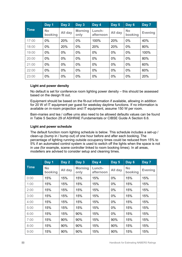|             | Day 1                | Day 2   | Day 3                  | Day 4               | Day 5   | Day 6                | Day 7          |
|-------------|----------------------|---------|------------------------|---------------------|---------|----------------------|----------------|
| <b>Time</b> | <b>No</b><br>booking | All day | <b>Morning</b><br>only | Lunch-<br>afternoon | All day | <b>No</b><br>booking | <b>Evening</b> |
| 17:00       | $0\%$                | 20%     | $0\%$                  | 100%                | 20%     | 0%                   | 40%            |
| 18:00       | $0\%$                | 20%     | $0\%$                  | 20%                 | 20%     | $0\%$                | 80%            |
| 19:00       | $0\%$                | $0\%$   | 0%                     | 0%                  | $0\%$   | $0\%$                | 100%           |
| 20:00       | $0\%$                | $0\%$   | 0%                     | 0%                  | 0%      | 0%                   | 80%            |
| 21:00       | $0\%$                | $0\%$   | $0\%$                  | $0\%$               | $0\%$   | $0\%$                | 60%            |
| 22:00       | $0\%$                | $0\%$   | 0%                     | $0\%$               | 0%      | 0%                   | 60%            |
| 23:00       | 0%                   | $0\%$   | 0%                     | 0%                  | 0%      | 0%                   | 20%            |

# **Light and power density**

No default is set for conference room lighting power density – this should be assessed based on the design fit out.

Equipment should be based on the fit-out information if available, allowing in addition for 20 W of IT equipment per guest for weekday daytime functions. If no information is available on in-room projection and IT equipment, assume 150 W per room.

Bain-maries and tea / coffee urns also need to be allowed defaults values can be found in Table 5 Section 29 of ASHRAE Fundamentals or CIBSE Guide A Section 6.6.

# **Light and power schedule**

The default function room lighting schedule is below. This schedule includes a set-up / clean-up (bump in / bump out) of one hour before and after each booking. The percentage of lighting running outside occupancy times could be reduced from 15% to 5% if an automated control system is used to switch off the lights when the space is not in use (for example, scene controller linked to room booking times). In all areas, modellers are advised to consider setup and cleaning times.

|             | Day 1                | Day 2   | Day 3                  | Day 4               | Day 5   | Day 6                | Day 7          |
|-------------|----------------------|---------|------------------------|---------------------|---------|----------------------|----------------|
| <b>Time</b> | <b>No</b><br>booking | All day | <b>Morning</b><br>only | Lunch-<br>afternoon | All day | <b>No</b><br>booking | <b>Evening</b> |
| 0:00        | 15%                  | 15%     | 15%                    | 15%                 | $0\%$   | 15%                  | 15%            |
| 1:00        | 15%                  | 15%     | 15%                    | 15%                 | $0\%$   | 15%                  | 15%            |
| 2:00        | 15%                  | 15%     | 15%                    | 15%                 | 0%      | 15%                  | 15%            |
| 3:00        | 15%                  | 15%     | 15%                    | 15%                 | 0%      | 15%                  | 15%            |
| 4:00        | 15%                  | 15%     | 15%                    | 15%                 | $0\%$   | 15%                  | 15%            |
| 5:00        | 15%                  | 15%     | 15%                    | 15%                 | $0\%$   | 15%                  | 15%            |
| 6:00        | 15%                  | 15%     | 90%                    | 15%                 | 0%      | 15%                  | 15%            |
| 7:00        | 15%                  | 90%     | 90%                    | 15%                 | 90%     | 15%                  | 15%            |
| 8:00        | 15%                  | 90%     | 90%                    | 15%                 | 90%     | 15%                  | 15%            |
| 9:00        | 15%                  | 90%     | 90%                    | 15%                 | 90%     | 15%                  | 15%            |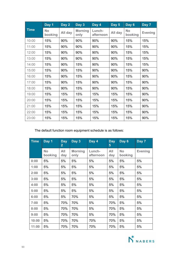|             | Day 1                | Day 2   | Day 3                  | Day 4               | Day 5   | Day 6                | Day 7          |
|-------------|----------------------|---------|------------------------|---------------------|---------|----------------------|----------------|
| <b>Time</b> | <b>No</b><br>booking | All day | <b>Morning</b><br>only | Lunch-<br>afternoon | All day | <b>No</b><br>booking | <b>Evening</b> |
| 10:00       | 15%                  | 90%     | 90%                    | 90%                 | 90%     | 15%                  | 15%            |
| 11:00       | 15%                  | 90%     | 90%                    | 90%                 | 90%     | 15%                  | 15%            |
| 12:00       | 15%                  | 90%     | 90%                    | 90%                 | 90%     | 15%                  | 15%            |
| 13:00       | 15%                  | 90%     | 90%                    | 90%                 | 90%     | 15%                  | 15%            |
| 14:00       | 15%                  | 90%     | 15%                    | 90%                 | 90%     | 15%                  | 15%            |
| 15:00       | 15%                  | 90%     | 15%                    | 90%                 | 90%     | 15%                  | 90%            |
| 16:00       | 15%                  | 90%     | 15%                    | 90%                 | 90%     | 15%                  | 90%            |
| 17:00       | 15%                  | 90%     | 15%                    | 90%                 | 90%     | 15%                  | 90%            |
| 18:00       | 15%                  | 90%     | 15%                    | 90%                 | 90%     | 15%                  | 90%            |
| 19:00       | 15%                  | 15%     | 15%                    | 15%                 | 15%     | 15%                  | 90%            |
| 20:00       | 15%                  | 15%     | 15%                    | 15%                 | 15%     | 15%                  | 90%            |
| 21:00       | 15%                  | 15%     | 15%                    | 15%                 | 15%     | 15%                  | 90%            |
| 22:00       | 15%                  | 15%     | 15%                    | 15%                 | 15%     | 15%                  | 90%            |
| 23:00       | 15%                  | 15%     | 15%                    | 15%                 | 15%     | 15%                  | 90%            |

The default function room equipment schedule is as follows:

| <b>Time</b> | Day 1                | <b>Day</b><br>$\overline{\mathbf{2}}$ | Day 3                  | Day 4               | <b>Day</b><br>5 <sup>5</sup> | Day 6                | Day 7          |
|-------------|----------------------|---------------------------------------|------------------------|---------------------|------------------------------|----------------------|----------------|
|             | <b>No</b><br>booking | All<br>day                            | <b>Morning</b><br>only | Lunch-<br>afternoon | All<br>day                   | <b>No</b><br>booking | <b>Evening</b> |
| 0:00        | 5%                   | 5%                                    | 5%                     | 5%                  | 5%                           | 5%                   | 5%             |
| 1:00        | 5%                   | 5%                                    | 5%                     | 5%                  | 5%                           | 5%                   | 5%             |
| 2:00        | 5%                   | 5%                                    | 5%                     | 5%                  | 5%                           | 5%                   | 5%             |
| 3:00        | 5%                   | 5%                                    | 5%                     | 5%                  | 5%                           | 5%                   | 5%             |
| 4:00        | 5%                   | 5%                                    | 5%                     | 5%                  | 5%                           | 5%                   | 5%             |
| 5:00        | 5%                   | 5%                                    | 5%                     | 5%                  | 5%                           | 5%                   | 5%             |
| 6:00        | 5%                   | 5%                                    | 70%                    | 5%                  | 5%                           | 5%                   | 5%             |
| 7:00        | 5%                   | 70%                                   | 70%                    | 5%                  | 70%                          | 5%                   | 5%             |
| 8:00        | 5%                   | 70%                                   | 70%                    | 5%                  | 70%                          | 5%                   | 5%             |
| 9:00        | 5%                   | 70%                                   | 70%                    | 5%                  | 70%                          | 5%                   | 5%             |
| 10:00       | 5%                   | 70%                                   | 70%                    | 70%                 | 70%                          | 5%                   | 5%             |
| 11:00       | 5%                   | 70%                                   | 70%                    | 70%                 | 70%                          | 5%                   | 5%             |

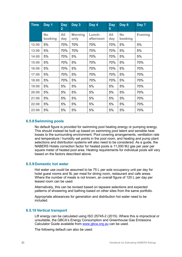| <b>Time</b> | Day 1                | <b>Day</b><br>$\overline{2}$ | Day 3                  | Day 4               | <b>Day</b><br>5 <sup>5</sup> | Day 6                | Day 7          |
|-------------|----------------------|------------------------------|------------------------|---------------------|------------------------------|----------------------|----------------|
|             | <b>No</b><br>booking | All<br>day                   | <b>Morning</b><br>only | Lunch-<br>afternoon | All<br>day                   | <b>No</b><br>booking | <b>Evening</b> |
| 12:00       | 5%                   | 70%                          | 70%                    | 70%                 | 70%                          | 5%                   | 5%             |
| 13:00       | 5%                   | 70%                          | 70%                    | 70%                 | 70%                          | 5%                   | 5%             |
| 14:00       | 5%                   | 70%                          | 5%                     | 70%                 | 70%                          | 5%                   | 5%             |
| 15:00       | 5%                   | 70%                          | 5%                     | 70%                 | 70%                          | 5%                   | 70%            |
| 16:00       | 5%                   | 70%                          | 5%                     | 70%                 | 70%                          | 5%                   | 70%            |
| 17:00       | 5%                   | 70%                          | 5%                     | 70%                 | 70%                          | 5%                   | 70%            |
| 18:00       | 5%                   | 70%                          | 5%                     | 70%                 | 70%                          | 5%                   | 70%            |
| 19:00       | 5%                   | 5%                           | 5%                     | 5%                  | 5%                           | 5%                   | 70%            |
| 20:00       | 5%                   | 5%                           | 5%                     | 5%                  | 5%                           | 5%                   | 70%            |
| 21:00       | 5%                   | 5%                           | 5%                     | 5%                  | 5%                           | 5%                   | 70%            |
| 22:00       | 5%                   | 5%                           | 5%                     | 5%                  | 5%                           | 5%                   | 70%            |
| 23:00       | 5%                   | 5%                           | 5%                     | 5%                  | 5%                           | 5%                   | 70%            |

# **6.5.8Swimming pools**

No default figure is provided for swimming pool heating energy or pumping energy. This should instead be built up based on swimming pool latent and sensible heat losses to the surrounding environment. Pool covering arrangements, ventilation rate and temperature / humidity set points in the pool room, and heating and pump plant selections and distribution systems will also need to be considered. As a guide, the NABERS Hotels correction factor for heated pools is 11,000 MJ gas per year per square meter of heated pool area. Heating requirements for individual pools will vary based on the factors described above.

# **6.5.9Domestic hot water**

Hot water use could be assumed to be 75 L per sole occupancy unit per day for hotel guest rooms and 9L per meal for dining room, restaurant and cafe areas. Where the number of meals is not known, an overall figure of 120 L per day per leased room can be used.

Alternatively, this can be revised based on tapware selections and expected patterns of showering and bathing based on other sites from the same portfolio.

Appropriate allowances for generation and distribution hot water need to be included.

# **6.5.10 Vertical transport**

Lift energy can be calculated using ISO 25745-2 (2015). Where this is impractical or unsuitable, the GBCA's Energy Consumption and Greenhouse Gas Emissions Calculator Guide available from [www.gbca.org.au](http://www.gbca.org.au/) can be used.

The following default can also be used: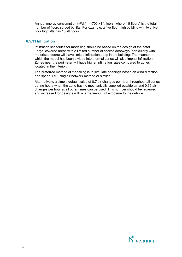Annual energy consumption (kWh) = 1700 x lift floors, where "lift floors" is the total number of floors served by lifts. For example, a five-floor high building with two fivefloor high lifts has 10 lift floors.

# **6.5.11 Infiltration**

Infiltration schedules for modelling should be based on the design of the hotel. Large, covered areas with a limited number of access doorways (particularly with motorised doors) will have limited infiltration deep in the building. The manner in which the model has been divided into thermal zones will also impact infiltration. Zones near the perimeter will have higher infiltration rates compared to zones located in the interior.

The preferred method of modelling is to simulate openings based on wind direction and speed, i.e. using air network method or similar.

Alternatively, a simple default value of 0.7 air changes per hour throughout all zones during hours when the zone has no mechanically supplied outside air and 0.35 air changes per hour at all other times can be used. This number should be reviewed and increased for designs with a large amount of exposure to the outside.

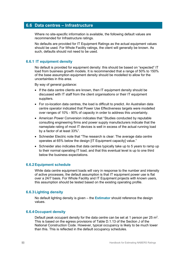# **6.6 Data centres – Infrastructure**

Where no site-specific information is available, the following default values are recommended for Infrastructure ratings.

No defaults are provided for IT Equipment Ratings as the actual equipment values should be used. For Whole Facility ratings, the client will generally be known. As such, defaults should not need to be used.

# **6.6.1 IT equipment density**

No default is provided for equipment density: this should be based on "expected" IT load from business growth models. It is recommended that a range of 50% to 150% of the base assumption equipment density should be modelled to allow for the uncertainties in this area.

By way of general guidance:

- If the data centre clients are known, then IT equipment density should be discussed with IT staff from the client organisations or their IT equipment suppliers.
- For co-location data centres, the load is difficult to predict. An Australian data centre operator indicated that Power Use Effectiveness targets were modelled over ranges of 10% - 90% of capacity in order to address this uncertainty.
- American Power Conversion indicates that "Studies conducted by reputable consulting engineering firms and power supply manufacturers indicate that the nameplate rating of most IT devices is well in excess of the actual running load by a factor of at least 33%".
- Schneider Electric note that "The research is clear: The average data centre operates at 65% below the design [IT Equipment capacity] value."
- Schneider also indicates that data centres typically take up to 5 years to ramp up to their normal operating IT load, and that this eventual level is up to one third below the business expectations.

# **6.6.2Equipment schedule**

While data centre equipment loads will vary in response to the number and intensity of active processes, the default assumption is that IT equipment power use is flat over a 24/7 basis. For Whole Facility and IT Equipment projects with known users, this assumption should be tested based on the existing operating profile.

# **6.6.3Lighting density**

No default lighting density is given – the **Estimator** should reference the design values.

# **6.6.4Occupant density**

Default peak occupant density for the data centre can be set at 1 person per 25  $m^2$ . This is based on the egress provisions of Table D.1.13 of the Section J of the National Construction Code. However, typical occupancy is likely to be much lower than this. This is reflected in the default occupancy schedules.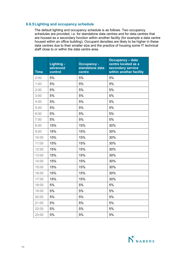# **6.6.5Lighting and occupancy schedule**

The default lighting and occupancy schedule is as follows. Two occupancy schedules are provided, i.e. for standalone data centres and for data centres that are housed as a secondary function within another facility (for example a data centre housed within an office building). Occupant densities are likely to be higher in these data centres due to their smaller size and the practice of housing some IT technical staff close to or within the data centre area.

| <b>Time</b> | Lighting -<br>advanced<br>control | <b>Occupancy -</b><br>standalone data<br>centre | <b>Occupancy - data</b><br>centre located as a<br>secondary service<br>within another facility |
|-------------|-----------------------------------|-------------------------------------------------|------------------------------------------------------------------------------------------------|
| 0:00        | 5%                                | 5%                                              | 5%                                                                                             |
| 1:00        | 5%                                | 5%                                              | 5%                                                                                             |
| 2:00        | 5%                                | 5%                                              | 5%                                                                                             |
| 3:00        | 5%                                | 5%                                              | 5%                                                                                             |
| 4:00        | 5%                                | 5%                                              | 5%                                                                                             |
| 5:00        | 5%                                | 5%                                              | 5%                                                                                             |
| 6:00        | 5%                                | 5%                                              | 5%                                                                                             |
| 7:00        | 5%                                | 5%                                              | 5%                                                                                             |
| 8:00        | 15%                               | 15%                                             | 30%                                                                                            |
| 9:00        | 15%                               | 15%                                             | 30%                                                                                            |
| 10:00       | 15%                               | 15%                                             | 30%                                                                                            |
| 11:00       | 15%                               | 15%                                             | 30%                                                                                            |
| 12:00       | 15%                               | 15%                                             | 30%                                                                                            |
| 13:00       | 15%                               | 15%                                             | 30%                                                                                            |
| 14:00       | 15%                               | 15%                                             | 30%                                                                                            |
| 15:00       | 15%                               | 15%                                             | 30%                                                                                            |
| 16:00       | 15%                               | 15%                                             | 30%                                                                                            |
| 17:00       | 15%                               | 15%                                             | 30%                                                                                            |
| 18:00       | 5%                                | 5%                                              | 5%                                                                                             |
| 19:00       | 5%                                | 5%                                              | 5%                                                                                             |
| 20:00       | 5%                                | 5%                                              | 5%                                                                                             |
| 21:00       | 5%                                | 5%                                              | 5%                                                                                             |
| 22:00       | 5%                                | 5%                                              | 5%                                                                                             |
| 23:00       | 5%                                | 5%                                              | 5%                                                                                             |

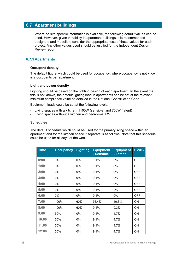# **6.7 Apartment buildings**

Where no site-specific information is available, the following default values can be used. However, given variability in apartment buildings, it is recommended designers and modellers consider the appropriateness of these values for each project. Any other values used should be justified for the Independent Design Review report.

# **6.7.1Apartments**

# **Occupant density**

The default figure which could be used for occupancy, where occupancy is not known, is 2 occupants per apartment.

# **Light and power density**

Lighting should be based on the lighting design of each apartment. In the event that this is not known, the default lighting load in apartments can be set at the relevant minimum compliance value as detailed in the National Construction Code.

Equipment loads could be set at the following levels:

- Living spaces with a kitchen: 1100W (sensible) and 750W (latent)
- Living spaces without a kitchen and bedrooms: 0W

#### **Schedules**

The default schedule which could be used for the primary living space within an apartment and for the kitchen space if separate is as follows. Note that this schedule could be used for all days of the week.

| <b>Time</b> | <b>Occupancy</b> | <b>Lighting</b> | <b>Equipment</b><br>- Sensible | <b>Equipment</b><br>- Latent | <b>HVAC</b> |
|-------------|------------------|-----------------|--------------------------------|------------------------------|-------------|
| 0:00        | 0%               | 0%              | 9.1%                           | 0%                           | <b>OFF</b>  |
| 1:00        | 0%               | 0%              | 9.1%                           | 0%                           | <b>OFF</b>  |
| 2:00        | 0%               | 0%              | 9.1%                           | 0%                           | <b>OFF</b>  |
| 3:00        | 0%               | 0%              | 9.1%                           | 0%                           | <b>OFF</b>  |
| 4:00        | 0%               | $0\%$           | 9.1%                           | $0\%$                        | <b>OFF</b>  |
| 5:00        | 0%               | 0%              | 9.1%                           | 0%                           | <b>OFF</b>  |
| 6:00        | $0\%$            | $0\%$           | 9.1%                           | $0\%$                        | <b>OFF</b>  |
| 7:00        | 100%             | 60%             | 36.4%                          | 40.3%                        | ON          |
| 8:00        | 100%             | 60%             | 9.1%                           | 9.3%                         | <b>ON</b>   |
| 9:00        | 50%              | 0%              | 9.1%                           | 4.7%                         | ON          |
| 10:00       | 50%              | 0%              | 9.1%                           | 4.7%                         | ON          |
| 11:00       | 50%              | $0\%$           | 9.1%                           | 4.7%                         | <b>ON</b>   |
| 12:00       | 50%              | 0%              | 9.1%                           | 4.7%                         | ON          |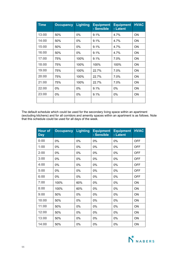| <b>Time</b> | <b>Occupancy</b> | <b>Lighting</b> | <b>Equipment</b><br>- Sensible | <b>Equipment</b><br>- Latent | <b>HVAC</b> |
|-------------|------------------|-----------------|--------------------------------|------------------------------|-------------|
| 13:00       | 50%              | 0%              | 9.1%                           | 4.7%                         | ON          |
| 14:00       | 50%              | 0%              | 9.1%                           | 4.7%                         | ON          |
| 15:00       | 50%              | 0%              | 9.1%                           | 4.7%                         | ON          |
| 16:00       | 50%              | 0%              | 9.1%                           | 4.7%                         | ON          |
| 17:00       | 75%              | 100%            | 9.1%                           | 7.0%                         | ON          |
| 18:00       | 75%              | 100%            | 100%                           | 100%                         | ON          |
| 19:00       | 75%              | 100%            | 22.7%                          | 7.0%                         | ON          |
| 20:00       | 75%              | 100%            | 22.7%                          | 7.0%                         | ON          |
| 21:00       | 75%              | 100%            | 22.7%                          | 7.0%                         | ON          |
| 22:00       | 0%               | 0%              | 9.1%                           | 0%                           | ON          |
| 23:00       | 0%               | 0%              | 9.1%                           | 0%                           | ON          |
|             |                  |                 |                                |                              |             |

The default schedule which could be used for the secondary living space within an apartment (excluding kitchens) and for all corridors and amenity spaces within an apartment is as follows. Note that this schedule could be used for all days of the week.

| <b>Hour of</b><br><b>Day</b> | <b>Occupancy</b> | <b>Lighting</b> | <b>Equipment</b><br>- Sensible | <b>Equipment</b><br>- Latent | <b>HVAC</b> |
|------------------------------|------------------|-----------------|--------------------------------|------------------------------|-------------|
| 0:00                         | 0%               | 0%              | 0%                             | 0%                           | <b>OFF</b>  |
| 1:00                         | 0%               | 0%              | 0%                             | 0%                           | OFF         |
| 2:00                         | 0%               | 0%              | 0%                             | 0%                           | <b>OFF</b>  |
| 3:00                         | 0%               | 0%              | 0%                             | 0%                           | <b>OFF</b>  |
| 4:00                         | 0%               | 0%              | 0%                             | 0%                           | <b>OFF</b>  |
| 5:00                         | 0%               | 0%              | 0%                             | 0%                           | <b>OFF</b>  |
| 6:00                         | 0%               | 0%              | 0%                             | 0%                           | <b>OFF</b>  |
| 7:00                         | 100%             | 60%             | 0%                             | 0%                           | ON          |
| 8:00                         | 100%             | 60%             | 0%                             | 0%                           | ON          |
| 9:00                         | 50%              | 0%              | 0%                             | 0%                           | ON          |
| 10:00                        | 50%              | 0%              | 0%                             | 0%                           | ON          |
| 11:00                        | 50%              | 0%              | 0%                             | 0%                           | ON          |
| 12:00                        | 50%              | 0%              | 0%                             | 0%                           | ON          |
| 13:00                        | 50%              | 0%              | 0%                             | 0%                           | ON          |
| 14:00                        | 50%              | 0%              | 0%                             | 0%                           | ON          |

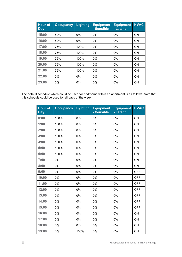| <b>Hour of</b><br><b>Day</b> | <b>Occupancy</b> | <b>Lighting</b> | <b>Equipment</b><br>- Sensible | <b>Equipment</b><br>- Latent | <b>HVAC</b> |
|------------------------------|------------------|-----------------|--------------------------------|------------------------------|-------------|
| 15:00                        | 50%              | $0\%$           | $0\%$                          | $0\%$                        | <b>ON</b>   |
| 16:00                        | 50%              | $0\%$           | $0\%$                          | $0\%$                        | <b>ON</b>   |
| 17:00                        | 75%              | 100%            | $0\%$                          | $0\%$                        | <b>ON</b>   |
| 18:00                        | 75%              | 100%            | $0\%$                          | $0\%$                        | <b>ON</b>   |
| 19:00                        | 75%              | 100%            | $0\%$                          | 0%                           | <b>ON</b>   |
| 20:00                        | 75%              | 100%            | $0\%$                          | $0\%$                        | <b>ON</b>   |
| 21:00                        | 75%              | 100%            | $0\%$                          | $0\%$                        | <b>ON</b>   |
| 22:00                        | $0\%$            | $0\%$           | $0\%$                          | $0\%$                        | <b>ON</b>   |
| 23:00                        | $0\%$            | $0\%$           | $0\%$                          | 0%                           | <b>ON</b>   |

The default schedule which could be used for bedrooms within an apartment is as follows. Note that this schedule could be used for all days of the week.

| <b>Hour of</b><br><b>Day</b> | <b>Occupancy</b> | <b>Lighting</b> | <b>Equipment</b><br>- Sensible | <b>Equipment</b><br>- Latent | <b>HVAC</b> |
|------------------------------|------------------|-----------------|--------------------------------|------------------------------|-------------|
| 0:00                         | 100%             | 0%              | 0%                             | 0%                           | ON          |
| 1:00                         | 100%             | 0%              | 0%                             | 0%                           | ON          |
| 2:00                         | 100%             | 0%              | 0%                             | 0%                           | ON          |
| 3:00                         | 100%             | 0%              | 0%                             | 0%                           | ON          |
| 4:00                         | 100%             | 0%              | 0%                             | 0%                           | ON          |
| 5:00                         | 100%             | 0%              | 0%                             | 0%                           | ON          |
| 6:00                         | 100%             | 0%              | 0%                             | 0%                           | ON          |
| 7:00                         | 0%               | 0%              | 0%                             | 0%                           | ON          |
| 8:00                         | 0%               | 0%              | 0%                             | 0%                           | ON          |
| 9:00                         | 0%               | 0%              | 0%                             | 0%                           | <b>OFF</b>  |
| 10:00                        | 0%               | 0%              | 0%                             | 0%                           | <b>OFF</b>  |
| 11:00                        | 0%               | 0%              | 0%                             | 0%                           | <b>OFF</b>  |
| 12:00                        | 0%               | 0%              | 0%                             | 0%                           | <b>OFF</b>  |
| 13:00                        | 0%               | 0%              | 0%                             | 0%                           | <b>OFF</b>  |
| 14:00                        | 0%               | 0%              | 0%                             | 0%                           | <b>OFF</b>  |
| 15:00                        | 0%               | 0%              | 0%                             | 0%                           | <b>OFF</b>  |
| 16:00                        | 0%               | 0%              | 0%                             | 0%                           | ON          |
| 17:00                        | 0%               | 0%              | 0%                             | 0%                           | ON          |
| 18:00                        | 0%               | 0%              | 0%                             | 0%                           | ON          |
| 19:00                        | 0%               | 100%            | 0%                             | 0%                           | ON          |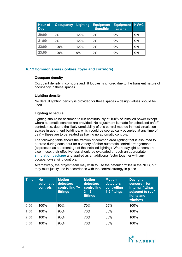| <b>Hour of</b><br><b>Day</b> | <b>Occupancy</b> | Lighting | <b>Equipment</b><br>- Sensible | <b>Equipment</b><br>- Latent | <b>HVAC</b> |
|------------------------------|------------------|----------|--------------------------------|------------------------------|-------------|
| 20:00                        | 0%               | 100%     | $0\%$                          | $0\%$                        | <b>ON</b>   |
| 21:00                        | 0%               | 100%     | 0%                             | 0%                           | <b>ON</b>   |
| 22:00                        | 100%             | 100%     | $0\%$                          | $0\%$                        | <b>ON</b>   |
| 23:00                        | 100%             | 0%       | 0%                             | 0%                           | <b>ON</b>   |

# **6.7.2Common areas (lobbies, foyer and corridors)**

# **Occupant density**

Occupant density in corridors and lift lobbies is ignored due to the transient nature of occupancy in these spaces.

# **Lighting density**

No default lighting density is provided for these spaces – design values should be used.

# **Lighting schedule**

Lighting should be assumed to run continuously at 100% of installed power except where automatic controls are provided. No adjustment is made for scheduled on/off controls (i.e. due to the likely unreliability of this control method in most circulation spaces in apartment buildings, which could be sporadically occupied at any time of day) – these are to be treated as having no automatic controls.

The following table shows the fraction of common area lighting that is assumed to operate during each hour for a variety of other automatic control arrangements (expressed as a percentage of the installed lighting). Where daylight sensors are also in use, their effectiveness should be evaluated through an appropriate **simulation package** and applied as an additional factor together with any occupancy-sensing controls.

Alternatively, the project team may wish to use the default profiles in the NCC, but they must justify use in accordance with the control strategy in place.

| <b>Time</b> | <b>No</b><br><b>automatic</b><br><b>controls</b> | <b>Motion</b><br>detectors<br>controlling 7+<br>fittings | <b>Motion</b><br>detectors<br>controlling<br>$3 - 6$<br>fittings | <b>Motion</b><br>detectors<br>controlling<br>1-2 fittings | <b>Daylight</b><br>sensors - for<br>internal fittings<br>adjacent to roof<br>lights and<br>windows |
|-------------|--------------------------------------------------|----------------------------------------------------------|------------------------------------------------------------------|-----------------------------------------------------------|----------------------------------------------------------------------------------------------------|
| 0:00        | 100%                                             | 90%                                                      | 70%                                                              | 55%                                                       | 100%                                                                                               |
| 1:00        | 100%                                             | 90%                                                      | 70%                                                              | 55%                                                       | 100%                                                                                               |
| 2:00        | 100%                                             | 90%                                                      | 70%                                                              | 55%                                                       | 100%                                                                                               |
| 3:00        | 100%                                             | 90%                                                      | 70%                                                              | 55%                                                       | 100%                                                                                               |

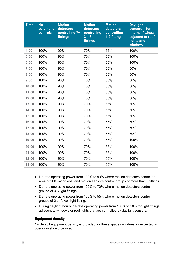| <b>Time</b> | <b>No</b><br>automatic<br>controls | <b>Motion</b><br>detectors<br>controlling 7+<br>fittings | <b>Motion</b><br>detectors<br>controlling<br>$3 - 6$<br>fittings | <b>Motion</b><br>detectors<br>controlling<br>1-2 fittings | <b>Daylight</b><br>sensors - for<br>internal fittings<br>adjacent to roof<br>lights and<br>windows |
|-------------|------------------------------------|----------------------------------------------------------|------------------------------------------------------------------|-----------------------------------------------------------|----------------------------------------------------------------------------------------------------|
| 4:00        | 100%                               | 90%                                                      | 70%                                                              | 55%                                                       | 100%                                                                                               |
| 5:00        | 100%                               | 90%                                                      | 70%                                                              | 55%                                                       | 100%                                                                                               |
| 6:00        | 100%                               | 90%                                                      | 70%                                                              | 55%                                                       | 100%                                                                                               |
| 7:00        | 100%                               | 90%                                                      | 70%                                                              | 55%                                                       | 50%                                                                                                |
| 8:00        | 100%                               | 90%                                                      | 70%                                                              | 55%                                                       | 50%                                                                                                |
| 9:00        | 100%                               | 90%                                                      | 70%                                                              | 55%                                                       | 50%                                                                                                |
| 10:00       | 100%                               | 90%                                                      | 70%                                                              | 55%                                                       | 50%                                                                                                |
| 11:00       | 100%                               | 90%                                                      | 70%                                                              | 55%                                                       | 50%                                                                                                |
| 12:00       | 100%                               | 90%                                                      | 70%                                                              | 55%                                                       | 50%                                                                                                |
| 13:00       | 100%                               | 90%                                                      | 70%                                                              | 55%                                                       | 50%                                                                                                |
| 14:00       | 100%                               | 90%                                                      | 70%                                                              | 55%                                                       | 50%                                                                                                |
| 15:00       | 100%                               | 90%                                                      | 70%                                                              | 55%                                                       | 50%                                                                                                |
| 16:00       | 100%                               | 90%                                                      | 70%                                                              | 55%                                                       | 50%                                                                                                |
| 17:00       | 100%                               | 90%                                                      | 70%                                                              | 55%                                                       | 50%                                                                                                |
| 18:00       | 100%                               | 90%                                                      | 70%                                                              | 55%                                                       | 50%                                                                                                |
| 19:00       | 100%                               | 90%                                                      | 70%                                                              | 55%                                                       | 100%                                                                                               |
| 20:00       | 100%                               | 90%                                                      | 70%                                                              | 55%                                                       | 100%                                                                                               |
| 21:00       | 100%                               | 90%                                                      | 70%                                                              | 55%                                                       | 100%                                                                                               |
| 22:00       | 100%                               | 90%                                                      | 70%                                                              | 55%                                                       | 100%                                                                                               |
| 23:00       | 100%                               | 90%                                                      | 70%                                                              | 55%                                                       | 100%                                                                                               |

- De-rate operating power from 100% to 90% where motion detectors control an area of 200 m2 or less, and motion sensors control groups of more than 6 fittings.
- De-rate operating power from 100% to 70% where motion detectors control groups of 3-6 light fittings
- De-rate operating power from 100% to 55% where motion detectors control groups of 2 or fewer light fittings.
- During daylight hours, de-rate operating power from 100% to 50% for light fittings adjacent to windows or roof lights that are controlled by daylight sensors.

# **Equipment density**

No default equipment density is provided for these spaces – values as expected in operation should be used.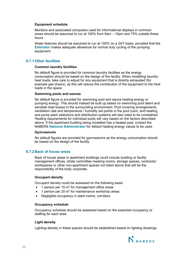## **Equipment schedule**

Monitors and associated computers used for informational displays in common areas should be assumed to run at 100% from 6am – 10pm and 75% outside these hours.

Water features should be assumed to run at 100% on a 24/7 basis, provided that the **Estimator** makes adequate allowance for normal duty cycling of the pumping equipment.

# **6.7.1Other facilities**

#### **Common laundry facilities**

No default figure is provided for common laundry facilities as the energy consumption should be based on the design of the facility. When modelling laundry heat loads, take care to adjust for any equipment that is directly exhausted (for example gas dryers), as this will reduce the contribution of the equipment to the heat loads in the space.

#### **Swimming pools and saunas**

No default figure is provided for swimming pool and sauna heating energy or pumping energy. This should instead be built up based on swimming pool latent and sensible heat losses to the surrounding environment. Pool covering arrangements, ventilation rate and temperature / humidity set points in the pool room, and heating and pump plant selections and distribution systems will also need to be considered. Heating requirements for individual pools will vary based on the factors described above. If the apartment building being modelled has a heated pool, contact the NABERS **National Administrator** for default heating energy values to be used.

#### **Gymnasiums**

No default figures are provided for gymnasiums as the energy consumption should be based on the design of the facility.

# **6.7.2Back of house areas**

Back of house areas in apartment buildings could include building or facility management offices, strata committee meeting rooms, storage spaces, contractor workspaces or other non-apartment spaces not listed above that will be the responsibility of the body corporate.

#### **Occupant density**

Occupant density could be assessed on the following basis:

- $\bullet$  1 person per 15 m<sup>2</sup> for management office areas
- 1 person per 20  $m^2$  for maintenance workshop areas
- Negligible occupancy in plant rooms, corridors,

# **Occupancy schedule**

Occupancy schedule should be assessed based on the expected occupancy or staffing for each area.

# **Light density**

Lighting density in these spaces should be established based on lighting drawings.

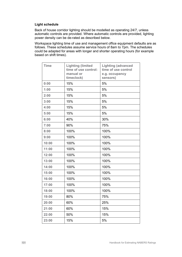# **Light schedule**

Back of house corridor lighting should be modelled as operating 24/7, unless automatic controls are provided. Where automatic controls are provided, lighting power density can be de-rated as described below.

Workspace lighting time of use and management office equipment defaults are as follows. These schedules assume service hours of 8am to 7pm. The schedules could be adapted for areas with longer and shorter operating hours (for example based on shift times).

| <b>Time</b> | <b>Lighting (limited</b><br>time of use control:<br>manual or<br>timeclock) | <b>Lighting (advanced</b><br>time of use control<br>e.g. occupancy<br>sensors) |
|-------------|-----------------------------------------------------------------------------|--------------------------------------------------------------------------------|
| 0:00        | 15%                                                                         | 5%                                                                             |
| 1:00        | 15%                                                                         | 5%                                                                             |
| 2:00        | 15%                                                                         | 5%                                                                             |
| 3:00        | 15%                                                                         | 5%                                                                             |
| 4:00        | 15%                                                                         | 5%                                                                             |
| 5:00        | 15%                                                                         | 5%                                                                             |
| 6:00        | 40%                                                                         | 30%                                                                            |
| 7:00        | 90%                                                                         | 75%                                                                            |
| 8:00        | 100%                                                                        | 100%                                                                           |
| 9:00        | 100%                                                                        | 100%                                                                           |
| 10:00       | 100%                                                                        | 100%                                                                           |
| 11:00       | 100%                                                                        | 100%                                                                           |
| 12:00       | 100%                                                                        | 100%                                                                           |
| 13:00       | 100%                                                                        | 100%                                                                           |
| 14:00       | 100%                                                                        | 100%                                                                           |
| 15:00       | 100%                                                                        | 100%                                                                           |
| 16:00       | 100%                                                                        | 100%                                                                           |
| 17:00       | 100%                                                                        | 100%                                                                           |
| 18:00       | 100%                                                                        | 100%                                                                           |
| 19:00       | 80%                                                                         | 75%                                                                            |
| 20:00       | 60%                                                                         | 25%                                                                            |
| 21:00       | 60%                                                                         | 15%                                                                            |
| 22:00       | 50%                                                                         | 15%                                                                            |
| 23:00       | 15%                                                                         | 5%                                                                             |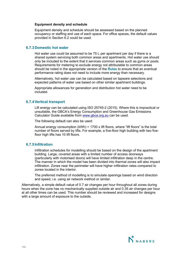#### **Equipment density and schedule**

Equipment density and schedule should be assessed based on the planned occupancy or staffing and use of each space. For office spaces, the default values provided in Section 6.2 could be used.

# **6.7.3Domestic hot water**

Hot water use could be assumed to be 75 L per apartment per day if there is a shared system servicing both common areas and apartments. Hot water use should only be included to the extent that it services common areas such as gyms or pools. Requirements for metering to exclude energy not attributable to common areas should be noted in the appropriate version of the **Rules** to ensure that an eventual performance rating does not need to include more energy than necessary.

Alternatively, hot water use can be calculated based on tapware selections and expected patterns of water use based on other similar apartment buildings.

Appropriate allowances for generation and distribution hot water need to be included.

# **6.7.4Vertical transport**

Lift energy can be calculated using ISO 25745-2 (2015). Where this is impractical or unsuitable, the GBCA's Energy Consumption and Greenhouse Gas Emissions Calculator Guide available from [www.gbca.org.au](http://www.gbca.org.au/) can be used.

The following default can also be used:

Annual energy consumption  $(kWh) = 1700$  x lift floors, where "lift floors" is the total number of floors served by lifts. For example, a five-floor high building with two fivefloor high lifts has 10 lift floors.

# **6.7.5 Infiltration**

Infiltration schedules for modelling should be based on the design of the apartment building. Large, covered areas with a limited number of access doorways (particularly with motorised doors) will have limited infiltration deep in the centre. The manner in which the model has been divided into thermal zones will also impact infiltration. Zones near the perimeter will have higher infiltration rates compared to zones located in the interior.

The preferred method of modelling is to simulate openings based on wind direction and speed, i.e. using air network method or similar.

Alternatively, a simple default value of 0.7 air changes per hour throughout all zones during hours when the zone has no mechanically supplied outside air and 0.35 air changes per hour at all other times can be used. This number should be reviewed and increased for designs with a large amount of exposure to the outside.

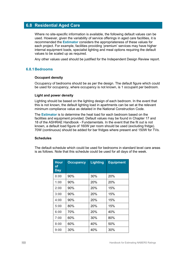# **6.8 Residential Aged Care**

Where no site-specific information is available, the following default values can be used. However, given the variability of service offerings in aged care facilities, it is recommended the **Estimator** considers the appropriateness of these values for each project. For example, facilities providing 'premium' services may have higher internal equipment loads, specialist lighting and meal options requiring the default values to be scaled up as required.

Any other values used should be justified for the Independent Design Review report.

# **6.8.1Bedrooms**

#### **Occupant density**

Occupancy of bedrooms should be as per the design. The default figure which could be used for occupancy, where occupancy is not known, is 1 occupant per bedroom.

#### **Light and power density**

Lighting should be based on the lighting design of each bedroom. In the event that this is not known, the default lighting load in apartments can be set at the relevant minimum compliance value as detailed in the National Construction Code.

The **Estimator** is to determine the heat load for each bedroom based on the facilities and equipment provided. Default values may be found in Chapter 17 and 18 of the ASHRAE Handbook - Fundamentals. In the event that the fit out is not known, a default load figure of 160W per room should be used (excluding fridge). 70W (continuous) should be added for bar fridges where present and 150W for TVs.

# **Schedules**

The default schedule which could be used for bedrooms in standard level care areas is as follows. Note that this schedule could be used for all days of the week.

| <b>Hour</b><br>оf<br><b>Day</b> | <b>Occupancy</b> | <b>Lighting</b> | <b>Equipment</b> |
|---------------------------------|------------------|-----------------|------------------|
| 0:00                            | 90%              | 30%             | 20%              |
| 1:00                            | 90%              | 20%             | 20%              |
| 2:00                            | 90%              | 20%             | 15%              |
| 3:00                            | 90%              | 20%             | 15%              |
| 4:00                            | 90%              | 20%             | 15%              |
| 5:00                            | 80%              | 20%             | 15%              |
| 6:00                            | 70%              | 20%             | 40%              |
| 7:00                            | 60%              | 30%             | 80%              |
| 8:00                            | 60%              | 40%             | 50%              |
| 9:00                            | 30%              | 40%             | 30%              |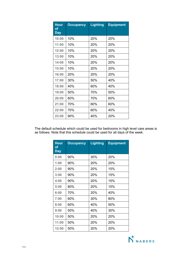| <b>Hour</b><br><u>of</u><br><b>Day</b> | <b>Occupancy</b> | <b>Lighting</b> | <b>Equipment</b> |
|----------------------------------------|------------------|-----------------|------------------|
| 10:00                                  | 10%              | 20%             | 20%              |
| 11:00                                  | 10%              | 20 <sup>%</sup> | <b>20%</b>       |
| 12:00                                  | 10%              | 20%             | 20%              |
| 13:00                                  | 10%              | 20%             | 20%              |
| 14:00                                  | 10%              | 20 <sup>%</sup> | 20%              |
| 15:00                                  | 10%              | 20%             | 20%              |
| 16:00                                  | 20%              | 20%             | 20%              |
| 17:00                                  | 30%              | 50%             | 40%              |
| 18:00                                  | 40%              | 60%             | 40%              |
| 19:00                                  | 50%              | 70%             | 50%              |
| 20:00                                  | 60%              | 70%             | 60%              |
| 21:00                                  | 70%              | 60%             | 60%              |
| 22:00                                  | 70%              | 60%             | 40%              |
| 23:00                                  | 90%              | 40%             | 20%              |

The default schedule which could be used for bedrooms in high level care areas is as follows. Note that this schedule could be used for all days of the week.

| <b>Hour</b><br><u>of</u><br><b>Day</b> | <b>Occupancy</b> | <b>Lighting</b> | <b>Equipment</b> |
|----------------------------------------|------------------|-----------------|------------------|
| 0:00                                   | 90%              | 30%             | 20%              |
| 1:00                                   | 90%              | 20%             | 20%              |
| 2:00                                   | 90%              | 20%             | 15%              |
| 3:00                                   | 90%              | 20%             | 15%              |
| 4:00                                   | 90%              | 20%             | 15%              |
| 5:00                                   | 80%              | 20%             | 15%              |
| 6:00                                   | 70%              | 20%             | 40%              |
| 7:00                                   | 60%              | 30%             | 80%              |
| 8:00                                   | 60%              | 40%             | 50%              |
| 9:00                                   | 50%              | 40%             | 30%              |
| 10:00                                  | 50%              | 20%             | 20%              |
| 11:00                                  | 50%              | 20%             | 20%              |
| 12:00                                  | 50%              | 20%             | 20%              |

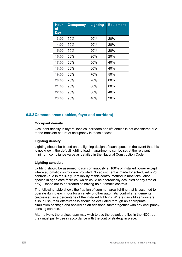| <b>Hour</b><br>оf<br><b>Day</b> | <b>Occupancy</b> | <b>Lighting</b> | <b>Equipment</b> |
|---------------------------------|------------------|-----------------|------------------|
| 13:00                           | 50%              | 20%             | 20%              |
| 14:00                           | 50%              | 20%             | 20%              |
| 15:00                           | 50%              | 20%             | 20%              |
| 16:00                           | 50%              | 20%             | 20%              |
| 17:00                           | 50%              | 50%             | 40%              |
| 18:00                           | 60%              | 60%             | 40%              |
| 19:00                           | 60%              | 70%             | 50%              |
| 20:00                           | 70%              | 70%             | 60%              |
| 21:00                           | 90%              | 60%             | 60%              |
| 22:00                           | 90%              | 60%             | 40%              |
| 23:00                           | 90%              | 40%             | 20%              |

# **6.8.2Common areas (lobbies, foyer and corridors)**

# **Occupant density**

Occupant density in foyers, lobbies, corridors and lift lobbies is not considered due to the transient nature of occupancy in these spaces.

# **Lighting density**

Lighting should be based on the lighting design of each space. In the event that this is not known, the default lighting load in apartments can be set at the relevant minimum compliance value as detailed in the National Construction Code.

# **Lighting schedule**

Lighting should be assumed to run continuously at 100% of installed power except where automatic controls are provided. No adjustment is made for scheduled on/off controls (due to the likely unreliability of this control method in most circulation spaces in aged care facilities, which could be sporadically occupied at any time of day) – these are to be treated as having no automatic controls.

The following table shows the fraction of common area lighting that is assumed to operate during each hour for a variety of other automatic control arrangements (expressed as a percentage of the installed lighting). Where daylight sensors are also in use, their effectiveness should be evaluated through an appropriate simulation package and applied as an additional factor together with any occupancysensing controls.

Alternatively, the project team may wish to use the default profiles in the NCC, but they must justify use in accordance with the control strategy in place.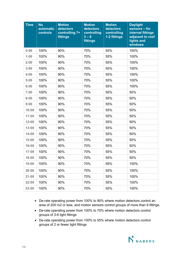| <b>Time</b> | <b>No</b><br>automatic<br>controls | <b>Motion</b><br>detectors<br>controlling 7+<br>fittings | <b>Motion</b><br>detectors<br>controlling<br>$3 - 6$<br>fittings | <b>Motion</b><br><b>detectors</b><br>controlling<br>1-2 fittings | <b>Daylight</b><br>sensors – for<br>internal fittings<br>adjacent to roof<br>lights and<br>windows |
|-------------|------------------------------------|----------------------------------------------------------|------------------------------------------------------------------|------------------------------------------------------------------|----------------------------------------------------------------------------------------------------|
| 0:00        | 100%                               | 90%                                                      | 70%                                                              | 55%                                                              | 100%                                                                                               |
| 1:00        | 100%                               | 90%                                                      | 70%                                                              | 55%                                                              | 100%                                                                                               |
| 2:00        | 100%                               | 90%                                                      | 70%                                                              | 55%                                                              | 100%                                                                                               |
| 3:00        | 100%                               | 90%                                                      | 70%                                                              | 55%                                                              | 100%                                                                                               |
| 4:00        | 100%                               | 90%                                                      | 70%                                                              | 55%                                                              | 100%                                                                                               |
| 5:00        | 100%                               | 90%                                                      | 70%                                                              | 55%                                                              | 100%                                                                                               |
| 6:00        | 100%                               | 90%                                                      | 70%                                                              | 55%                                                              | 100%                                                                                               |
| 7:00        | 100%                               | 90%                                                      | 70%                                                              | 55%                                                              | 50%                                                                                                |
| 8:00        | 100%                               | 90%                                                      | 70%                                                              | 55%                                                              | 50%                                                                                                |
| 9:00        | 100%                               | 90%                                                      | 70%                                                              | 55%                                                              | 50%                                                                                                |
| 10:00       | 100%                               | 90%                                                      | 70%                                                              | 55%                                                              | 50%                                                                                                |
| 11:00       | 100%                               | 90%                                                      | 70%                                                              | 55%                                                              | 50%                                                                                                |
| 12:00       | 100%                               | 90%                                                      | 70%                                                              | 55%                                                              | 50%                                                                                                |
| 13:00       | 100%                               | 90%                                                      | 70%                                                              | 55%                                                              | 50%                                                                                                |
| 14:00       | 100%                               | 90%                                                      | 70%                                                              | 55%                                                              | 50%                                                                                                |
| 15:00       | 100%                               | 90%                                                      | 70%                                                              | 55%                                                              | 50%                                                                                                |
| 16:00       | 100%                               | 90%                                                      | 70%                                                              | 55%                                                              | 50%                                                                                                |
| 17:00       | 100%                               | 90%                                                      | 70%                                                              | 55%                                                              | 50%                                                                                                |
| 18:00       | 100%                               | 90%                                                      | 70%                                                              | 55%                                                              | 50%                                                                                                |
| 19:00       | 100%                               | 90%                                                      | 70%                                                              | 55%                                                              | 100%                                                                                               |
| 20:00       | 100%                               | 90%                                                      | 70%                                                              | 55%                                                              | 100%                                                                                               |
| 21:00       | 100%                               | 90%                                                      | 70%                                                              | 55%                                                              | 100%                                                                                               |
| 22:00       | 100%                               | 90%                                                      | 70%                                                              | 55%                                                              | 100%                                                                                               |
| 23:00       | 100%                               | 90%                                                      | 70%                                                              | 55%                                                              | 100%                                                                                               |

- De-rate operating power from 100% to 90% where motion detectors control an area of 200 m2 or less, and motion sensors control groups of more than 6 fittings.
- De-rate operating power from 100% to 70% where motion detectors control groups of 3-6 light fittings
- De-rate operating power from 100% to 55% where motion detectors control groups of 2 or fewer light fittings

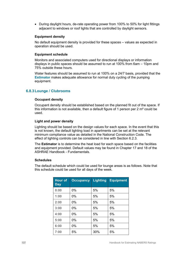• During daylight hours, de-rate operating power from 100% to 50% for light fittings adjacent to windows or roof lights that are controlled by daylight sensors.

### **Equipment density**

No default equipment density is provided for these spaces – values as expected in operation should be used.

#### **Equipment schedule**

Monitors and associated computers used for directional displays or information displays in public spaces should be assumed to run at 100% from 6am – 10pm and 75% outside these hours.

Water features should be assumed to run at 100% on a 24/7 basis, provided that the **Estimator** makes adequate allowance for normal duty cycling of the pumping equipment.

# **6.8.3Lounge / Clubrooms**

#### **Occupant density**

Occupant density should be established based on the planned fit out of the space. If this information is not available, then a default figure of 1 person per 2 m² could be used.

#### **Light and power density**

Lighting should be based on the design values for each space. In the event that this is not known, the default lighting load in apartments can be set at the relevant minimum compliance value as detailed in the National Construction Code. The effect of lighting controls can be considered in line with Section 6.2.3.

The **Estimator** is to determine the heat load for each space based on the facilities and equipment provided. Default values may be found in Chapter 17 and 18 of the ASHRAE Handbook - Fundamentals.

#### **Schedules**

The default schedule which could be used for lounge areas is as follows. Note that this schedule could be used for all days of the week.

| <b>Hour of</b><br><b>Day</b> | <b>Occupancy</b> | <b>Lighting</b> | <b>Equipment</b> |
|------------------------------|------------------|-----------------|------------------|
| 0:00                         | $0\%$            | 5%              | 5%               |
| 1:00                         | $0\%$            | 5%              | 5%               |
| 2:00                         | $0\%$            | 5%              | 5%               |
| 3:00                         | $0\%$            | 5%              | 5%               |
| 4:00                         | 0%               | 5%              | 5%               |
| 5:00                         | 0%               | 5%              | 5%               |
| 6:00                         | $0\%$            | 5%              | 5%               |
| 7:00                         | 5%               | 30%             | 5%               |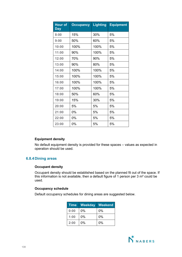| <b>Hour of</b><br>Day | <b>Occupancy</b> | <b>Lighting</b> | <b>Equipment</b> |
|-----------------------|------------------|-----------------|------------------|
| 8:00                  | 15%              | 30%             | 5%               |
| 9:00                  | 50%              | 60%             | 5%               |
| 10:00                 | 100%             | 100%            | 5%               |
| 11:00                 | 90%              | 100%            | 5%               |
| 12:00                 | 70%              | 90%             | 5%               |
| 13:00                 | 90%              | 80%             | 5%               |
| 14:00                 | 100%             | 100%            | 5%               |
| 15:00                 | 100%             | 100%            | 5%               |
| 16:00                 | 100%             | 100%            | 5%               |
| 17:00                 | 100%             | 100%            | 5%               |
| 18:00                 | 50%              | 60%             | 5%               |
| 19:00                 | 15%              | 30%             | 5%               |
| 20:00                 | 5%               | 5%              | 5%               |
| 21:00                 | $0\%$            | 5%              | 5%               |
| 22:00                 | $0\%$            | 5%              | 5%               |
| 23:00                 | 0%               | 5%              | 5%               |

# **Equipment density**

No default equipment density is provided for these spaces – values as expected in operation should be used.

# **6.8.4Dining areas**

# **Occupant density**

Occupant density should be established based on the planned fit out of the space. If this information is not available, then a default figure of 1 person per 3 m² could be used.

# **Occupancy schedule**

Default occupancy schedules for dining areas are suggested below.

| <b>Time</b> | Weekday | Weekend |
|-------------|---------|---------|
| 0:00        | $0\%$   | $0\%$   |
| 1:00        | 0%      | $0\%$   |
| 2:00        | 0%      | 0%      |

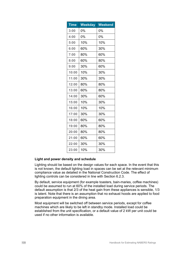| <b>Time</b> | <b>Weekday</b> | <b>Weekend</b> |
|-------------|----------------|----------------|
| 3:00        | 0%             | 0%             |
| 4:00        | 0%             | 0%             |
| 5:00        | 10%            | 10%            |
| 6:00        | 60%            | 30%            |
| 7:00        | 80%            | 60%            |
| 8:00        | 60%            | 80%            |
| 9:00        | 30%            | 60%            |
| 10:00       | 10%            | 30%            |
| 11:00       | 30%            | 30%            |
| 12:00       | 80%            | 80%            |
| 13:00       | 60%            | 80%            |
| 14:00       | 30%            | 60%            |
| 15:00       | 10%            | 30%            |
| 16:00       | 10%            | 10%            |
| 17:00       | 30%            | 30%            |
| 18:00       | 60%            | 60%            |
| 19:00       | 80%            | 80%            |
| 20:00       | 80%            | 80%            |
| 21:00       | 60%            | 60%            |
| 22:00       | 30%            | 30%            |
| 23:00       | 10%            | 30%            |

# **Light and power density and schedule**

Lighting should be based on the design values for each space. In the event that this is not known, the default lighting load in spaces can be set at the relevant minimum compliance value as detailed in the National Construction Code. The effect of lighting controls can be considered in line with Section 6.2.3.

By default, service equipment (for example toasters, bain-maries, coffee machines) could be assumed to run at 60% of the installed load during service periods. The default assumption is that 2/3 of the heat gain from these appliances is sensible, 1/3 is latent. Note that there is an assumption that no exhaust hoods are applied to food preparation equipment in the dining area.

Most equipment will be switched off between service periods, except for coffee machines which are likely to be left in standby mode. Installed load could be established from the unit specification, or a default value of 2 kW per unit could be used if no other information is available.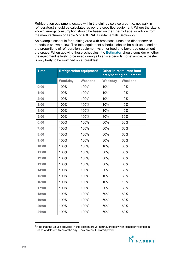Refrigeration equipment located within the dining / service area (i.e. not walk-in refrigerators) should be calculated as per the specified equipment. Where the size is known, energy consumption should be based on the Energy Label or advice from the manufacturers or Table 5 of ASHRAE Fundamentals Section [2](#page-109-0)9 $^{\rm 2}$ .

An example schedule for a dining area with breakfast, lunch and dinner service periods is shown below. The total equipment schedule should be built up based on the proportions of refrigeration equipment vs other food and beverage equipment in the space. When applying these schedules, the **Estimator** should consider whether the equipment is likely to be used during all service periods (for example, a toaster is only likely to be switched on at breakfast).

| <b>Time</b> | <b>Refrigeration equipment</b> |         | <b>Other in-restaurant food</b><br>prep/heating equipment |         |
|-------------|--------------------------------|---------|-----------------------------------------------------------|---------|
|             | Weekday                        | Weekend | Weekday                                                   | Weekend |
| 0:00        | 100%                           | 100%    | 10%                                                       | 10%     |
| 1:00        | 100%                           | 100%    | 10%                                                       | 10%     |
| 2:00        | 100%                           | 100%    | 10%                                                       | 10%     |
| 3:00        | 100%                           | 100%    | 10%                                                       | 10%     |
| 4:00        | 100%                           | 100%    | 10%                                                       | 10%     |
| 5:00        | 100%                           | 100%    | 30%                                                       | 30%     |
| 6:00        | 100%                           | 100%    | 60%                                                       | 30%     |
| 7:00        | 100%                           | 100%    | 60%                                                       | 60%     |
| 8:00        | 100%                           | 100%    | 60%                                                       | 60%     |
| 9:00        | 100%                           | 100%    | 30%                                                       | 60%     |
| 10:00       | 100%                           | 100%    | 10%                                                       | 30%     |
| 11:00       | 100%                           | 100%    | 30%                                                       | 30%     |
| 12:00       | 100%                           | 100%    | 60%                                                       | 60%     |
| 13:00       | 100%                           | 100%    | 60%                                                       | 60%     |
| 14:00       | 100%                           | 100%    | 30%                                                       | 60%     |
| 15:00       | 100%                           | 100%    | 10%                                                       | 30%     |
| 16:00       | 100%                           | 100%    | 10%                                                       | 10%     |
| 17:00       | 100%                           | 100%    | 30%                                                       | 30%     |
| 18:00       | 100%                           | 100%    | 60%                                                       | 60%     |
| 19:00       | 100%                           | 100%    | 60%                                                       | 60%     |
| 20:00       | 100%                           | 100%    | 60%                                                       | 60%     |
| 21:00       | 100%                           | 100%    | 60%                                                       | 60%     |

<span id="page-109-0"></span><sup>&</sup>lt;sup>2</sup> Note that the values provided in this section are 24-hour averages which consider variation in loads at different times of the day. They are not full rated power.

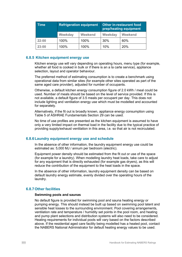| <b>Time</b> | <b>Refrigeration equipment</b> |                | <b>Other in-restaurant food</b><br>prep/heating equipment |                |
|-------------|--------------------------------|----------------|-----------------------------------------------------------|----------------|
|             | Weekday                        | <b>Weekend</b> | Weekday                                                   | <b>Weekend</b> |
| 22:00       | 100%                           | 100%           | 30%                                                       | 60%            |
| 23:00       | 100%                           | 100%           | 10%                                                       | 20%            |

# **6.8.5 Kitchen equipment energy use**

Kitchen energy use will vary depending on operating hours, menu type (for example, whether all food is cooked in bulk or if there is an a la carte service), appliance selection, layout and operator behaviour.

The preferred method of estimating consumption is to create a benchmark using operational data from similar sites (for example other sites operated as part of the same aged care provider), adjusted for number of occupants.

Otherwise, a default kitchen energy consumption figure of 2.0 kWh / meal could be used. Number of meals should be based on the level of service provided. If this is not available, a default figure of 3.5 meals per occupant per day. This does not include lighting and ventilation energy use which must be modelled and accounted for separately.

Alternatively, if the fit out is broadly known, appliance energy consumption using Table 5 of ASHRAE Fundamentals Section 29 can be used.

No time of use profiles are presented as the kitchen equipment is assumed to have only a very limited impact on thermal load in the facility due to the typical practice of providing supply/exhaust ventilation in this area, i.e. so that air is not recirculated.

#### **6.8.6Laundry equipment energy use and schedule**

In the absence of other information, the laundry equipment energy use could be estimated as: 5,000 MJ / annum per bedroom (electric).

Equipment power density should be estimated from the fit out or use of the space (for example for a laundry). When modelling laundry heat loads, take care to adjust for any equipment that is directly exhausted (for example gas dryers), as this will reduce the contribution of the equipment to the heat loads in the space.

In the absence of other information, laundry equipment density can be based on default laundry energy estimate, evenly divided over the operating hours of the laundry.

#### **6.8.7Other facilities**

#### **Swimming pools and saunas**

No default figure is provided for swimming pool and sauna heating energy or pumping energy. This should instead be built up based on swimming pool latent and sensible heat losses to the surrounding environment. Pool covering arrangements, ventilation rate and temperature / humidity set points in the pool room, and heating and pump plant selections and distribution systems will also need to be considered. Heating requirements for individual pools will vary based on the factors described above. If the residential aged care facility being modelled has a heated pool, contact the NABERS National Administrator for default heating energy values to be used.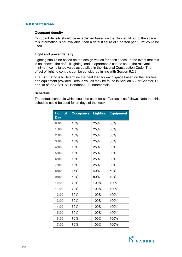# **6.8.8Staff Areas**

#### **Occupant density**

Occupant density should be established based on the planned fit out of the space. If this information is not available, then a default figure of 1 person per 10 m² could be used.

# **Light and power density**

Lighting should be based on the design values for each space. In the event that this is not known, the default lighting load in apartments can be set at the relevant minimum compliance value as detailed in the National Construction Code. The effect of lighting controls can be considered in line with Section 6.2.3.

The **Estimator** is to determine the heat load for each space based on the facilities and equipment provided. Default values may be found in Section 6.2 or Chapter 17 and 18 of the ASHRAE Handbook - Fundamentals.

# **Schedule**

The default schedule which could be used for staff areas is as follows. Note that this schedule could be used for all days of the week.

| <b>Hour of</b><br><b>Day</b> | <b>Occupancy</b> | <b>Lighting</b> | <b>Equipment</b> |
|------------------------------|------------------|-----------------|------------------|
| 0:00                         | 10%              | 25%             | 30%              |
| 1:00                         | 10%              | 25%             | 30%              |
| 2:00                         | 10%              | 25%             | 30%              |
| 3:00                         | 10%              | 25%             | 30%              |
| 4:00                         | 10%              | 25%             | 30%              |
| 5:00                         | 10%              | 25%             | 30%              |
| 6:00                         | 10%              | 25%             | 30%              |
| 7:00                         | 10%              | 25%             | 30%              |
| 8:00                         | 15%              | 40%             | 50%              |
| 9:00                         | 60%              | 80%             | 70%              |
| 10:00                        | 70%              | 100%            | 100%             |
| 11:00                        | 70%              | 100%            | 100%             |
| 12:00                        | 70%              | 100%            | 100%             |
| 13:00                        | 70%              | 100%            | 100%             |
| 14:00                        | 70%              | 100%            | 100%             |
| 15:00                        | 70%              | 100%            | 100%             |
| 16:00                        | 70%              | 100%            | 100%             |
| 17:00                        | 70%              | 100%            | 100%             |

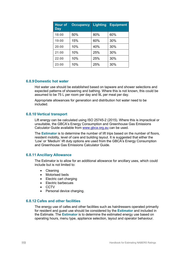| <b>Hour of</b><br><b>Day</b> | <b>Occupancy</b> | <b>Lighting</b> | <b>Equipment</b> |
|------------------------------|------------------|-----------------|------------------|
| 18:00                        | 50%              | 80%             | 60%              |
| 19:00                        | 15%              | 60%             | 30%              |
| 20:00                        | 10%              | 40%             | 30%              |
| 21:00                        | 10%              | 25%             | 30%              |
| 22:00                        | 10%              | 25%             | 30%              |
| 23:00                        | 10%              | 25%             | 30%              |

# **6.8.9Domestic hot water**

Hot water use should be established based on tapware and shower selections and expected patterns of showering and bathing. Where this is not known, this could be assumed to be 75 L per room per day and 9L per meal per day.

Appropriate allowances for generation and distribution hot water need to be included.

#### **6.8.10 Vertical transport**

Lift energy can be calculated using ISO 25745-2 (2015). Where this is impractical or unsuitable, the GBCA's Energy Consumption and Greenhouse Gas Emissions Calculator Guide available from www.gbca.org.au can be used.

The **Estimator** is to determine the number of lift trips based on the number of floors, resident mobility, level of care and building layout. It is suggested that either the 'Low' or 'Medium' lift duty options are used from the GBCA's Energy Consumption and Greenhouse Gas Emissions Calculator Guide.

#### **6.8.11 Ancillary Allowance**

The Estimator is to allow for an additional allowance for ancillary uses, which could include but is not limited to:

- Cleaning
- Motorised beds
- Electric cart charging
- Electric barbecues
- CCTV
- Personal device charging.

#### **6.8.12 Cafes and other facilities**

The energy use of cafes and other facilities such as hairdressers operated primarily for resident and guest use should be considered by the **Estimator** and included in the Estimate. The **Estimator** is to determine the estimated energy use based on operating hours, menu type, appliance selection, layout and operator behaviour.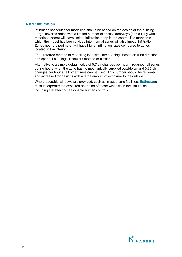# **6.8.13 Infiltration**

Infiltration schedules for modelling should be based on the design of the building. Large, covered areas with a limited number of access doorways (particularly with motorised doors) will have limited infiltration deep in the centre. The manner in which the model has been divided into thermal zones will also impact infiltration. Zones near the perimeter will have higher infiltration rates compared to zones located in the interior.

The preferred method of modelling is to simulate openings based on wind direction and speed, i.e. using air network method or similar.

Alternatively, a simple default value of 0.7 air changes per hour throughout all zones during hours when the zone has no mechanically supplied outside air and 0.35 air changes per hour at all other times can be used. This number should be reviewed and increased for designs with a large amount of exposure to the outside.

Where operable windows are provided, such as in aged care facilities, **Estimators** must incorporate the expected operation of these windows in the simulation including the effect of reasonable human controls.

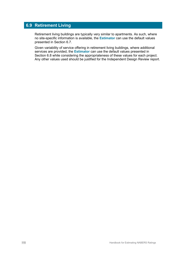# **6.9 Retirement Living**

Retirement living buildings are typically very similar to apartments. As such, where no site-specific information is available, the **Estimator** can use the default values presented in Section 6.7.

Given variability of service offering in retirement living buildings, where additional services are provided, the **Estimator** can use the default values presented in Section 6.8 while considering the appropriateness of these values for each project. Any other values used should be justified for the Independent Design Review report.